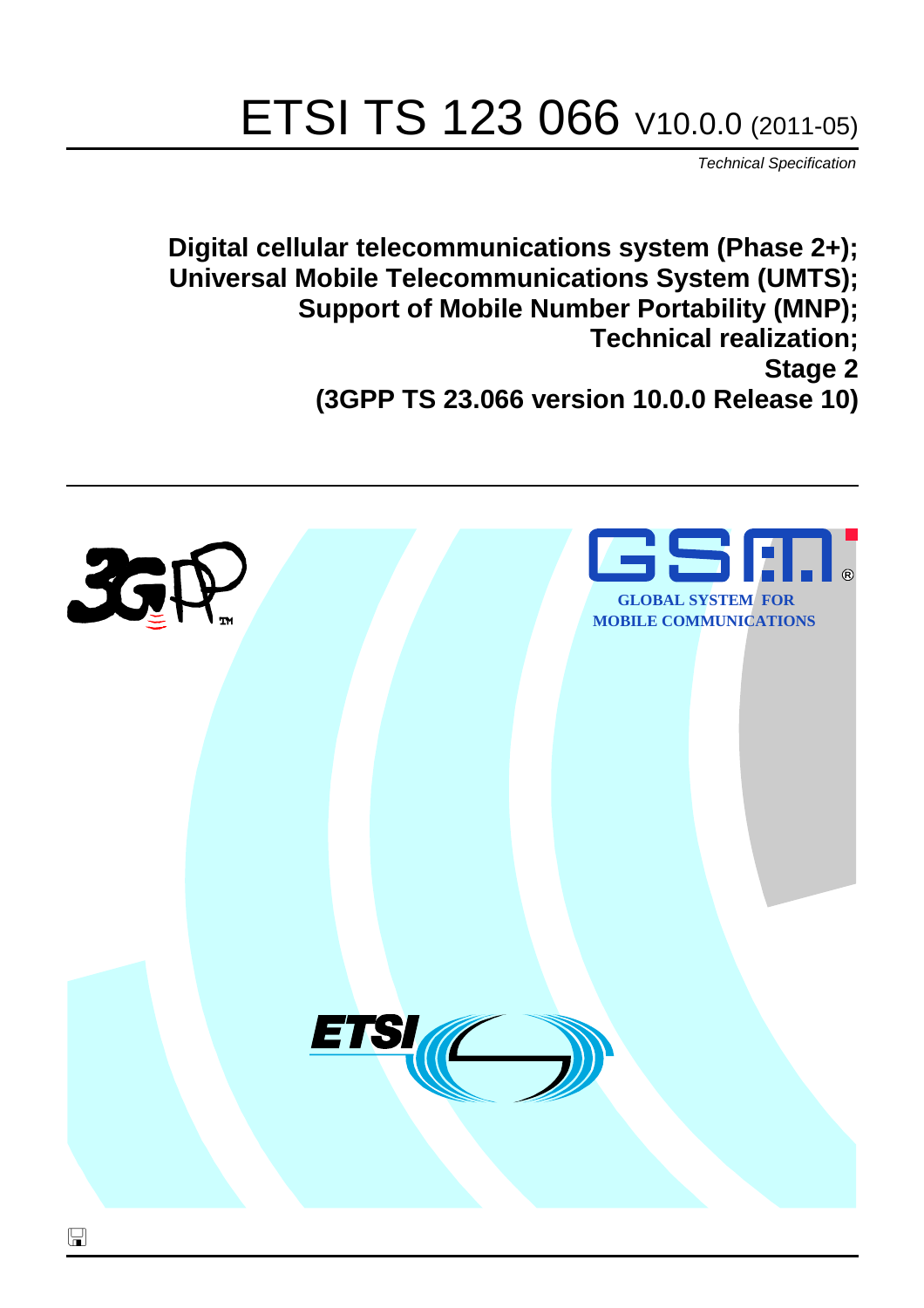# ETSI TS 123 066 V10.0.0 (2011-05)

*Technical Specification*

**Digital cellular telecommunications system (Phase 2+); Universal Mobile Telecommunications System (UMTS); Support of Mobile Number Portability (MNP); Technical realization; Stage 2 (3GPP TS 23.066 version 10.0.0 Release 10)**

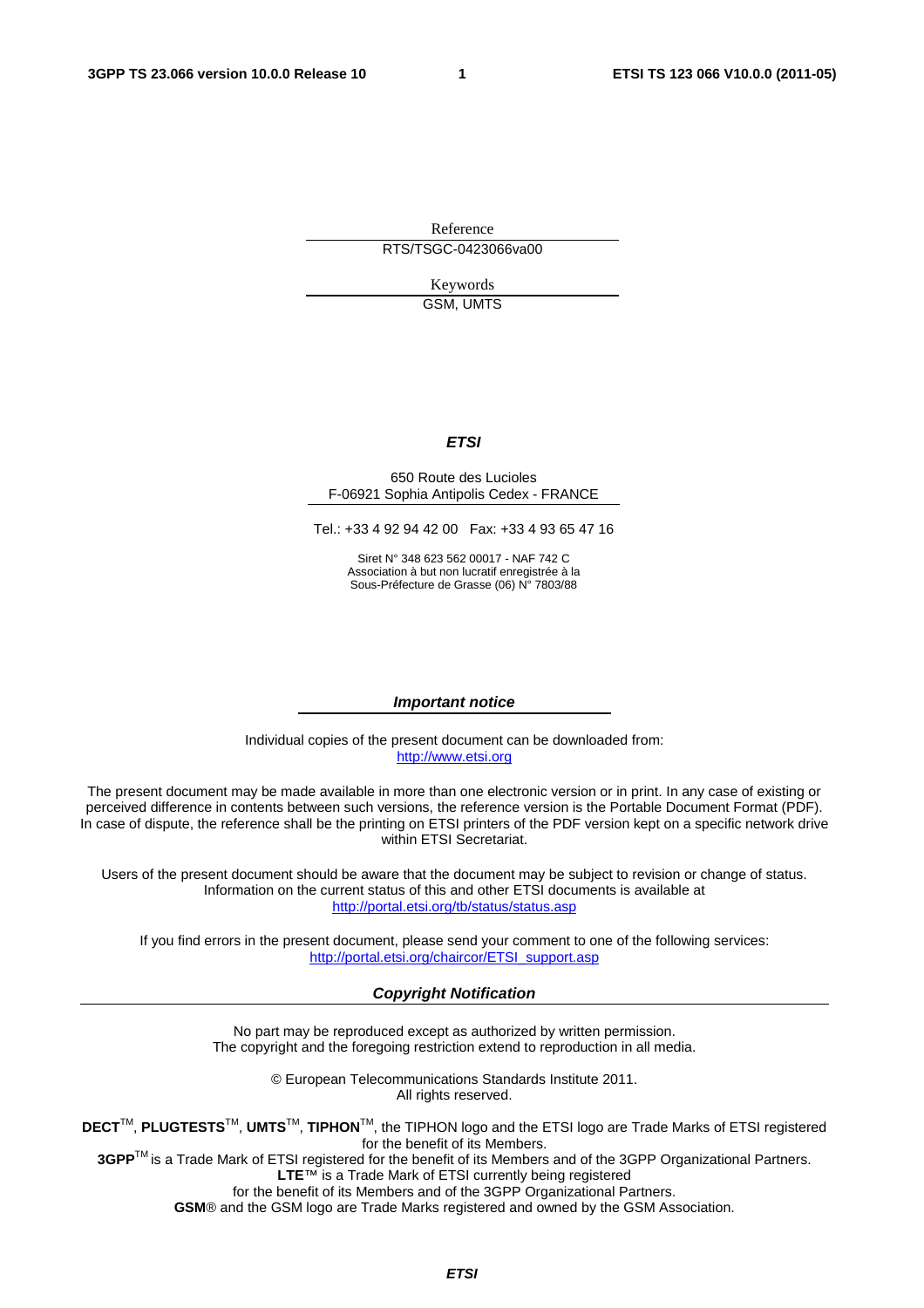Reference RTS/TSGC-0423066va00

> Keywords GSM, UMTS

#### *ETSI*

#### 650 Route des Lucioles F-06921 Sophia Antipolis Cedex - FRANCE

Tel.: +33 4 92 94 42 00 Fax: +33 4 93 65 47 16

Siret N° 348 623 562 00017 - NAF 742 C Association à but non lucratif enregistrée à la Sous-Préfecture de Grasse (06) N° 7803/88

#### *Important notice*

Individual copies of the present document can be downloaded from: [http://www.etsi.org](http://www.etsi.org/)

The present document may be made available in more than one electronic version or in print. In any case of existing or perceived difference in contents between such versions, the reference version is the Portable Document Format (PDF). In case of dispute, the reference shall be the printing on ETSI printers of the PDF version kept on a specific network drive within ETSI Secretariat.

Users of the present document should be aware that the document may be subject to revision or change of status. Information on the current status of this and other ETSI documents is available at <http://portal.etsi.org/tb/status/status.asp>

If you find errors in the present document, please send your comment to one of the following services: [http://portal.etsi.org/chaircor/ETSI\\_support.asp](http://portal.etsi.org/chaircor/ETSI_support.asp)

#### *Copyright Notification*

No part may be reproduced except as authorized by written permission. The copyright and the foregoing restriction extend to reproduction in all media.

> © European Telecommunications Standards Institute 2011. All rights reserved.

**DECT**TM, **PLUGTESTS**TM, **UMTS**TM, **TIPHON**TM, the TIPHON logo and the ETSI logo are Trade Marks of ETSI registered for the benefit of its Members.

**3GPP**TM is a Trade Mark of ETSI registered for the benefit of its Members and of the 3GPP Organizational Partners. **LTE**™ is a Trade Mark of ETSI currently being registered

for the benefit of its Members and of the 3GPP Organizational Partners.

**GSM**® and the GSM logo are Trade Marks registered and owned by the GSM Association.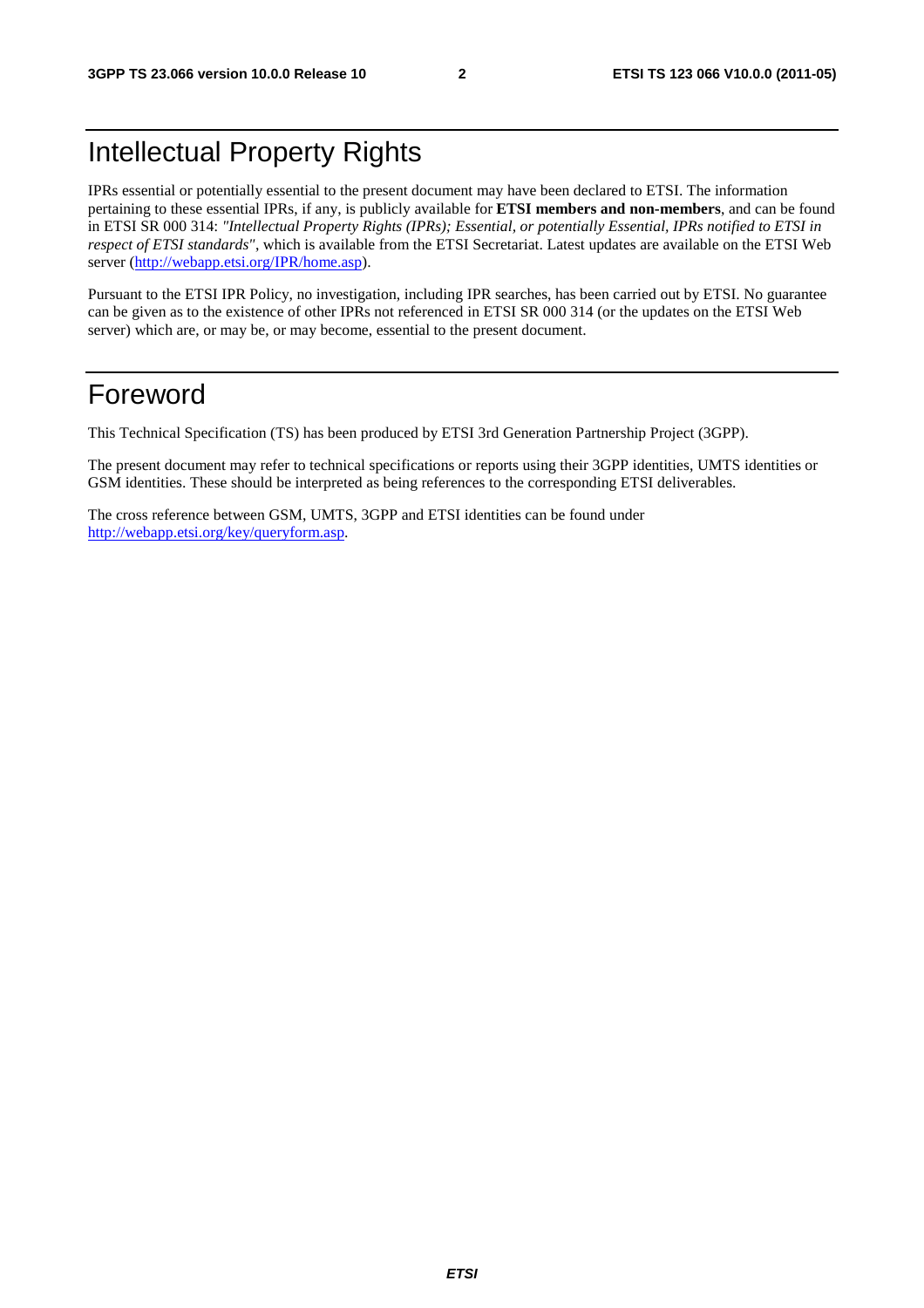### Intellectual Property Rights

IPRs essential or potentially essential to the present document may have been declared to ETSI. The information pertaining to these essential IPRs, if any, is publicly available for **ETSI members and non-members**, and can be found in ETSI SR 000 314: *"Intellectual Property Rights (IPRs); Essential, or potentially Essential, IPRs notified to ETSI in respect of ETSI standards"*, which is available from the ETSI Secretariat. Latest updates are available on the ETSI Web server ([http://webapp.etsi.org/IPR/home.asp\)](http://webapp.etsi.org/IPR/home.asp).

Pursuant to the ETSI IPR Policy, no investigation, including IPR searches, has been carried out by ETSI. No guarantee can be given as to the existence of other IPRs not referenced in ETSI SR 000 314 (or the updates on the ETSI Web server) which are, or may be, or may become, essential to the present document.

### Foreword

This Technical Specification (TS) has been produced by ETSI 3rd Generation Partnership Project (3GPP).

The present document may refer to technical specifications or reports using their 3GPP identities, UMTS identities or GSM identities. These should be interpreted as being references to the corresponding ETSI deliverables.

The cross reference between GSM, UMTS, 3GPP and ETSI identities can be found under [http://webapp.etsi.org/key/queryform.asp.](http://webapp.etsi.org/key/queryform.asp)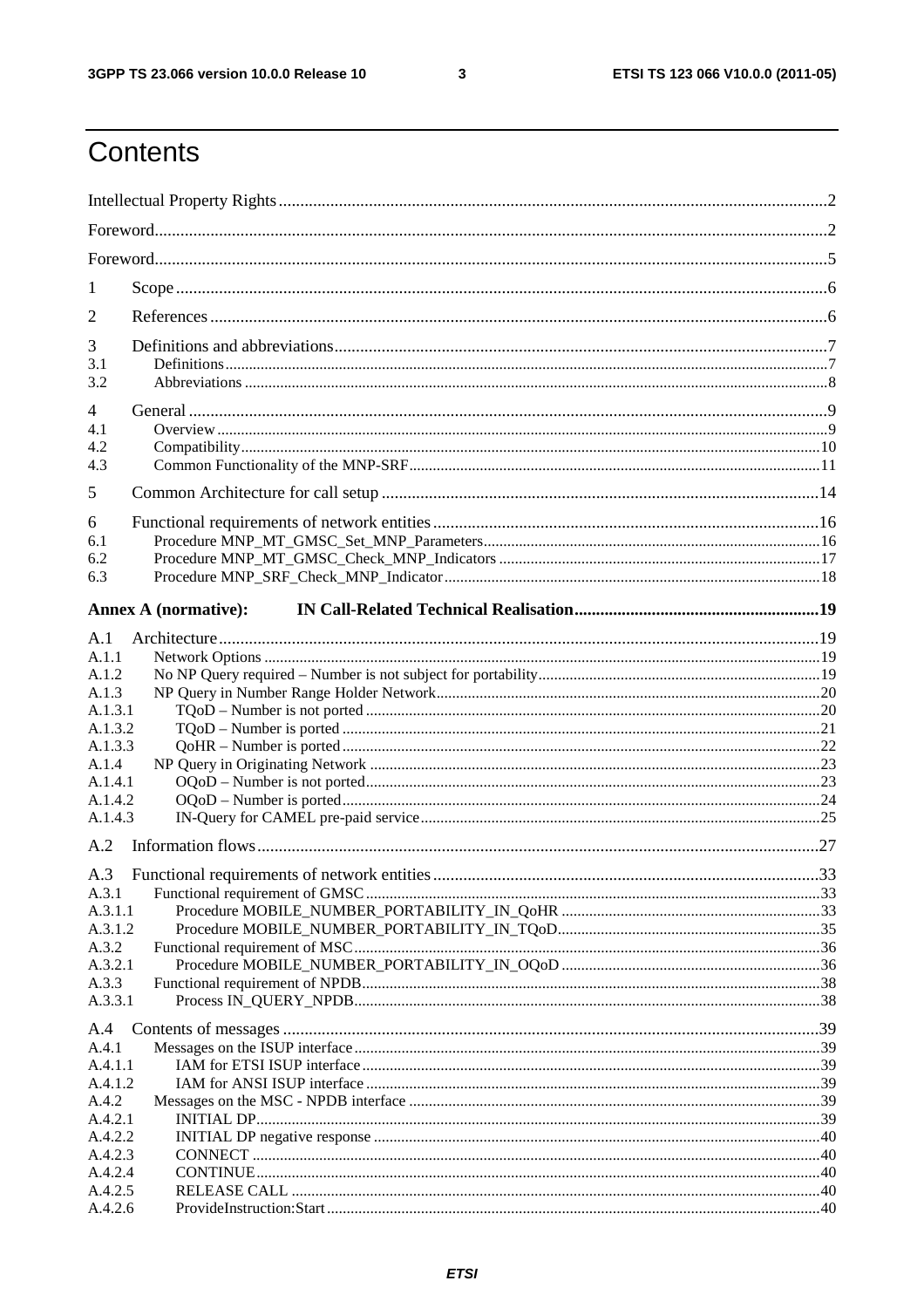$\mathbf{3}$ 

## Contents

| 1                  |                             |  |
|--------------------|-----------------------------|--|
| 2                  |                             |  |
| 3                  |                             |  |
| 3.1                |                             |  |
| 3.2                |                             |  |
| 4                  |                             |  |
| 4.1                |                             |  |
| 4.2<br>4.3         |                             |  |
|                    |                             |  |
| 5                  |                             |  |
| 6                  |                             |  |
| 6.1                |                             |  |
| 6.2                |                             |  |
| 6.3                |                             |  |
|                    | <b>Annex A (normative):</b> |  |
| A.1                |                             |  |
| A.1.1              |                             |  |
| A.1.2              |                             |  |
| A.1.3              |                             |  |
| A.1.3.1            |                             |  |
| A.1.3.2<br>A.1.3.3 |                             |  |
| A.1.4              |                             |  |
| A.1.4.1            |                             |  |
| A.1.4.2            |                             |  |
| A.1.4.3            |                             |  |
| A.2                |                             |  |
| A.3                |                             |  |
| A.3.1              |                             |  |
| A.3.1.1            |                             |  |
| A.3.1.2            |                             |  |
| A.3.2              |                             |  |
| A.3.2.1            |                             |  |
| A.3.3<br>A.3.3.1   |                             |  |
|                    |                             |  |
| A.4                |                             |  |
| A.4.1<br>A.4.1.1   |                             |  |
| A.4.1.2            |                             |  |
| A.4.2              |                             |  |
| A.4.2.1            |                             |  |
| A.4.2.2            |                             |  |
| A.4.2.3            |                             |  |
| A.4.2.4            |                             |  |
| A.4.2.5            |                             |  |
| A.4.2.6            |                             |  |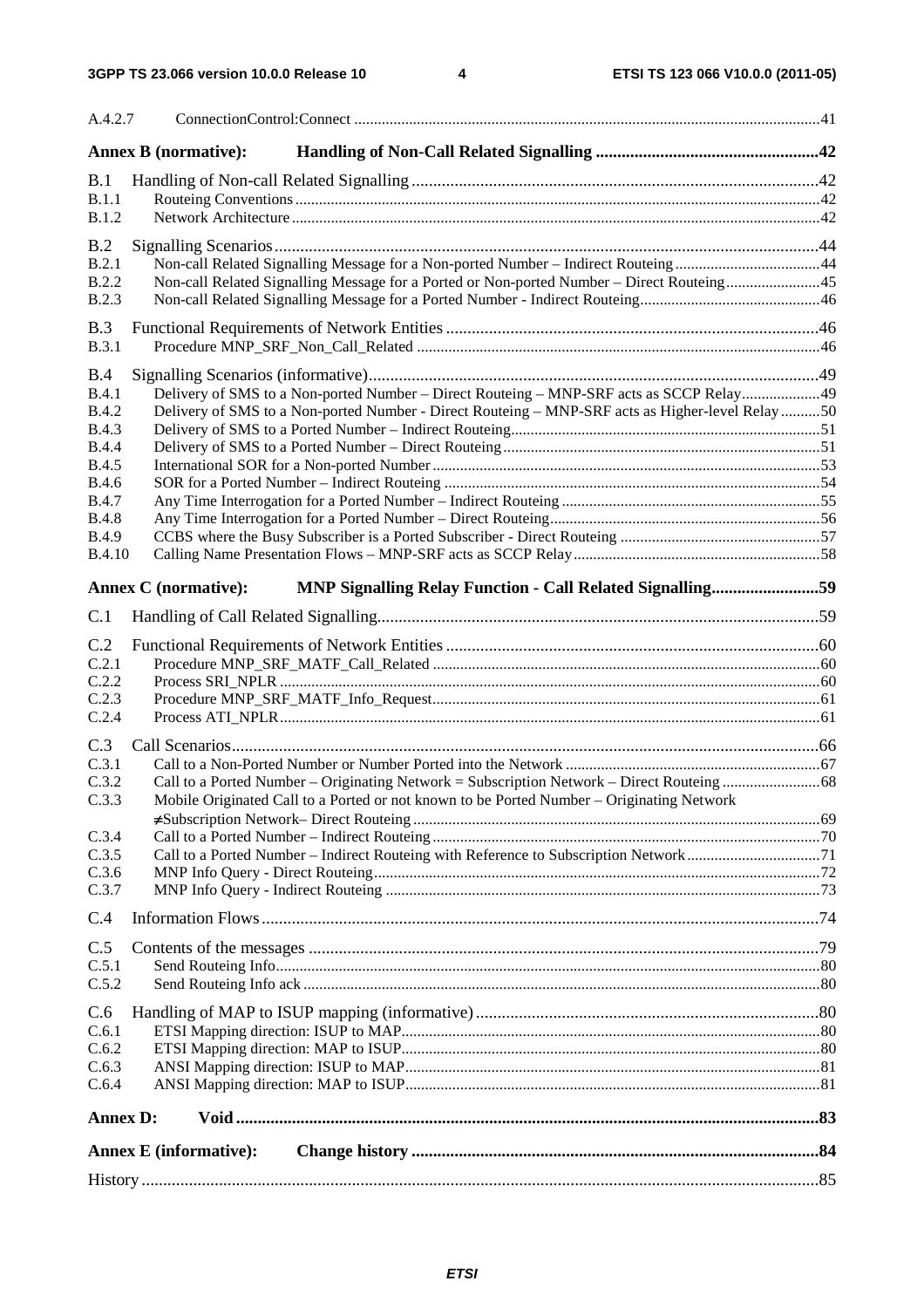| A.4.2.7                                                                                            |                                                                                                                                                                                             |
|----------------------------------------------------------------------------------------------------|---------------------------------------------------------------------------------------------------------------------------------------------------------------------------------------------|
| <b>Annex B (normative):</b>                                                                        |                                                                                                                                                                                             |
| B.1                                                                                                |                                                                                                                                                                                             |
| B.1.1                                                                                              |                                                                                                                                                                                             |
| B.1.2                                                                                              |                                                                                                                                                                                             |
| B.2                                                                                                |                                                                                                                                                                                             |
| B.2.1                                                                                              | Non-call Related Signalling Message for a Non-ported Number - Indirect Routeing44                                                                                                           |
| <b>B.2.2</b><br><b>B.2.3</b>                                                                       | Non-call Related Signalling Message for a Ported or Non-ported Number – Direct Routeing45                                                                                                   |
|                                                                                                    |                                                                                                                                                                                             |
| B.3<br><b>B.3.1</b>                                                                                |                                                                                                                                                                                             |
|                                                                                                    |                                                                                                                                                                                             |
| B.4                                                                                                |                                                                                                                                                                                             |
| <b>B.4.1</b><br><b>B.4.2</b>                                                                       | Delivery of SMS to a Non-ported Number – Direct Routeing – MNP-SRF acts as SCCP Relay49<br>Delivery of SMS to a Non-ported Number - Direct Routeing - MNP-SRF acts as Higher-level Relay 50 |
| <b>B.4.3</b>                                                                                       |                                                                                                                                                                                             |
| <b>B.4.4</b>                                                                                       |                                                                                                                                                                                             |
| <b>B.4.5</b>                                                                                       |                                                                                                                                                                                             |
| <b>B.4.6</b>                                                                                       |                                                                                                                                                                                             |
| <b>B.4.7</b><br><b>B.4.8</b>                                                                       |                                                                                                                                                                                             |
| <b>B.4.9</b>                                                                                       |                                                                                                                                                                                             |
| <b>B.4.10</b>                                                                                      |                                                                                                                                                                                             |
| <b>Annex C</b> (normative):                                                                        | MNP Signalling Relay Function - Call Related Signalling59                                                                                                                                   |
|                                                                                                    |                                                                                                                                                                                             |
| C.1                                                                                                |                                                                                                                                                                                             |
| C.2                                                                                                |                                                                                                                                                                                             |
| C.2.1                                                                                              |                                                                                                                                                                                             |
| C.2.2<br>C.2.3                                                                                     |                                                                                                                                                                                             |
| C.2.4                                                                                              |                                                                                                                                                                                             |
| C.3                                                                                                |                                                                                                                                                                                             |
| C.3.1                                                                                              |                                                                                                                                                                                             |
| C.3.2                                                                                              |                                                                                                                                                                                             |
| Mobile Originated Call to a Ported or not known to be Ported Number – Originating Network<br>C.3.3 |                                                                                                                                                                                             |
|                                                                                                    |                                                                                                                                                                                             |
| C.3.4                                                                                              |                                                                                                                                                                                             |
| C.3.5<br>C.3.6                                                                                     |                                                                                                                                                                                             |
| C.3.7                                                                                              |                                                                                                                                                                                             |
| C.4                                                                                                |                                                                                                                                                                                             |
|                                                                                                    |                                                                                                                                                                                             |
| C.5<br>C.5.1                                                                                       |                                                                                                                                                                                             |
| C.5.2                                                                                              |                                                                                                                                                                                             |
|                                                                                                    |                                                                                                                                                                                             |
| C.6<br>C.6.1                                                                                       |                                                                                                                                                                                             |
| C.6.2                                                                                              |                                                                                                                                                                                             |
| C.6.3                                                                                              |                                                                                                                                                                                             |
| C.6.4                                                                                              |                                                                                                                                                                                             |
| <b>Annex D:</b>                                                                                    |                                                                                                                                                                                             |
|                                                                                                    |                                                                                                                                                                                             |
| <b>Annex E</b> (informative):                                                                      |                                                                                                                                                                                             |
|                                                                                                    |                                                                                                                                                                                             |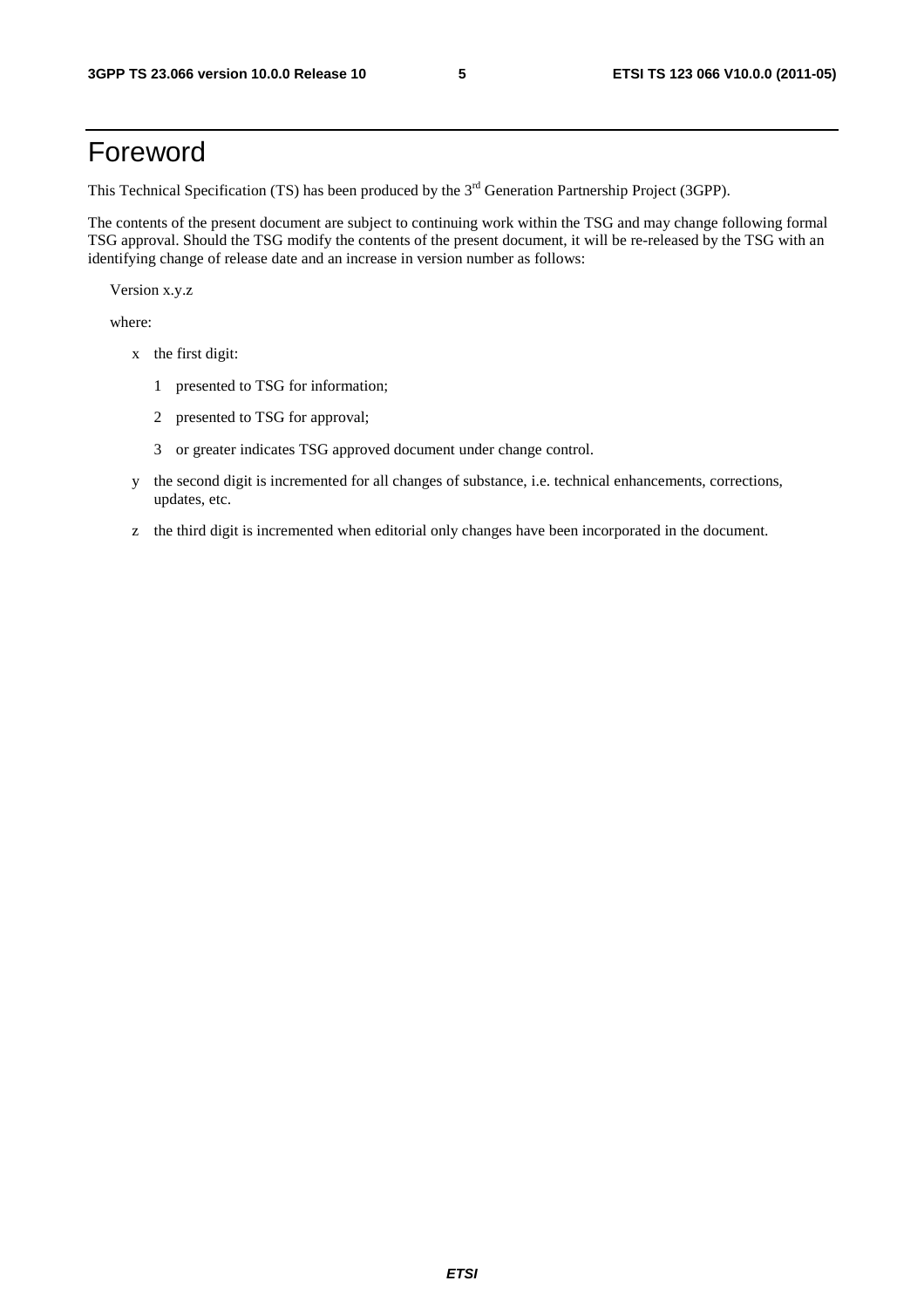### Foreword

This Technical Specification (TS) has been produced by the 3<sup>rd</sup> Generation Partnership Project (3GPP).

The contents of the present document are subject to continuing work within the TSG and may change following formal TSG approval. Should the TSG modify the contents of the present document, it will be re-released by the TSG with an identifying change of release date and an increase in version number as follows:

Version x.y.z

where:

- x the first digit:
	- 1 presented to TSG for information;
	- 2 presented to TSG for approval;
	- 3 or greater indicates TSG approved document under change control.
- y the second digit is incremented for all changes of substance, i.e. technical enhancements, corrections, updates, etc.
- z the third digit is incremented when editorial only changes have been incorporated in the document.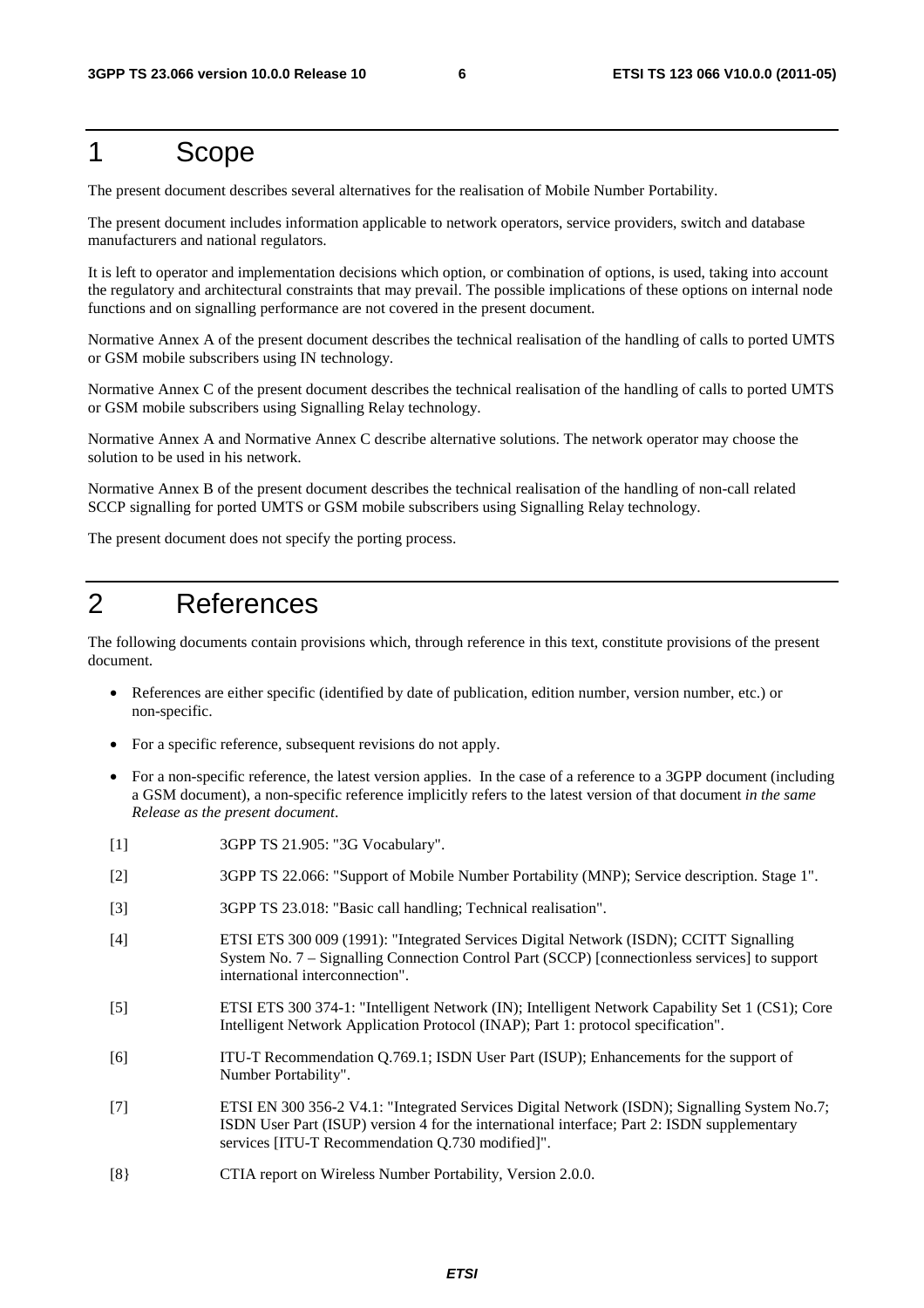#### 1 Scope

The present document describes several alternatives for the realisation of Mobile Number Portability.

The present document includes information applicable to network operators, service providers, switch and database manufacturers and national regulators.

It is left to operator and implementation decisions which option, or combination of options, is used, taking into account the regulatory and architectural constraints that may prevail. The possible implications of these options on internal node functions and on signalling performance are not covered in the present document.

Normative Annex A of the present document describes the technical realisation of the handling of calls to ported UMTS or GSM mobile subscribers using IN technology.

Normative Annex C of the present document describes the technical realisation of the handling of calls to ported UMTS or GSM mobile subscribers using Signalling Relay technology.

Normative Annex A and Normative Annex C describe alternative solutions. The network operator may choose the solution to be used in his network.

Normative Annex B of the present document describes the technical realisation of the handling of non-call related SCCP signalling for ported UMTS or GSM mobile subscribers using Signalling Relay technology.

The present document does not specify the porting process.

### 2 References

The following documents contain provisions which, through reference in this text, constitute provisions of the present document.

- References are either specific (identified by date of publication, edition number, version number, etc.) or non-specific.
- For a specific reference, subsequent revisions do not apply.
- For a non-specific reference, the latest version applies. In the case of a reference to a 3GPP document (including a GSM document), a non-specific reference implicitly refers to the latest version of that document *in the same Release as the present document*.
- [1] 3GPP TS 21.905: "3G Vocabulary".
- [2] 3GPP TS 22.066: "Support of Mobile Number Portability (MNP); Service description. Stage 1".
- [3] 3GPP TS 23.018: "Basic call handling; Technical realisation".
- [4] ETSI ETS 300 009 (1991): "Integrated Services Digital Network (ISDN); CCITT Signalling System No. 7 – Signalling Connection Control Part (SCCP) [connectionless services] to support international interconnection".
- [5] ETSI ETS 300 374-1: "Intelligent Network (IN); Intelligent Network Capability Set 1 (CS1); Core Intelligent Network Application Protocol (INAP); Part 1: protocol specification".
- [6] ITU-T Recommendation Q.769.1; ISDN User Part (ISUP); Enhancements for the support of Number Portability".
- [7] ETSI EN 300 356-2 V4.1: "Integrated Services Digital Network (ISDN); Signalling System No.7; ISDN User Part (ISUP) version 4 for the international interface; Part 2: ISDN supplementary services [ITU-T Recommendation Q.730 modified]".
- [8} CTIA report on Wireless Number Portability, Version 2.0.0.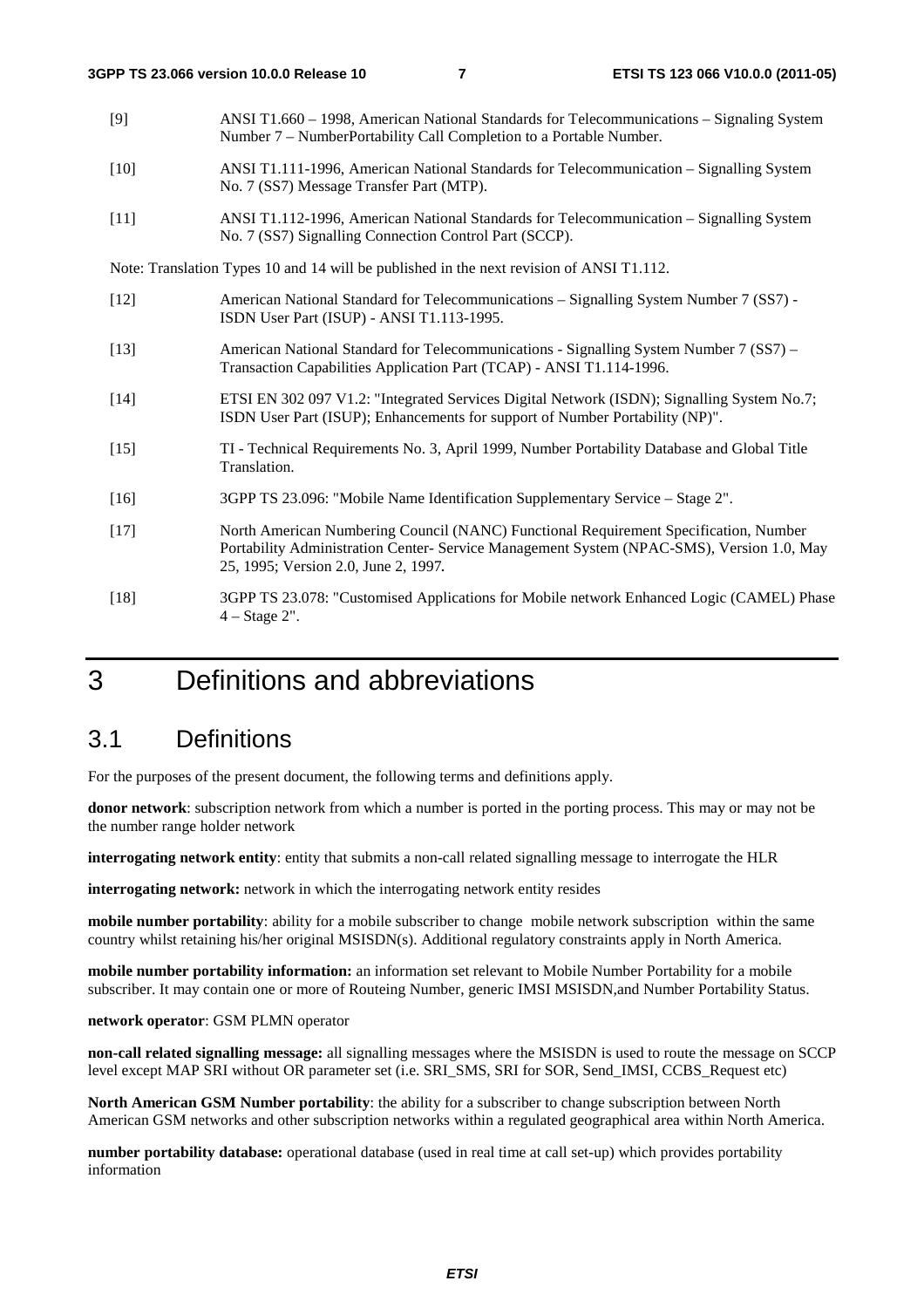- [9] ANSI T1.660 1998, American National Standards for Telecommunications Signaling System Number 7 – NumberPortability Call Completion to a Portable Number.
- [10] ANSI T1.111-1996, American National Standards for Telecommunication Signalling System No. 7 (SS7) Message Transfer Part (MTP).
- [11] ANSI T1.112-1996, American National Standards for Telecommunication Signalling System No. 7 (SS7) Signalling Connection Control Part (SCCP).

Note: Translation Types 10 and 14 will be published in the next revision of ANSI T1.112.

- [12] American National Standard for Telecommunications Signalling System Number 7 (SS7) ISDN User Part (ISUP) - ANSI T1.113-1995.
- [13] American National Standard for Telecommunications Signalling System Number 7 (SS7) Transaction Capabilities Application Part (TCAP) - ANSI T1.114-1996.
- [14] ETSI EN 302 097 V1.2: "Integrated Services Digital Network (ISDN); Signalling System No.7; ISDN User Part (ISUP); Enhancements for support of Number Portability (NP)".
- [15] TI Technical Requirements No. 3, April 1999, Number Portability Database and Global Title Translation.
- [16] 3GPP TS 23.096: "Mobile Name Identification Supplementary Service Stage 2".
- [17] North American Numbering Council (NANC) Functional Requirement Specification, Number Portability Administration Center- Service Management System (NPAC-SMS), Version 1.0, May 25, 1995; Version 2.0, June 2, 1997*.*
- [18] 3GPP TS 23.078: "Customised Applications for Mobile network Enhanced Logic (CAMEL) Phase 4 – Stage 2".

### 3 Definitions and abbreviations

#### 3.1 Definitions

For the purposes of the present document, the following terms and definitions apply.

**donor network**: subscription network from which a number is ported in the porting process. This may or may not be the number range holder network

**interrogating network entity**: entity that submits a non-call related signalling message to interrogate the HLR

**interrogating network:** network in which the interrogating network entity resides

**mobile number portability**: ability for a mobile subscriber to change mobile network subscription within the same country whilst retaining his/her original MSISDN(s). Additional regulatory constraints apply in North America.

**mobile number portability information:** an information set relevant to Mobile Number Portability for a mobile subscriber. It may contain one or more of Routeing Number, generic IMSI MSISDN,and Number Portability Status.

#### **network operator**: GSM PLMN operator

**non-call related signalling message:** all signalling messages where the MSISDN is used to route the message on SCCP level except MAP SRI without OR parameter set (i.e. SRI\_SMS, SRI for SOR, Send\_IMSI, CCBS\_Request etc)

**North American GSM Number portability**: the ability for a subscriber to change subscription between North American GSM networks and other subscription networks within a regulated geographical area within North America.

**number portability database:** operational database (used in real time at call set-up) which provides portability information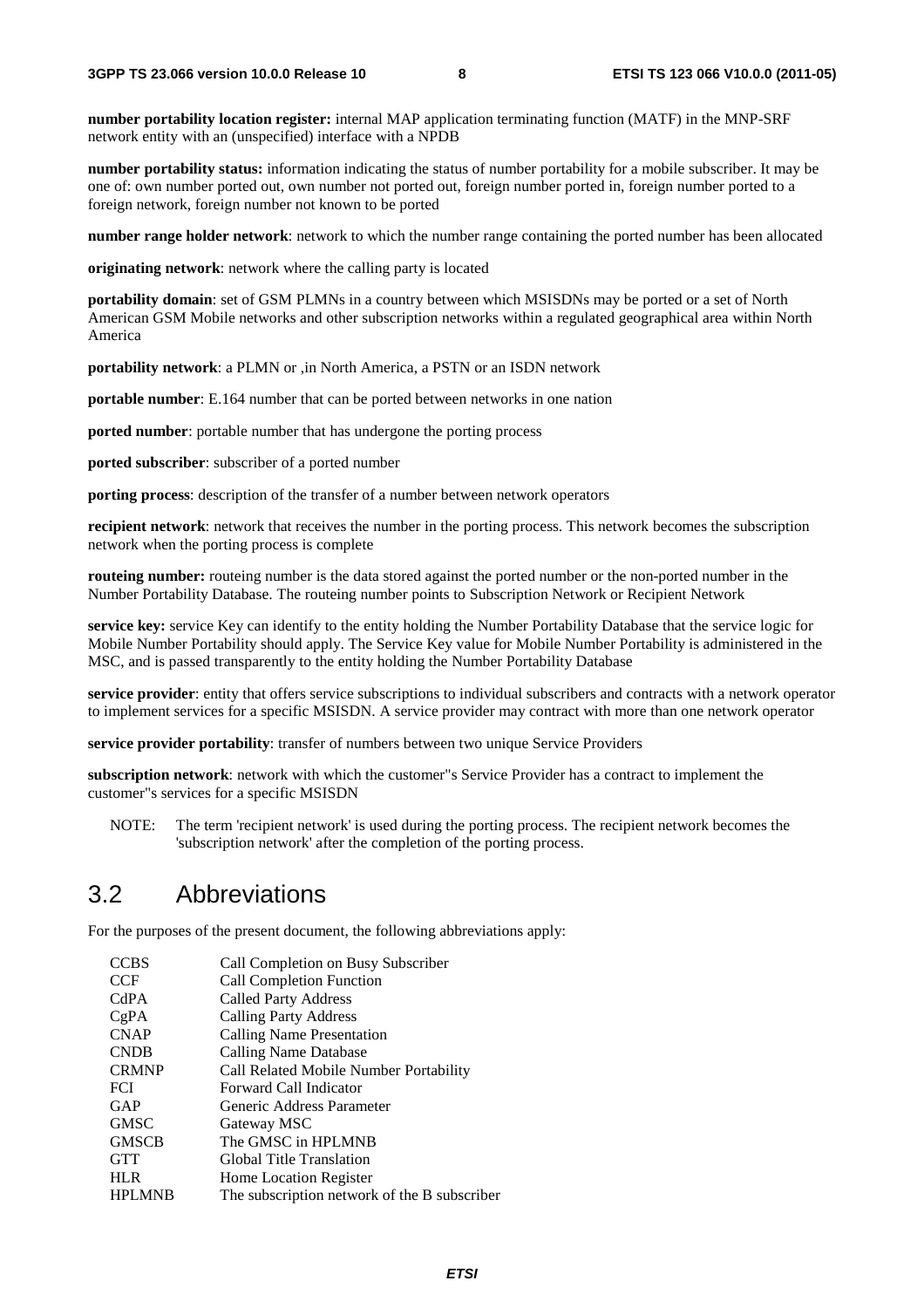**number portability location register:** internal MAP application terminating function (MATF) in the MNP-SRF network entity with an (unspecified) interface with a NPDB

**number portability status:** information indicating the status of number portability for a mobile subscriber. It may be one of: own number ported out, own number not ported out, foreign number ported in, foreign number ported to a foreign network, foreign number not known to be ported

**number range holder network**: network to which the number range containing the ported number has been allocated

**originating network**: network where the calling party is located

**portability domain**: set of GSM PLMNs in a country between which MSISDNs may be ported or a set of North American GSM Mobile networks and other subscription networks within a regulated geographical area within North America

**portability network**: a PLMN or ,in North America, a PSTN or an ISDN network

**portable number**: E.164 number that can be ported between networks in one nation

**ported number**: portable number that has undergone the porting process

**ported subscriber**: subscriber of a ported number

**porting process**: description of the transfer of a number between network operators

**recipient network**: network that receives the number in the porting process. This network becomes the subscription network when the porting process is complete

**routeing number:** routeing number is the data stored against the ported number or the non-ported number in the Number Portability Database. The routeing number points to Subscription Network or Recipient Network

**service key:** service Key can identify to the entity holding the Number Portability Database that the service logic for Mobile Number Portability should apply. The Service Key value for Mobile Number Portability is administered in the MSC, and is passed transparently to the entity holding the Number Portability Database

**service provider**: entity that offers service subscriptions to individual subscribers and contracts with a network operator to implement services for a specific MSISDN. A service provider may contract with more than one network operator

**service provider portability**: transfer of numbers between two unique Service Providers

**subscription network**: network with which the customer"s Service Provider has a contract to implement the customer"s services for a specific MSISDN

NOTE: The term 'recipient network' is used during the porting process. The recipient network becomes the 'subscription network' after the completion of the porting process.

#### 3.2 Abbreviations

For the purposes of the present document, the following abbreviations apply:

| <b>CCBS</b>   | Call Completion on Busy Subscriber           |
|---------------|----------------------------------------------|
| <b>CCF</b>    | <b>Call Completion Function</b>              |
| CdPA          | <b>Called Party Address</b>                  |
| CgPA          | <b>Calling Party Address</b>                 |
| <b>CNAP</b>   | Calling Name Presentation                    |
| <b>CNDB</b>   | Calling Name Database                        |
| <b>CRMNP</b>  | Call Related Mobile Number Portability       |
| <b>FCI</b>    | Forward Call Indicator                       |
| GAP           | Generic Address Parameter                    |
| <b>GMSC</b>   | Gateway MSC                                  |
| <b>GMSCB</b>  | The GMSC in HPLMNB                           |
| <b>GTT</b>    | Global Title Translation                     |
| <b>HLR</b>    | <b>Home Location Register</b>                |
| <b>HPLMNB</b> | The subscription network of the B subscriber |
|               |                                              |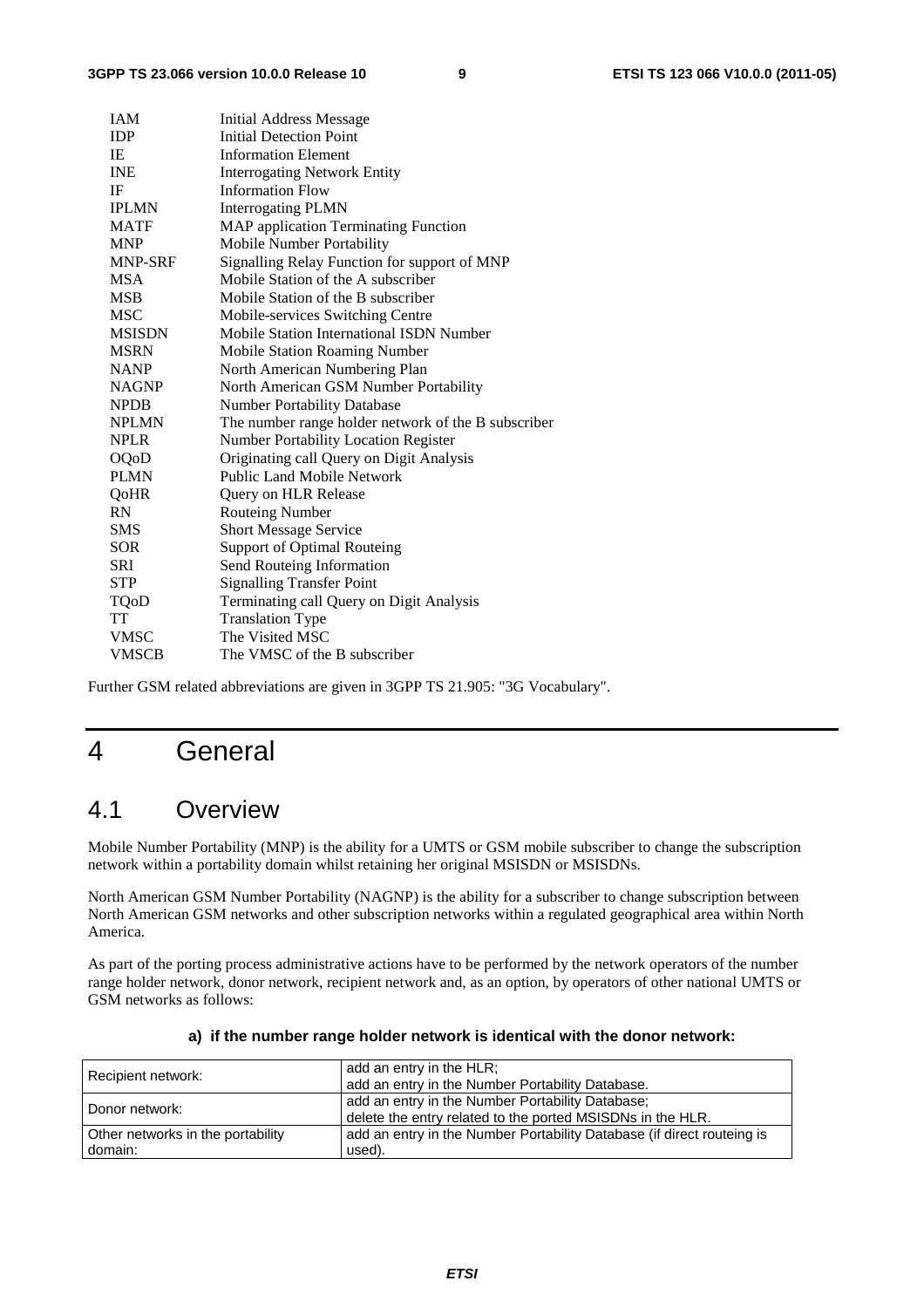| <b>IAM</b>    | Initial Address Message                             |
|---------------|-----------------------------------------------------|
| <b>IDP</b>    | <b>Initial Detection Point</b>                      |
| IE            | <b>Information Element</b>                          |
| <b>INE</b>    | <b>Interrogating Network Entity</b>                 |
| IF            | <b>Information Flow</b>                             |
| IPLMN         | <b>Interrogating PLMN</b>                           |
| <b>MATF</b>   | <b>MAP</b> application Terminating Function         |
| <b>MNP</b>    | Mobile Number Portability                           |
| MNP-SRF       | Signalling Relay Function for support of MNP        |
| <b>MSA</b>    | Mobile Station of the A subscriber                  |
| <b>MSB</b>    | Mobile Station of the B subscriber                  |
| MSC           | Mobile-services Switching Centre                    |
| <b>MSISDN</b> | Mobile Station International ISDN Number            |
| <b>MSRN</b>   | Mobile Station Roaming Number                       |
| <b>NANP</b>   | North American Numbering Plan                       |
| <b>NAGNP</b>  | North American GSM Number Portability               |
| <b>NPDB</b>   | Number Portability Database                         |
| <b>NPLMN</b>  | The number range holder network of the B subscriber |
| <b>NPLR</b>   | <b>Number Portability Location Register</b>         |
| OQoD          | Originating call Query on Digit Analysis            |
| <b>PLMN</b>   | <b>Public Land Mobile Network</b>                   |
| QoHR          | Query on HLR Release                                |
| RN            | <b>Routeing Number</b>                              |
| <b>SMS</b>    | <b>Short Message Service</b>                        |
| <b>SOR</b>    | <b>Support of Optimal Routeing</b>                  |
| <b>SRI</b>    | Send Routeing Information                           |
| <b>STP</b>    | <b>Signalling Transfer Point</b>                    |
| TQoD          | Terminating call Query on Digit Analysis            |
| <b>TT</b>     | <b>Translation Type</b>                             |
| <b>VMSC</b>   | The Visited MSC                                     |
| <b>VMSCB</b>  | The VMSC of the B subscriber                        |
|               |                                                     |

Further GSM related abbreviations are given in 3GPP TS 21.905: "3G Vocabulary".

### 4 General

#### 4.1 Overview

Mobile Number Portability (MNP) is the ability for a UMTS or GSM mobile subscriber to change the subscription network within a portability domain whilst retaining her original MSISDN or MSISDNs.

North American GSM Number Portability (NAGNP) is the ability for a subscriber to change subscription between North American GSM networks and other subscription networks within a regulated geographical area within North America.

As part of the porting process administrative actions have to be performed by the network operators of the number range holder network, donor network, recipient network and, as an option, by operators of other national UMTS or GSM networks as follows:

| Recipient network:                | add an entry in the HLR;<br>add an entry in the Number Portability Database.                                   |
|-----------------------------------|----------------------------------------------------------------------------------------------------------------|
| Donor network:                    | add an entry in the Number Portability Database;<br>delete the entry related to the ported MSISDNs in the HLR. |
| Other networks in the portability | add an entry in the Number Portability Database (if direct routeing is                                         |
| domain:                           | used).                                                                                                         |

#### **a) if the number range holder network is identical with the donor network:**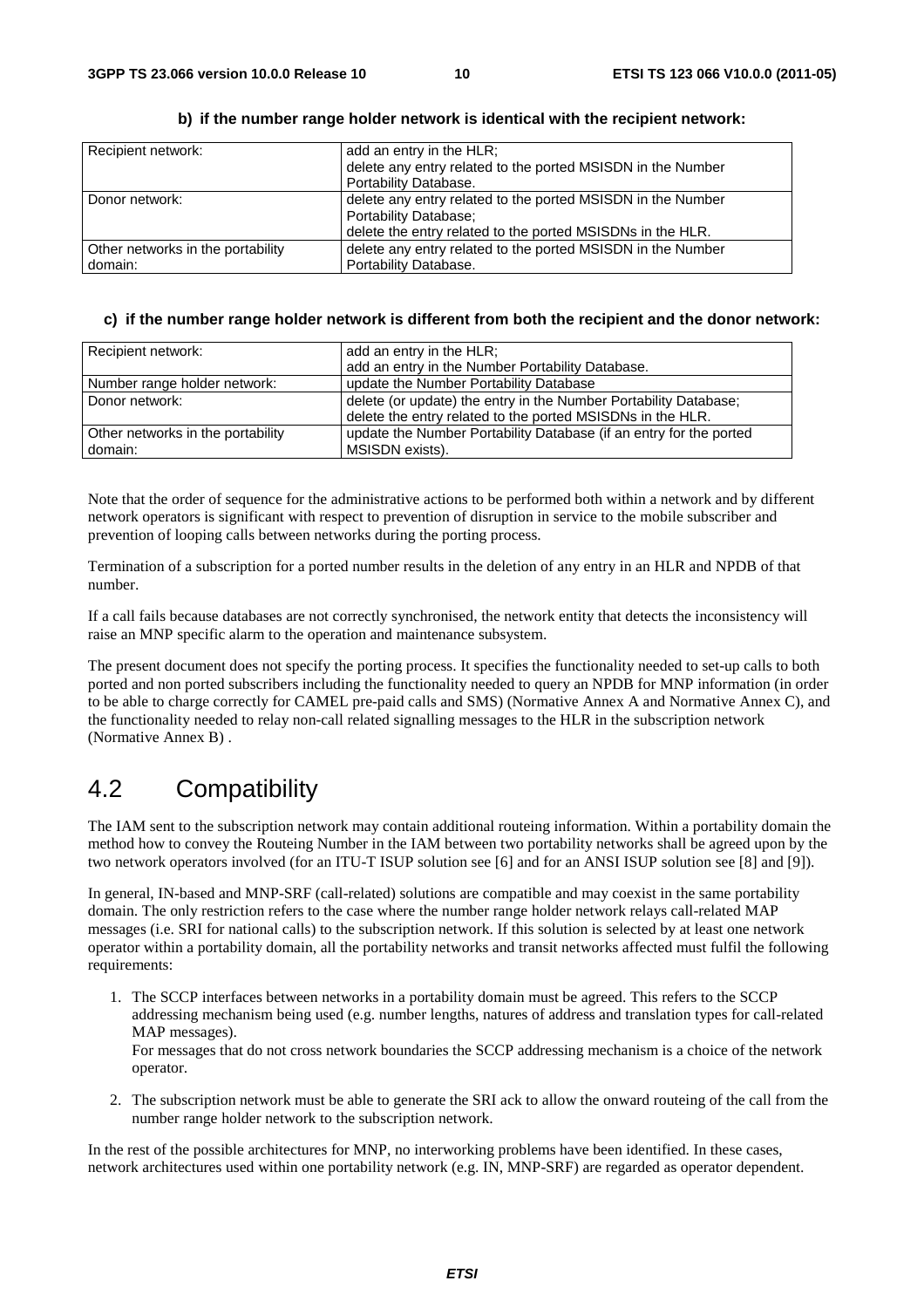| Recipient network:                | add an entry in the HLR;                                    |
|-----------------------------------|-------------------------------------------------------------|
|                                   | delete any entry related to the ported MSISDN in the Number |
|                                   | Portability Database.                                       |
| Donor network:                    | delete any entry related to the ported MSISDN in the Number |
|                                   | Portability Database;                                       |
|                                   | delete the entry related to the ported MSISDNs in the HLR.  |
| Other networks in the portability | delete any entry related to the ported MSISDN in the Number |
| domain:                           | Portability Database.                                       |

**b) if the number range holder network is identical with the recipient network:** 

#### **c) if the number range holder network is different from both the recipient and the donor network:**

| Recipient network:                | add an entry in the HLR;                                           |  |  |  |  |
|-----------------------------------|--------------------------------------------------------------------|--|--|--|--|
|                                   | add an entry in the Number Portability Database.                   |  |  |  |  |
| Number range holder network:      | update the Number Portability Database                             |  |  |  |  |
| Donor network:                    | delete (or update) the entry in the Number Portability Database;   |  |  |  |  |
|                                   | delete the entry related to the ported MSISDNs in the HLR.         |  |  |  |  |
| Other networks in the portability | update the Number Portability Database (if an entry for the ported |  |  |  |  |
| domain:                           | MSISDN exists).                                                    |  |  |  |  |

Note that the order of sequence for the administrative actions to be performed both within a network and by different network operators is significant with respect to prevention of disruption in service to the mobile subscriber and prevention of looping calls between networks during the porting process.

Termination of a subscription for a ported number results in the deletion of any entry in an HLR and NPDB of that number.

If a call fails because databases are not correctly synchronised, the network entity that detects the inconsistency will raise an MNP specific alarm to the operation and maintenance subsystem.

The present document does not specify the porting process. It specifies the functionality needed to set-up calls to both ported and non ported subscribers including the functionality needed to query an NPDB for MNP information (in order to be able to charge correctly for CAMEL pre-paid calls and SMS) (Normative Annex A and Normative Annex C), and the functionality needed to relay non-call related signalling messages to the HLR in the subscription network (Normative Annex B) .

#### 4.2 Compatibility

The IAM sent to the subscription network may contain additional routeing information. Within a portability domain the method how to convey the Routeing Number in the IAM between two portability networks shall be agreed upon by the two network operators involved (for an ITU-T ISUP solution see [6] and for an ANSI ISUP solution see [8] and [9]).

In general, IN-based and MNP-SRF (call-related) solutions are compatible and may coexist in the same portability domain. The only restriction refers to the case where the number range holder network relays call-related MAP messages (i.e. SRI for national calls) to the subscription network. If this solution is selected by at least one network operator within a portability domain, all the portability networks and transit networks affected must fulfil the following requirements:

1. The SCCP interfaces between networks in a portability domain must be agreed. This refers to the SCCP addressing mechanism being used (e.g. number lengths, natures of address and translation types for call-related MAP messages).

For messages that do not cross network boundaries the SCCP addressing mechanism is a choice of the network operator.

2. The subscription network must be able to generate the SRI ack to allow the onward routeing of the call from the number range holder network to the subscription network.

In the rest of the possible architectures for MNP, no interworking problems have been identified. In these cases, network architectures used within one portability network (e.g. IN, MNP-SRF) are regarded as operator dependent.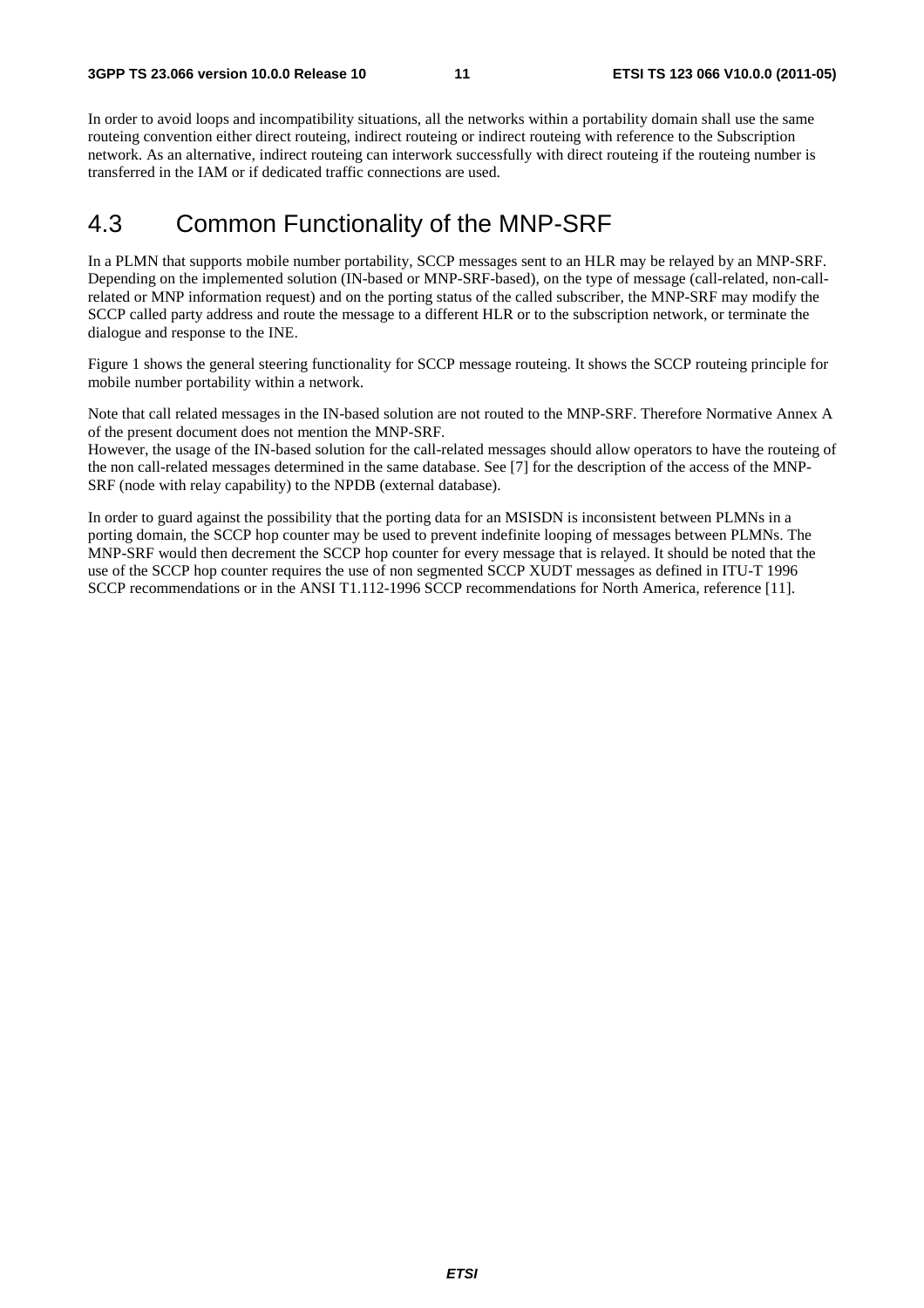In order to avoid loops and incompatibility situations, all the networks within a portability domain shall use the same routeing convention either direct routeing, indirect routeing or indirect routeing with reference to the Subscription network. As an alternative, indirect routeing can interwork successfully with direct routeing if the routeing number is transferred in the IAM or if dedicated traffic connections are used.

#### 4.3 Common Functionality of the MNP-SRF

In a PLMN that supports mobile number portability, SCCP messages sent to an HLR may be relayed by an MNP-SRF. Depending on the implemented solution (IN-based or MNP-SRF-based), on the type of message (call-related, non-callrelated or MNP information request) and on the porting status of the called subscriber, the MNP-SRF may modify the SCCP called party address and route the message to a different HLR or to the subscription network, or terminate the dialogue and response to the INE.

Figure 1 shows the general steering functionality for SCCP message routeing. It shows the SCCP routeing principle for mobile number portability within a network.

Note that call related messages in the IN-based solution are not routed to the MNP-SRF. Therefore Normative Annex A of the present document does not mention the MNP-SRF.

However, the usage of the IN-based solution for the call-related messages should allow operators to have the routeing of the non call-related messages determined in the same database. See [7] for the description of the access of the MNP-SRF (node with relay capability) to the NPDB (external database).

In order to guard against the possibility that the porting data for an MSISDN is inconsistent between PLMNs in a porting domain, the SCCP hop counter may be used to prevent indefinite looping of messages between PLMNs. The MNP-SRF would then decrement the SCCP hop counter for every message that is relayed. It should be noted that the use of the SCCP hop counter requires the use of non segmented SCCP XUDT messages as defined in ITU-T 1996 SCCP recommendations or in the ANSI T1.112-1996 SCCP recommendations for North America, reference [11].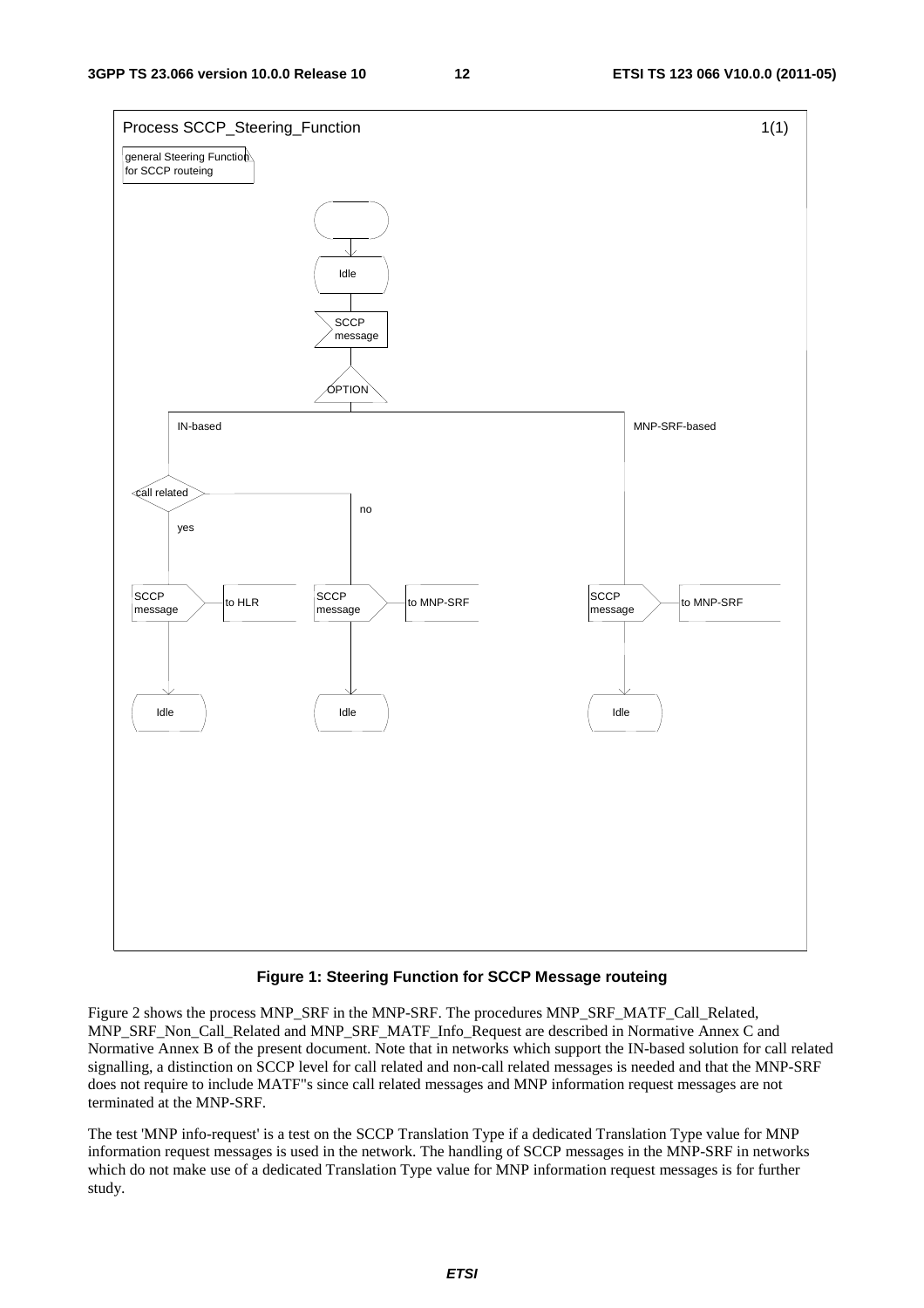

#### **Figure 1: Steering Function for SCCP Message routeing**

Figure 2 shows the process MNP\_SRF in the MNP-SRF. The procedures MNP\_SRF\_MATF\_Call\_Related, MNP\_SRF\_Non\_Call\_Related and MNP\_SRF\_MATF\_Info\_Request are described in Normative Annex C and Normative Annex B of the present document. Note that in networks which support the IN-based solution for call related signalling, a distinction on SCCP level for call related and non-call related messages is needed and that the MNP-SRF does not require to include MATF"s since call related messages and MNP information request messages are not terminated at the MNP-SRF.

The test 'MNP info-request' is a test on the SCCP Translation Type if a dedicated Translation Type value for MNP information request messages is used in the network. The handling of SCCP messages in the MNP-SRF in networks which do not make use of a dedicated Translation Type value for MNP information request messages is for further study.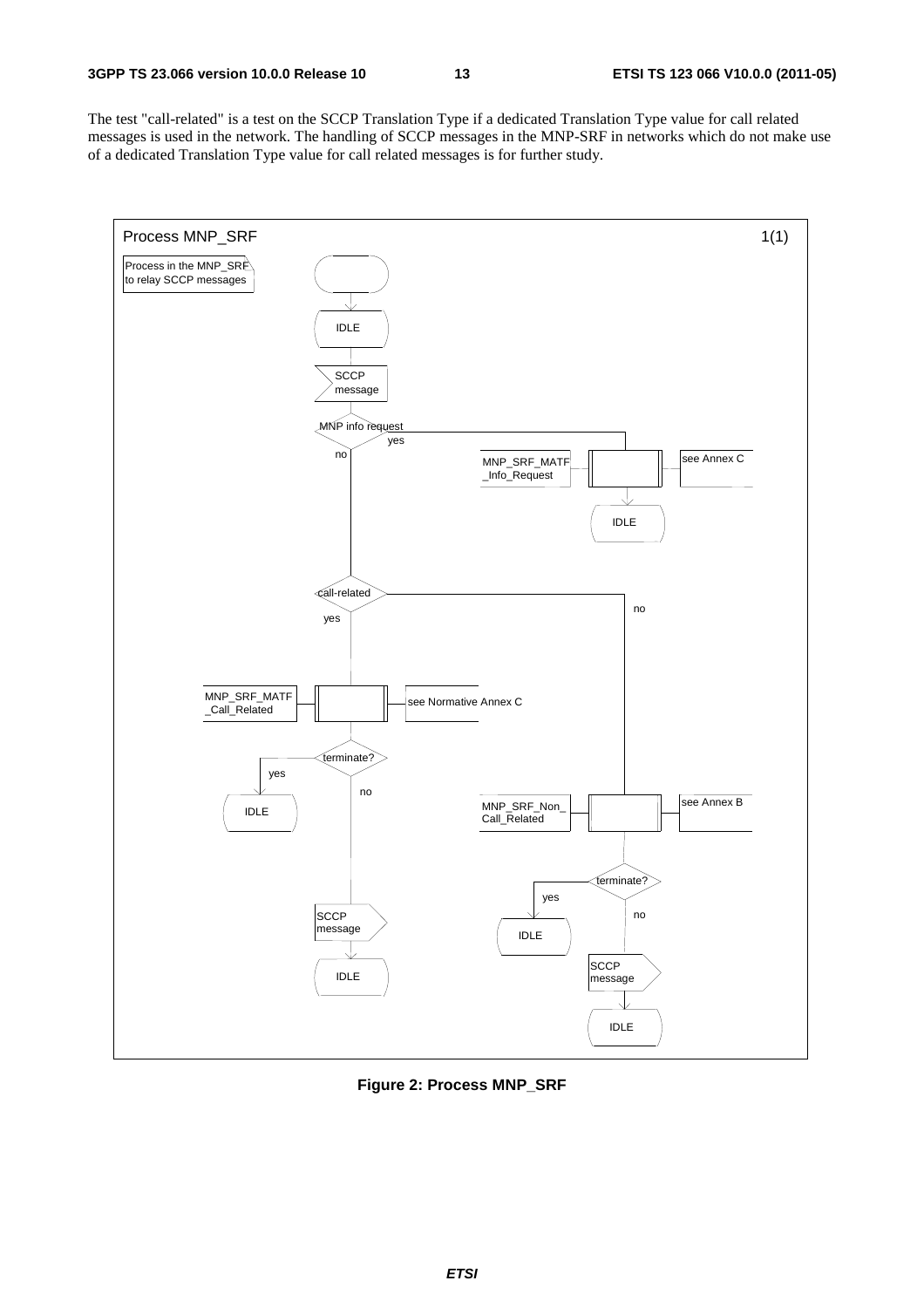The test "call-related" is a test on the SCCP Translation Type if a dedicated Translation Type value for call related messages is used in the network. The handling of SCCP messages in the MNP-SRF in networks which do not make use of a dedicated Translation Type value for call related messages is for further study.



**Figure 2: Process MNP\_SRF**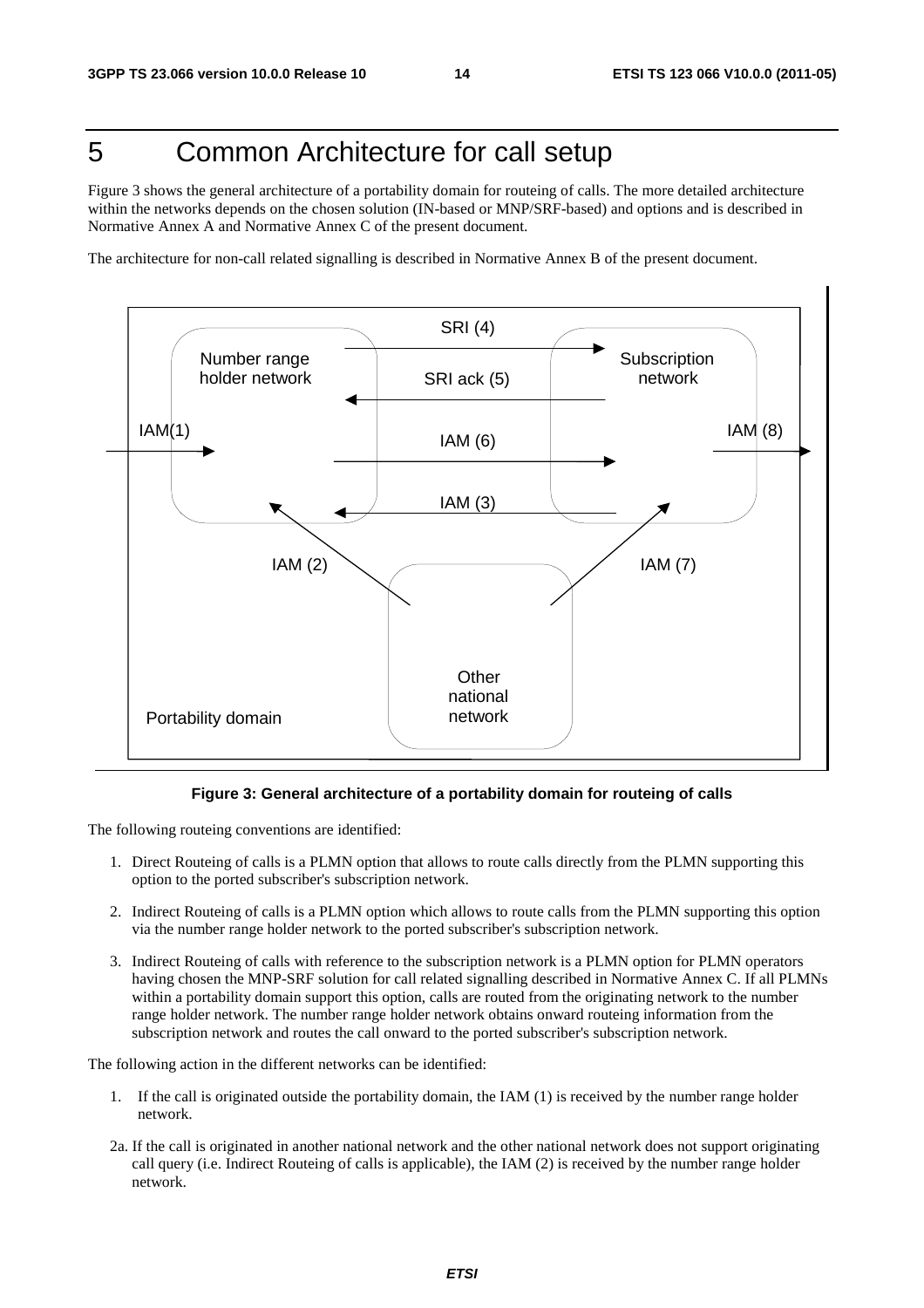### 5 Common Architecture for call setup

Figure 3 shows the general architecture of a portability domain for routeing of calls. The more detailed architecture within the networks depends on the chosen solution (IN-based or MNP/SRF-based) and options and is described in Normative Annex A and Normative Annex C of the present document.

The architecture for non-call related signalling is described in Normative Annex B of the present document.



#### **Figure 3: General architecture of a portability domain for routeing of calls**

The following routeing conventions are identified:

- 1. Direct Routeing of calls is a PLMN option that allows to route calls directly from the PLMN supporting this option to the ported subscriber's subscription network.
- 2. Indirect Routeing of calls is a PLMN option which allows to route calls from the PLMN supporting this option via the number range holder network to the ported subscriber's subscription network.
- 3. Indirect Routeing of calls with reference to the subscription network is a PLMN option for PLMN operators having chosen the MNP-SRF solution for call related signalling described in Normative Annex C. If all PLMNs within a portability domain support this option, calls are routed from the originating network to the number range holder network. The number range holder network obtains onward routeing information from the subscription network and routes the call onward to the ported subscriber's subscription network.

The following action in the different networks can be identified:

- 1. If the call is originated outside the portability domain, the IAM (1) is received by the number range holder network.
- 2a. If the call is originated in another national network and the other national network does not support originating call query (i.e. Indirect Routeing of calls is applicable), the IAM (2) is received by the number range holder network.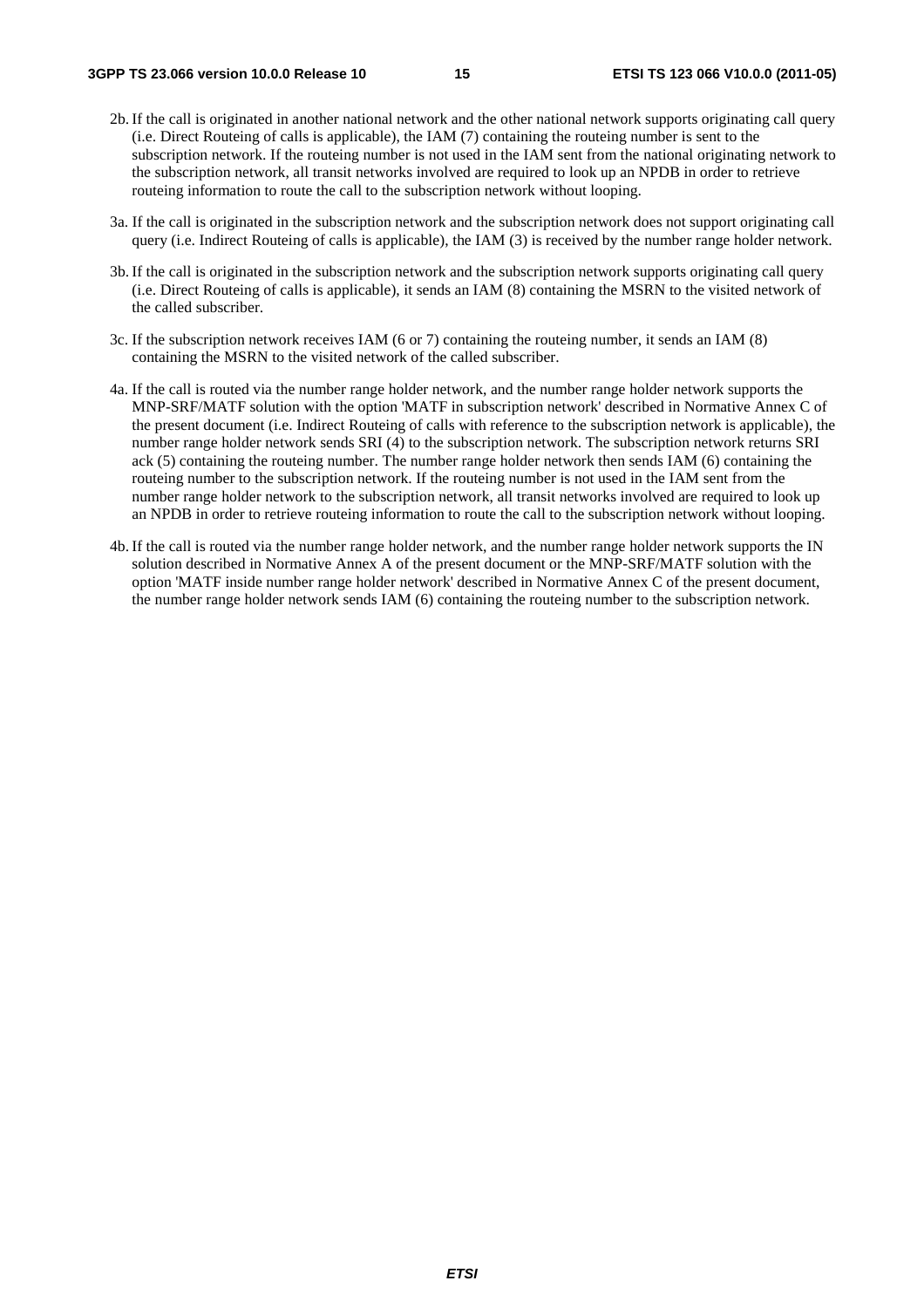- 2b. If the call is originated in another national network and the other national network supports originating call query (i.e. Direct Routeing of calls is applicable), the IAM (7) containing the routeing number is sent to the subscription network. If the routeing number is not used in the IAM sent from the national originating network to the subscription network, all transit networks involved are required to look up an NPDB in order to retrieve routeing information to route the call to the subscription network without looping.
- 3a. If the call is originated in the subscription network and the subscription network does not support originating call query (i.e. Indirect Routeing of calls is applicable), the IAM (3) is received by the number range holder network.
- 3b. If the call is originated in the subscription network and the subscription network supports originating call query (i.e. Direct Routeing of calls is applicable), it sends an IAM (8) containing the MSRN to the visited network of the called subscriber.
- 3c. If the subscription network receives IAM (6 or 7) containing the routeing number, it sends an IAM (8) containing the MSRN to the visited network of the called subscriber.
- 4a. If the call is routed via the number range holder network, and the number range holder network supports the MNP-SRF/MATF solution with the option 'MATF in subscription network' described in Normative Annex C of the present document (i.e. Indirect Routeing of calls with reference to the subscription network is applicable), the number range holder network sends SRI (4) to the subscription network. The subscription network returns SRI ack (5) containing the routeing number. The number range holder network then sends IAM (6) containing the routeing number to the subscription network. If the routeing number is not used in the IAM sent from the number range holder network to the subscription network, all transit networks involved are required to look up an NPDB in order to retrieve routeing information to route the call to the subscription network without looping.
- 4b. If the call is routed via the number range holder network, and the number range holder network supports the IN solution described in Normative Annex A of the present document or the MNP-SRF/MATF solution with the option 'MATF inside number range holder network' described in Normative Annex C of the present document, the number range holder network sends IAM (6) containing the routeing number to the subscription network.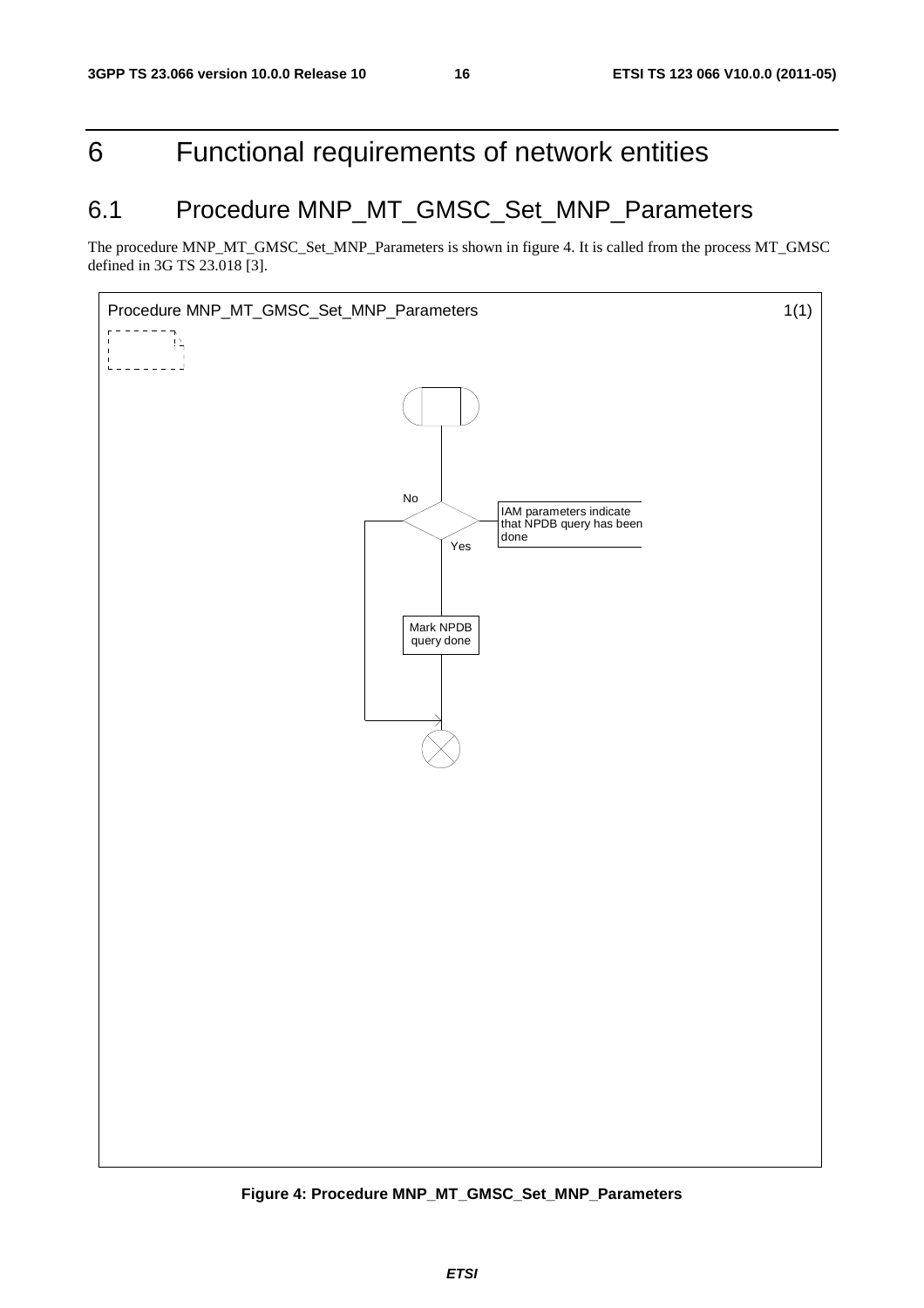### 6 Functional requirements of network entities

### 6.1 Procedure MNP\_MT\_GMSC\_Set\_MNP\_Parameters

The procedure MNP\_MT\_GMSC\_Set\_MNP\_Parameters is shown in figure 4. It is called from the process MT\_GMSC defined in 3G TS 23.018 [3].



**Figure 4: Procedure MNP\_MT\_GMSC\_Set\_MNP\_Parameters**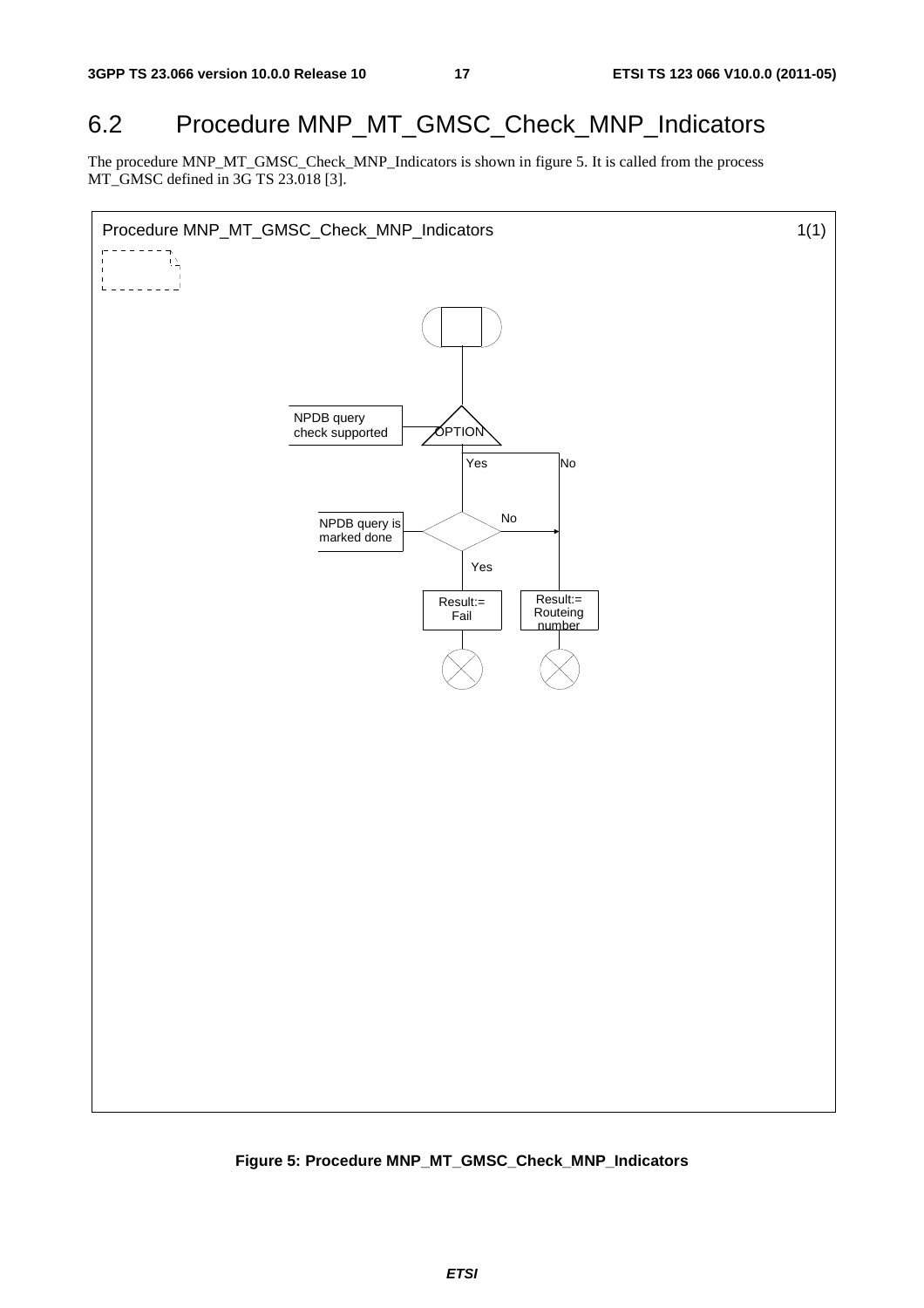### 6.2 Procedure MNP\_MT\_GMSC\_Check\_MNP\_Indicators

The procedure MNP\_MT\_GMSC\_Check\_MNP\_Indicators is shown in figure 5. It is called from the process MT\_GMSC defined in 3G TS 23.018 [3].



**Figure 5: Procedure MNP\_MT\_GMSC\_Check\_MNP\_Indicators**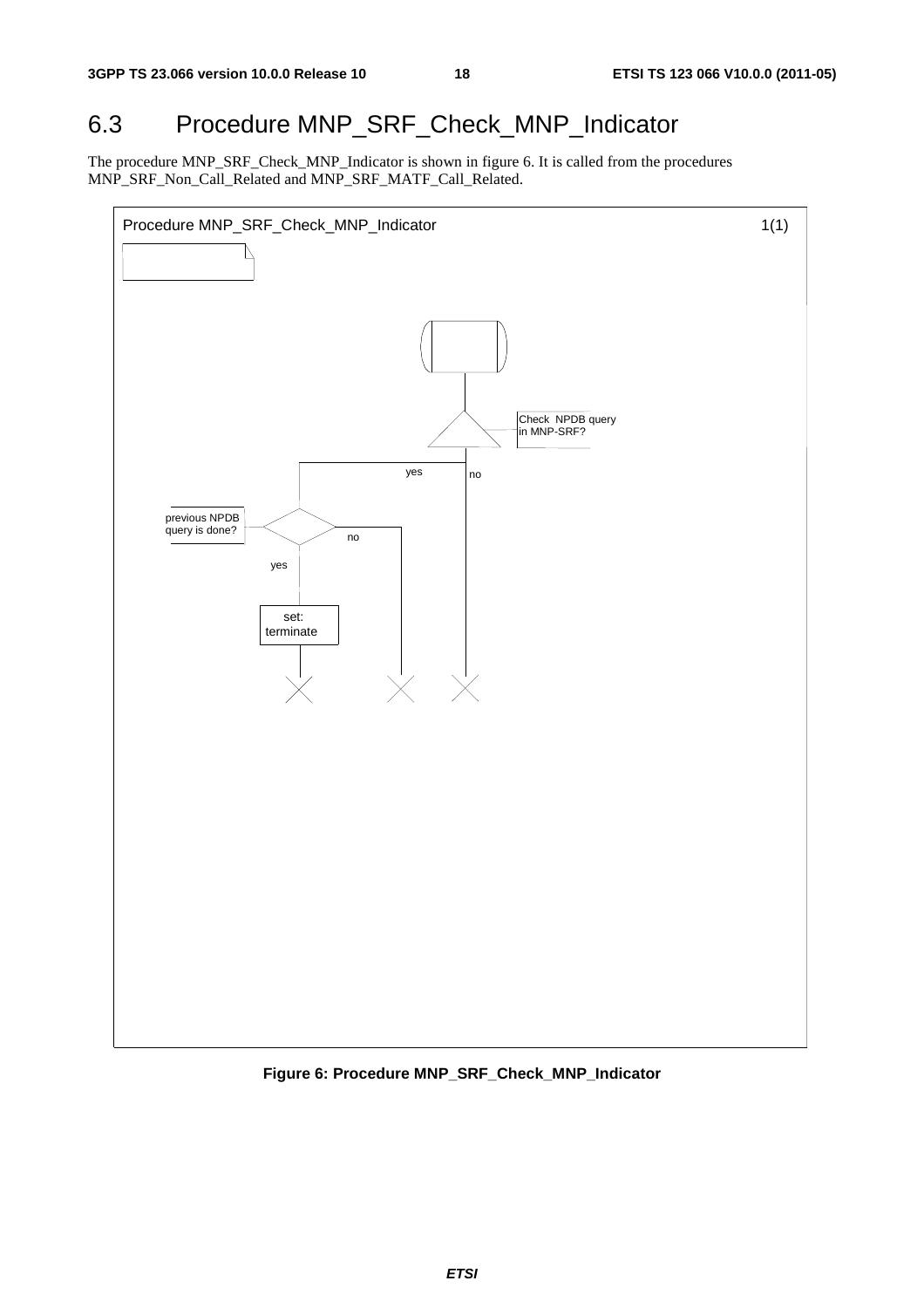### 6.3 Procedure MNP\_SRF\_Check\_MNP\_Indicator

The procedure MNP\_SRF\_Check\_MNP\_Indicator is shown in figure 6. It is called from the procedures MNP\_SRF\_Non\_Call\_Related and MNP\_SRF\_MATF\_Call\_Related.



**Figure 6: Procedure MNP\_SRF\_Check\_MNP\_Indicator**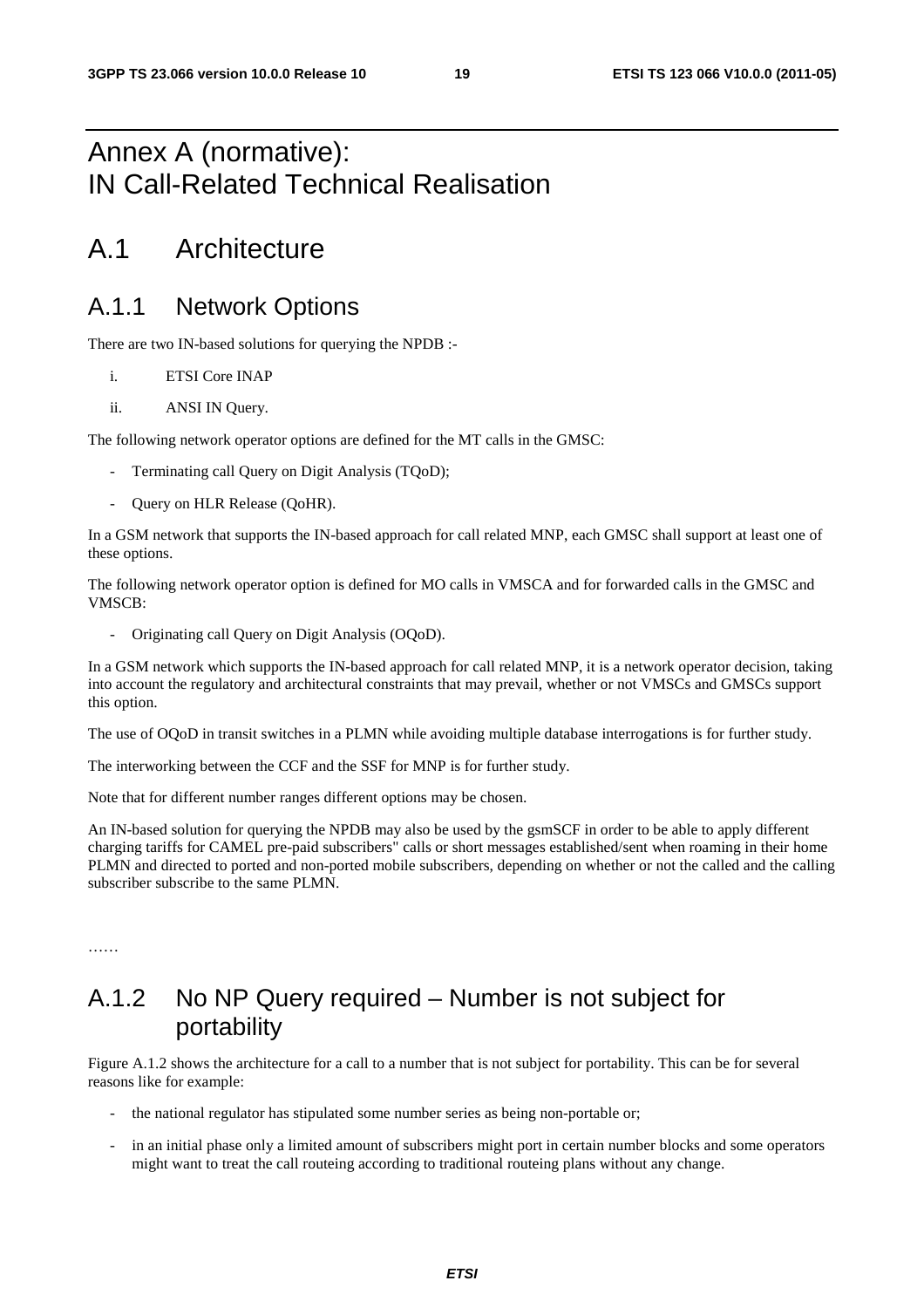### Annex A (normative): IN Call-Related Technical Realisation

### A.1 Architecture

#### A.1.1 Network Options

There are two IN-based solutions for querying the NPDB :-

- i. ETSI Core INAP
- ii. ANSI IN Query.

The following network operator options are defined for the MT calls in the GMSC:

- Terminating call Query on Digit Analysis (TQoD);
- Query on HLR Release (QoHR).

In a GSM network that supports the IN-based approach for call related MNP, each GMSC shall support at least one of these options.

The following network operator option is defined for MO calls in VMSCA and for forwarded calls in the GMSC and VMSCB:

- Originating call Query on Digit Analysis (OQoD).

In a GSM network which supports the IN-based approach for call related MNP, it is a network operator decision, taking into account the regulatory and architectural constraints that may prevail, whether or not VMSCs and GMSCs support this option.

The use of OQoD in transit switches in a PLMN while avoiding multiple database interrogations is for further study.

The interworking between the CCF and the SSF for MNP is for further study.

Note that for different number ranges different options may be chosen.

An IN-based solution for querying the NPDB may also be used by the gsmSCF in order to be able to apply different charging tariffs for CAMEL pre-paid subscribers" calls or short messages established/sent when roaming in their home PLMN and directed to ported and non-ported mobile subscribers, depending on whether or not the called and the calling subscriber subscribe to the same PLMN.

### A.1.2 No NP Query required – Number is not subject for portability

Figure A.1.2 shows the architecture for a call to a number that is not subject for portability. This can be for several reasons like for example:

- the national regulator has stipulated some number series as being non-portable or;
- in an initial phase only a limited amount of subscribers might port in certain number blocks and some operators might want to treat the call routeing according to traditional routeing plans without any change.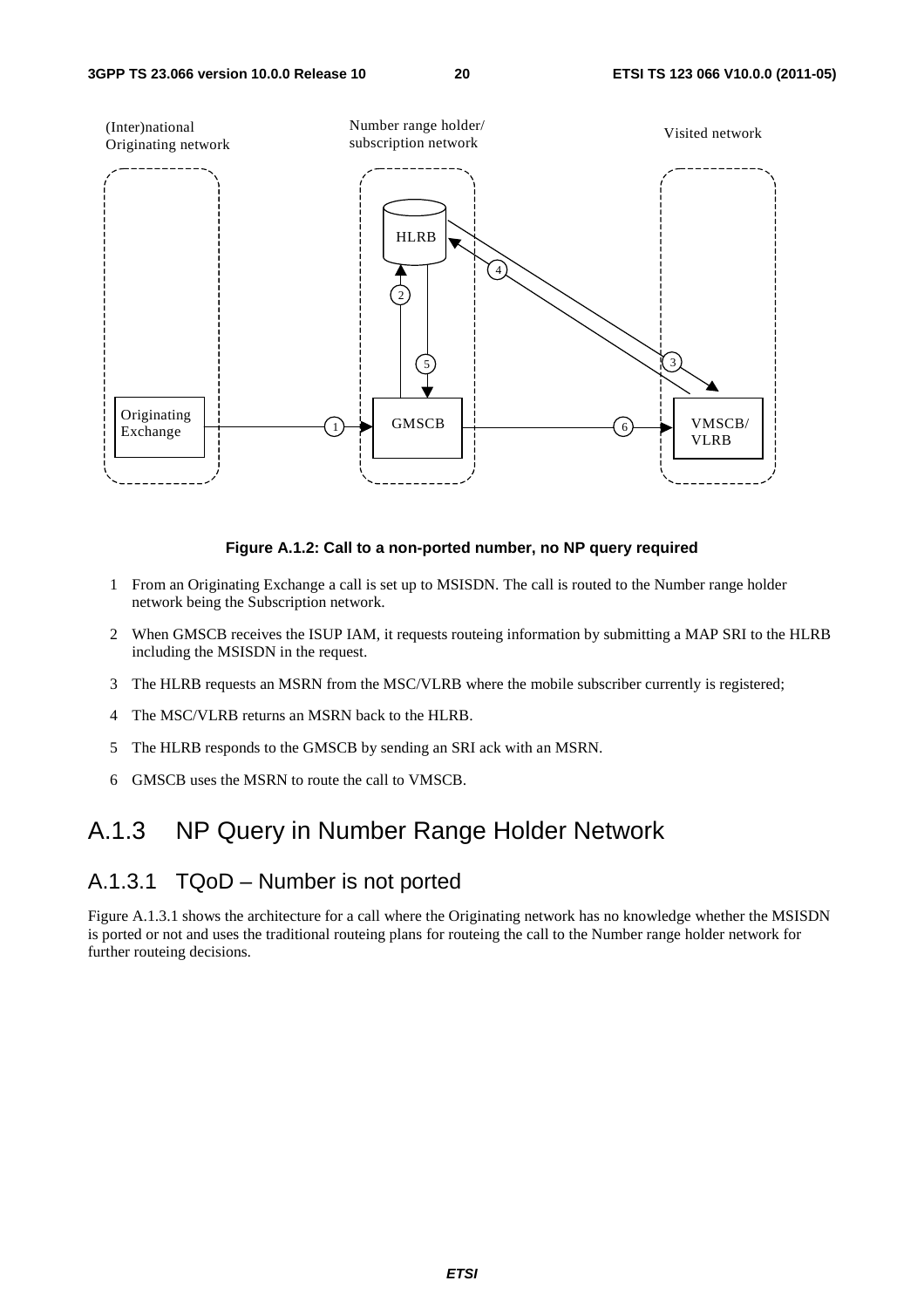

#### **Figure A.1.2: Call to a non-ported number, no NP query required**

- 1 From an Originating Exchange a call is set up to MSISDN. The call is routed to the Number range holder network being the Subscription network.
- 2 When GMSCB receives the ISUP IAM, it requests routeing information by submitting a MAP SRI to the HLRB including the MSISDN in the request.
- 3 The HLRB requests an MSRN from the MSC/VLRB where the mobile subscriber currently is registered;
- 4 The MSC/VLRB returns an MSRN back to the HLRB.
- 5 The HLRB responds to the GMSCB by sending an SRI ack with an MSRN.
- 6 GMSCB uses the MSRN to route the call to VMSCB.

#### A.1.3 NP Query in Number Range Holder Network

#### A.1.3.1 TQoD – Number is not ported

Figure A.1.3.1 shows the architecture for a call where the Originating network has no knowledge whether the MSISDN is ported or not and uses the traditional routeing plans for routeing the call to the Number range holder network for further routeing decisions.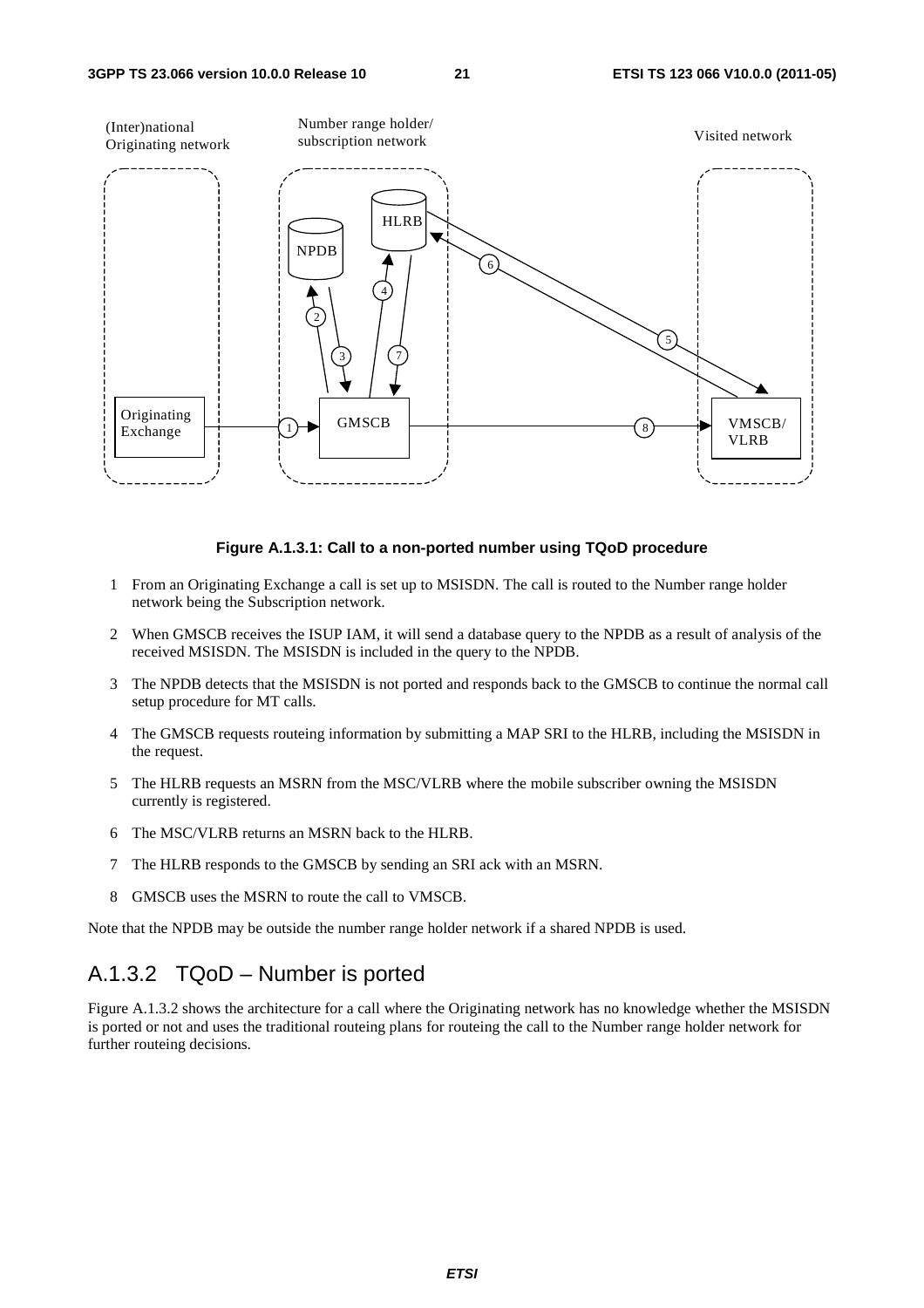

#### **Figure A.1.3.1: Call to a non-ported number using TQoD procedure**

- 1 From an Originating Exchange a call is set up to MSISDN. The call is routed to the Number range holder network being the Subscription network.
- 2 When GMSCB receives the ISUP IAM, it will send a database query to the NPDB as a result of analysis of the received MSISDN. The MSISDN is included in the query to the NPDB.
- 3 The NPDB detects that the MSISDN is not ported and responds back to the GMSCB to continue the normal call setup procedure for MT calls.
- 4 The GMSCB requests routeing information by submitting a MAP SRI to the HLRB, including the MSISDN in the request.
- 5 The HLRB requests an MSRN from the MSC/VLRB where the mobile subscriber owning the MSISDN currently is registered.
- 6 The MSC/VLRB returns an MSRN back to the HLRB.
- 7 The HLRB responds to the GMSCB by sending an SRI ack with an MSRN.
- 8 GMSCB uses the MSRN to route the call to VMSCB.

Note that the NPDB may be outside the number range holder network if a shared NPDB is used.

#### A.1.3.2 TQoD – Number is ported

Figure A.1.3.2 shows the architecture for a call where the Originating network has no knowledge whether the MSISDN is ported or not and uses the traditional routeing plans for routeing the call to the Number range holder network for further routeing decisions.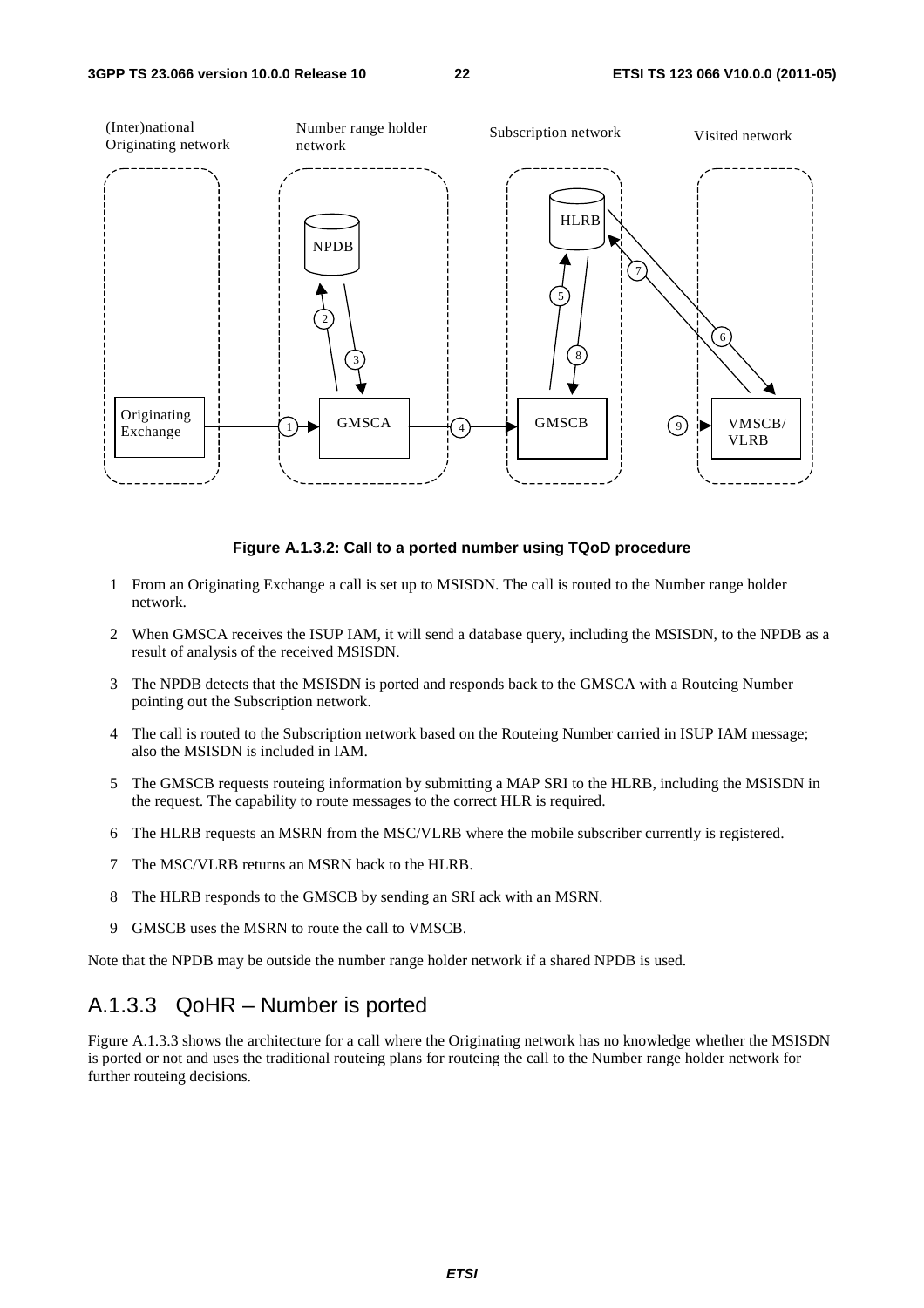

#### **Figure A.1.3.2: Call to a ported number using TQoD procedure**

- 1 From an Originating Exchange a call is set up to MSISDN. The call is routed to the Number range holder network.
- 2 When GMSCA receives the ISUP IAM, it will send a database query, including the MSISDN, to the NPDB as a result of analysis of the received MSISDN.
- 3 The NPDB detects that the MSISDN is ported and responds back to the GMSCA with a Routeing Number pointing out the Subscription network.
- 4 The call is routed to the Subscription network based on the Routeing Number carried in ISUP IAM message; also the MSISDN is included in IAM.
- 5 The GMSCB requests routeing information by submitting a MAP SRI to the HLRB, including the MSISDN in the request. The capability to route messages to the correct HLR is required.
- 6 The HLRB requests an MSRN from the MSC/VLRB where the mobile subscriber currently is registered.
- 7 The MSC/VLRB returns an MSRN back to the HLRB.
- 8 The HLRB responds to the GMSCB by sending an SRI ack with an MSRN.
- 9 GMSCB uses the MSRN to route the call to VMSCB.

Note that the NPDB may be outside the number range holder network if a shared NPDB is used.

#### A.1.3.3 QoHR – Number is ported

Figure A.1.3.3 shows the architecture for a call where the Originating network has no knowledge whether the MSISDN is ported or not and uses the traditional routeing plans for routeing the call to the Number range holder network for further routeing decisions.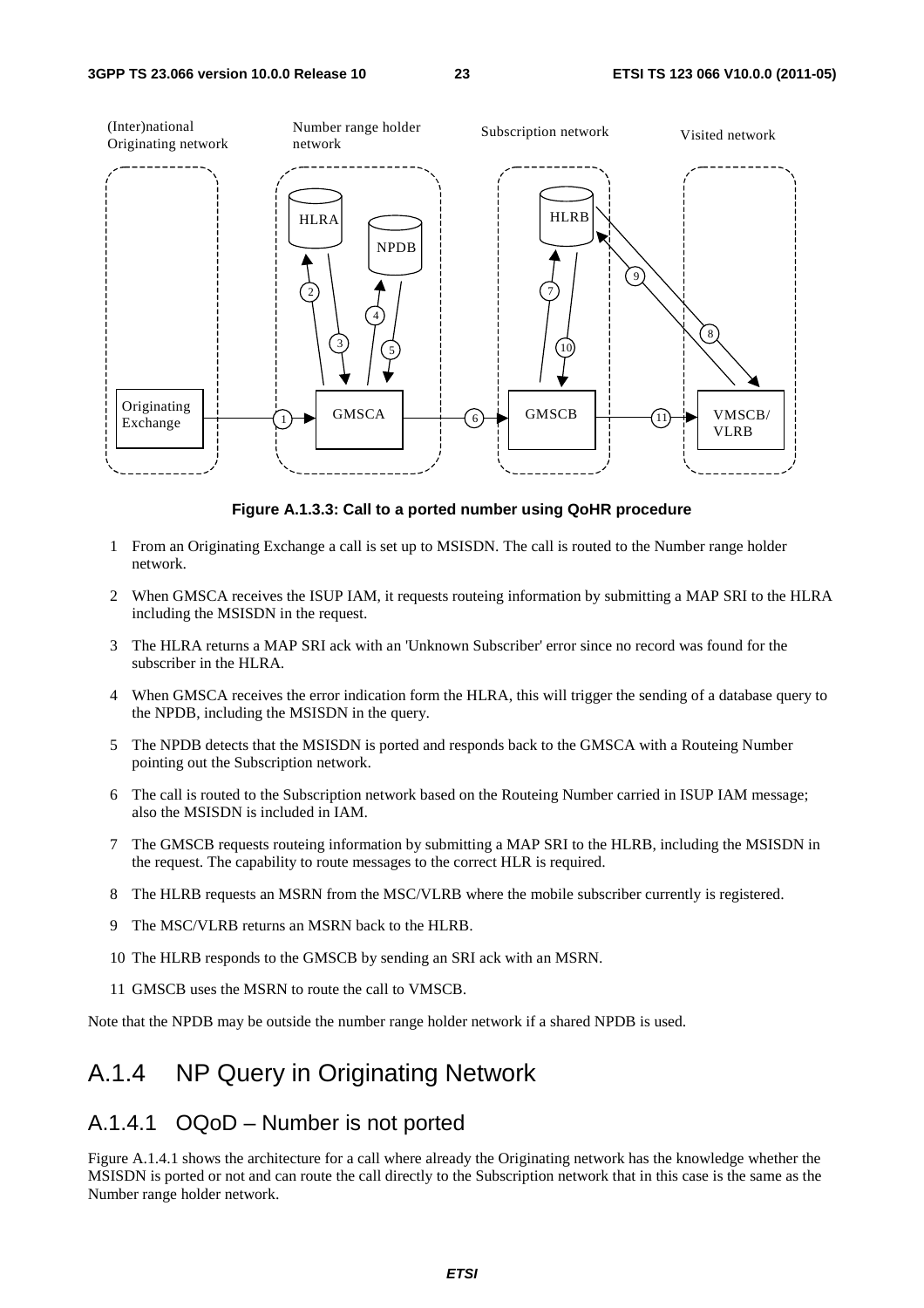

**Figure A.1.3.3: Call to a ported number using QoHR procedure** 

- 1 From an Originating Exchange a call is set up to MSISDN. The call is routed to the Number range holder network.
- 2 When GMSCA receives the ISUP IAM, it requests routeing information by submitting a MAP SRI to the HLRA including the MSISDN in the request.
- 3 The HLRA returns a MAP SRI ack with an 'Unknown Subscriber' error since no record was found for the subscriber in the HLRA.
- 4 When GMSCA receives the error indication form the HLRA, this will trigger the sending of a database query to the NPDB, including the MSISDN in the query.
- 5 The NPDB detects that the MSISDN is ported and responds back to the GMSCA with a Routeing Number pointing out the Subscription network.
- 6 The call is routed to the Subscription network based on the Routeing Number carried in ISUP IAM message; also the MSISDN is included in IAM.
- 7 The GMSCB requests routeing information by submitting a MAP SRI to the HLRB, including the MSISDN in the request. The capability to route messages to the correct HLR is required.
- 8 The HLRB requests an MSRN from the MSC/VLRB where the mobile subscriber currently is registered.
- 9 The MSC/VLRB returns an MSRN back to the HLRB.
- 10 The HLRB responds to the GMSCB by sending an SRI ack with an MSRN.
- 11 GMSCB uses the MSRN to route the call to VMSCB.

Note that the NPDB may be outside the number range holder network if a shared NPDB is used.

#### A.1.4 NP Query in Originating Network

#### A.1.4.1 OQoD – Number is not ported

Figure A.1.4.1 shows the architecture for a call where already the Originating network has the knowledge whether the MSISDN is ported or not and can route the call directly to the Subscription network that in this case is the same as the Number range holder network.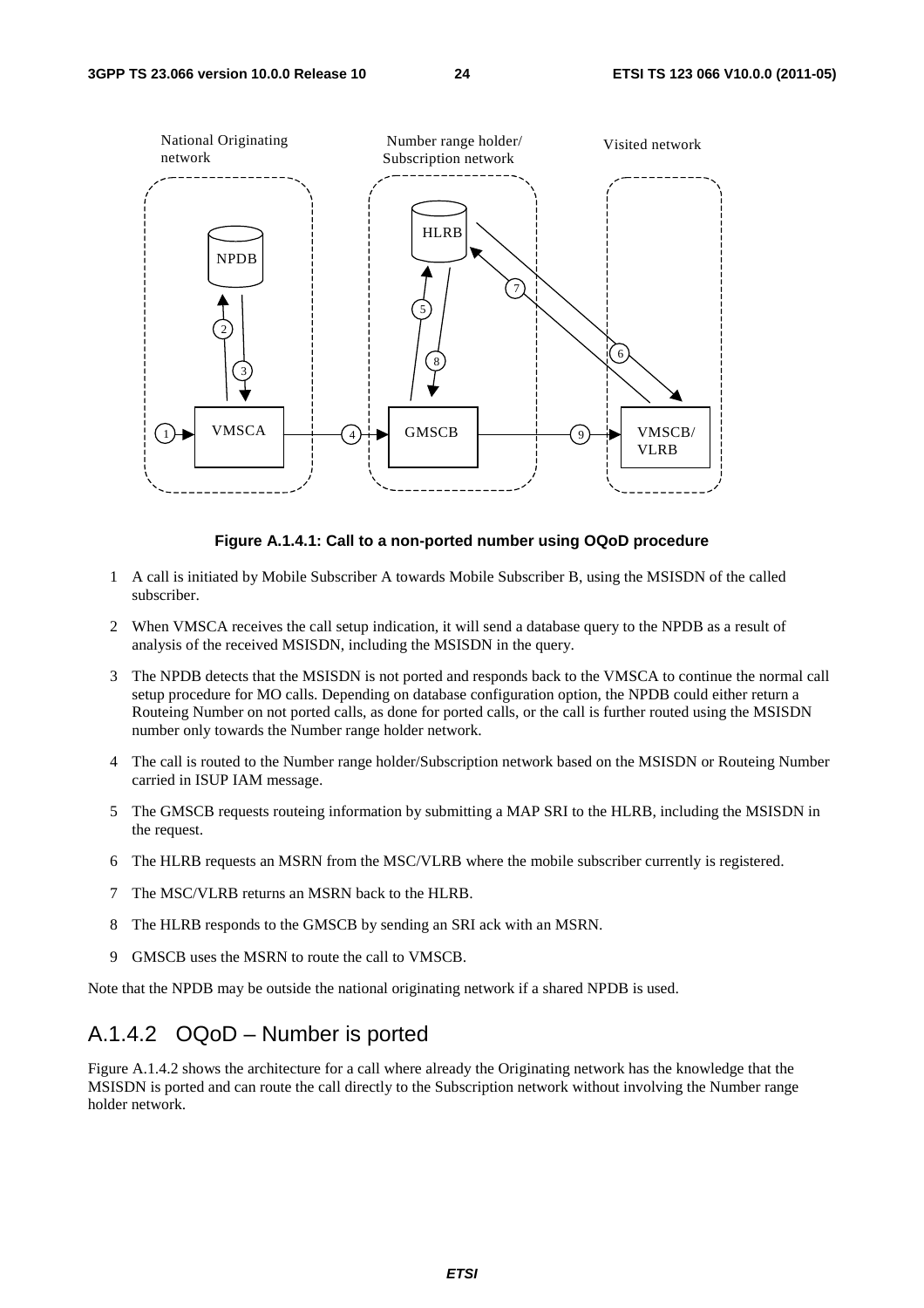

#### **Figure A.1.4.1: Call to a non-ported number using OQoD procedure**

- 1 A call is initiated by Mobile Subscriber A towards Mobile Subscriber B, using the MSISDN of the called subscriber.
- 2 When VMSCA receives the call setup indication, it will send a database query to the NPDB as a result of analysis of the received MSISDN, including the MSISDN in the query.
- 3 The NPDB detects that the MSISDN is not ported and responds back to the VMSCA to continue the normal call setup procedure for MO calls. Depending on database configuration option, the NPDB could either return a Routeing Number on not ported calls, as done for ported calls, or the call is further routed using the MSISDN number only towards the Number range holder network.
- 4 The call is routed to the Number range holder/Subscription network based on the MSISDN or Routeing Number carried in ISUP IAM message.
- 5 The GMSCB requests routeing information by submitting a MAP SRI to the HLRB, including the MSISDN in the request.
- 6 The HLRB requests an MSRN from the MSC/VLRB where the mobile subscriber currently is registered.
- 7 The MSC/VLRB returns an MSRN back to the HLRB.
- 8 The HLRB responds to the GMSCB by sending an SRI ack with an MSRN.
- 9 GMSCB uses the MSRN to route the call to VMSCB.

Note that the NPDB may be outside the national originating network if a shared NPDB is used.

#### A.1.4.2 OQoD – Number is ported

Figure A.1.4.2 shows the architecture for a call where already the Originating network has the knowledge that the MSISDN is ported and can route the call directly to the Subscription network without involving the Number range holder network.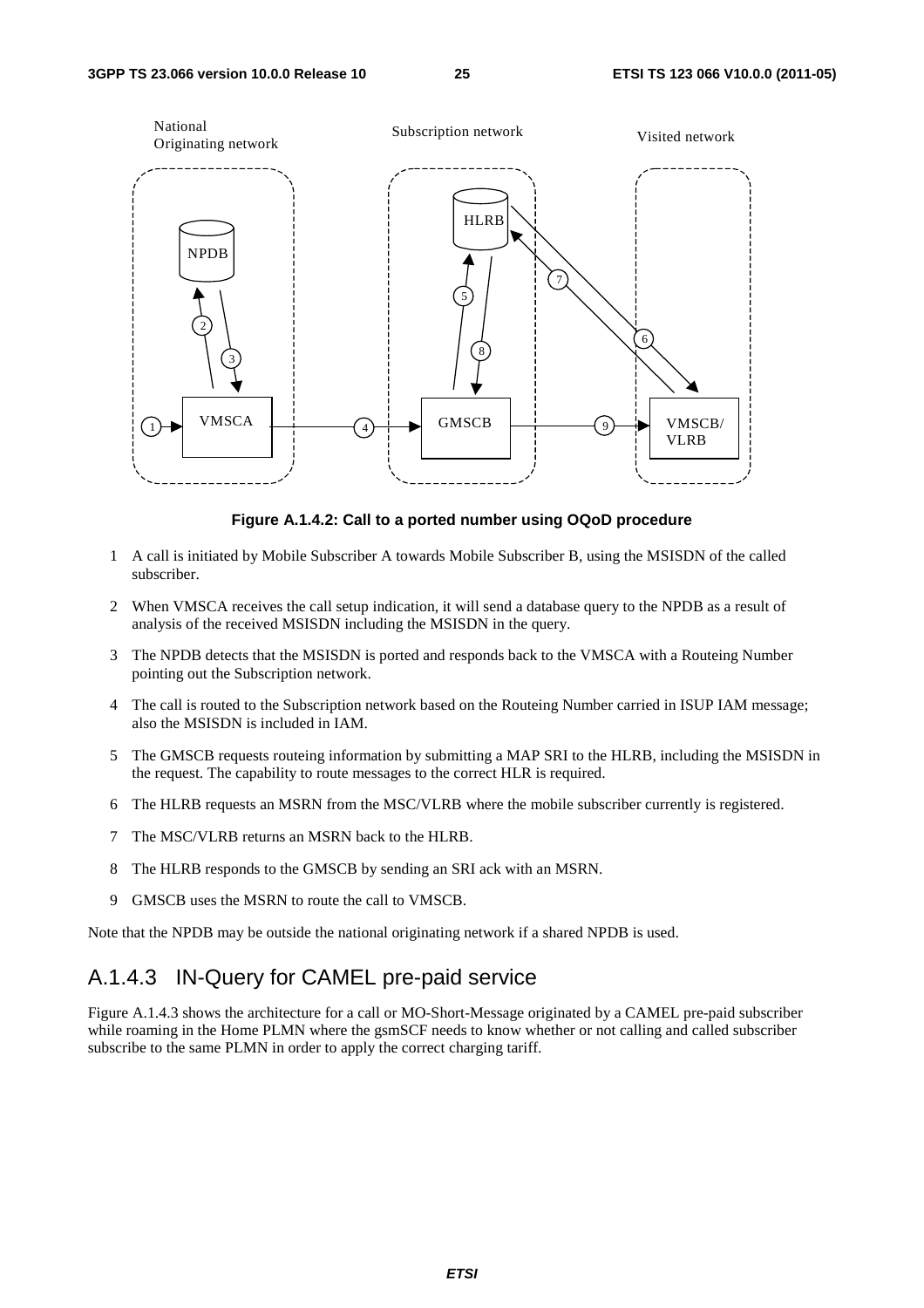![](_page_25_Figure_3.jpeg)

**Figure A.1.4.2: Call to a ported number using OQoD procedure** 

- 1 A call is initiated by Mobile Subscriber A towards Mobile Subscriber B, using the MSISDN of the called subscriber.
- 2 When VMSCA receives the call setup indication, it will send a database query to the NPDB as a result of analysis of the received MSISDN including the MSISDN in the query.
- 3 The NPDB detects that the MSISDN is ported and responds back to the VMSCA with a Routeing Number pointing out the Subscription network.
- 4 The call is routed to the Subscription network based on the Routeing Number carried in ISUP IAM message; also the MSISDN is included in IAM.
- 5 The GMSCB requests routeing information by submitting a MAP SRI to the HLRB, including the MSISDN in the request. The capability to route messages to the correct HLR is required.
- 6 The HLRB requests an MSRN from the MSC/VLRB where the mobile subscriber currently is registered.
- 7 The MSC/VLRB returns an MSRN back to the HLRB.
- 8 The HLRB responds to the GMSCB by sending an SRI ack with an MSRN.
- 9 GMSCB uses the MSRN to route the call to VMSCB.

Note that the NPDB may be outside the national originating network if a shared NPDB is used.

#### A.1.4.3 IN-Query for CAMEL pre-paid service

Figure A.1.4.3 shows the architecture for a call or MO-Short-Message originated by a CAMEL pre-paid subscriber while roaming in the Home PLMN where the gsmSCF needs to know whether or not calling and called subscriber subscribe to the same PLMN in order to apply the correct charging tariff.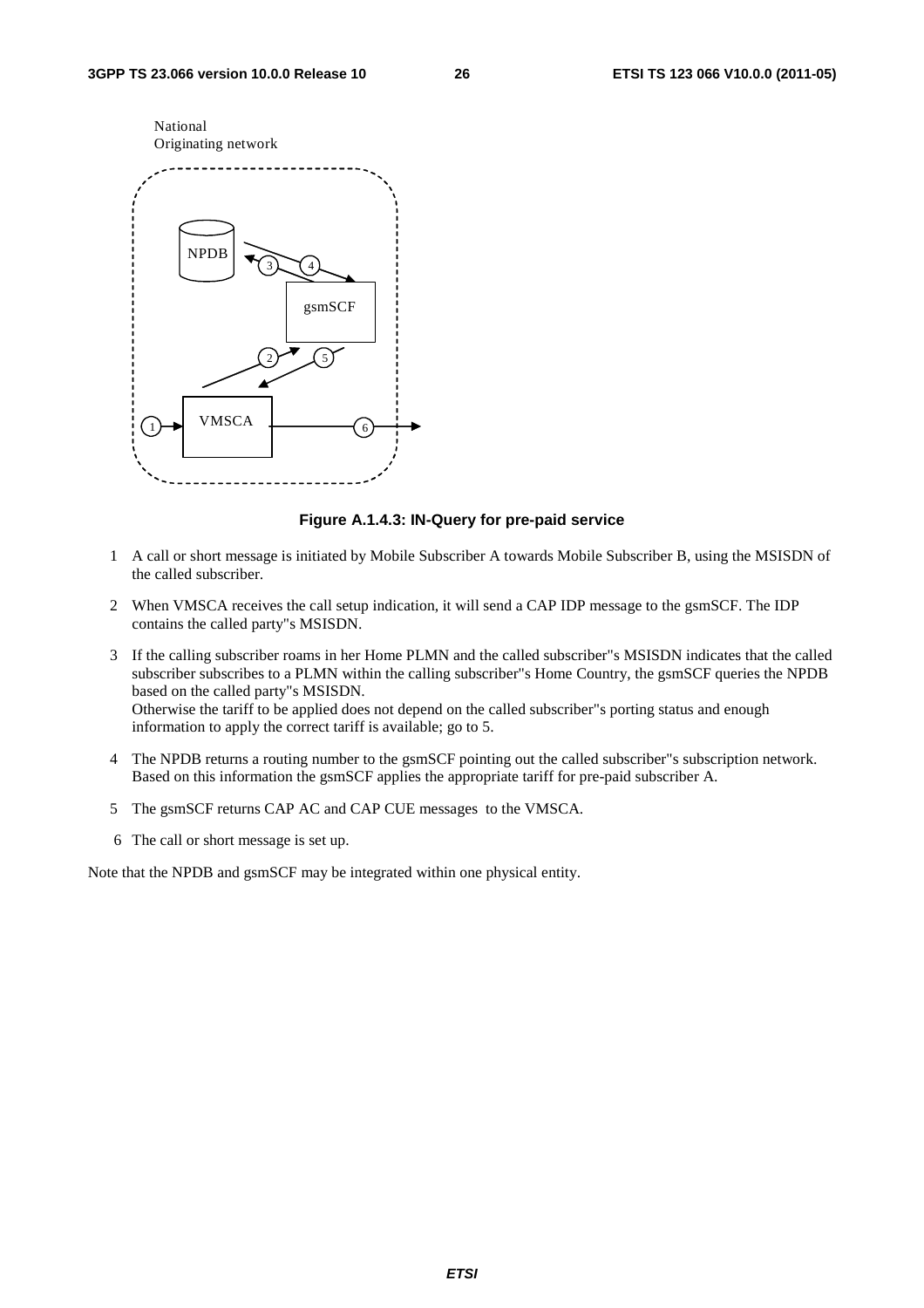![](_page_26_Figure_3.jpeg)

#### **Figure A.1.4.3: IN-Query for pre-paid service**

- 1 A call or short message is initiated by Mobile Subscriber A towards Mobile Subscriber B, using the MSISDN of the called subscriber.
- 2 When VMSCA receives the call setup indication, it will send a CAP IDP message to the gsmSCF. The IDP contains the called party"s MSISDN.
- 3 If the calling subscriber roams in her Home PLMN and the called subscriber"s MSISDN indicates that the called subscriber subscribes to a PLMN within the calling subscriber"s Home Country, the gsmSCF queries the NPDB based on the called party"s MSISDN. Otherwise the tariff to be applied does not depend on the called subscriber"s porting status and enough information to apply the correct tariff is available; go to 5.
- 4 The NPDB returns a routing number to the gsmSCF pointing out the called subscriber"s subscription network. Based on this information the gsmSCF applies the appropriate tariff for pre-paid subscriber A.
- 5 The gsmSCF returns CAP AC and CAP CUE messages to the VMSCA.
- 6 The call or short message is set up.

Note that the NPDB and gsmSCF may be integrated within one physical entity.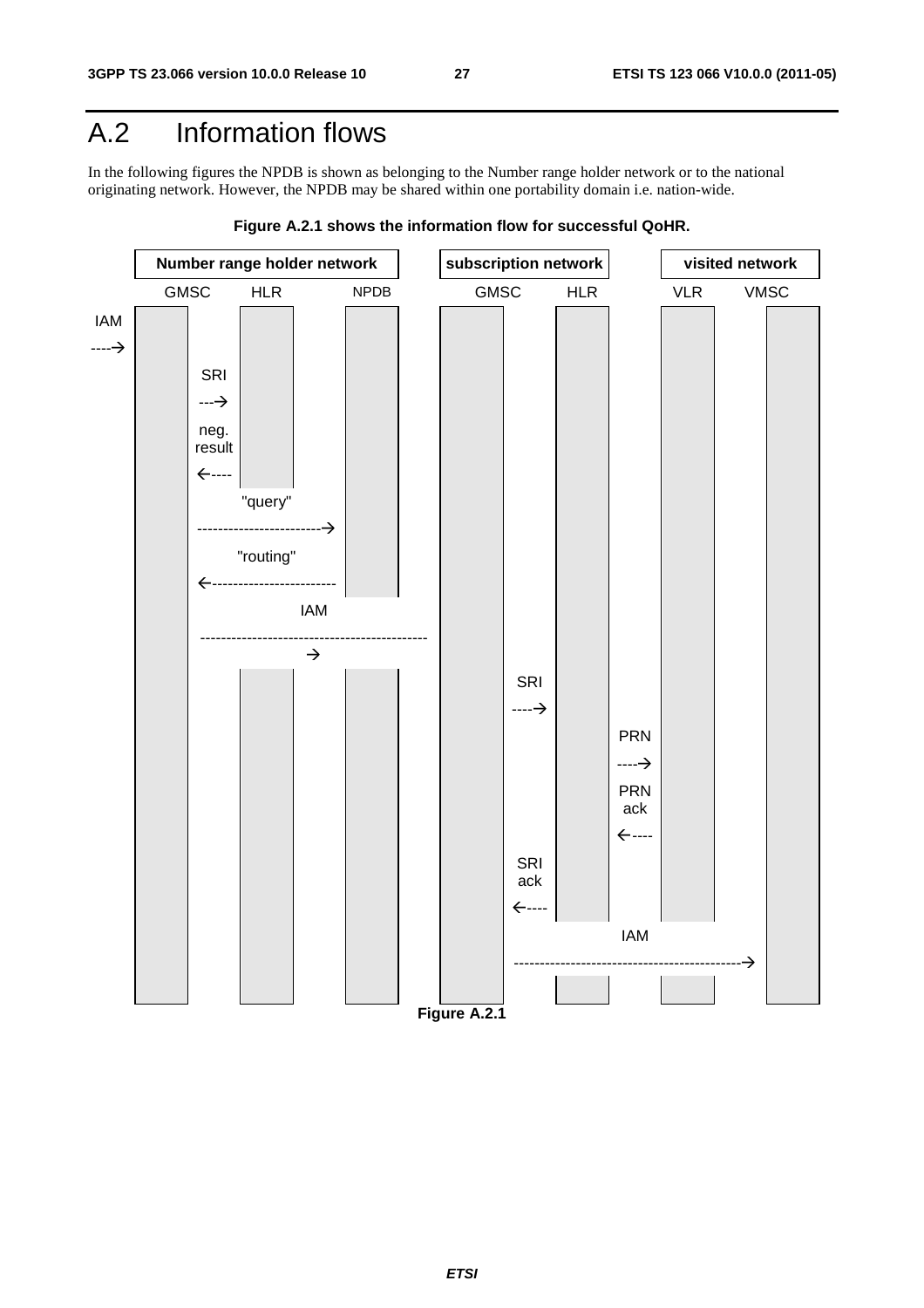### A.2 Information flows

In the following figures the NPDB is shown as belonging to the Number range holder network or to the national originating network. However, the NPDB may be shared within one portability domain i.e. nation-wide.

![](_page_27_Figure_5.jpeg)

![](_page_27_Figure_6.jpeg)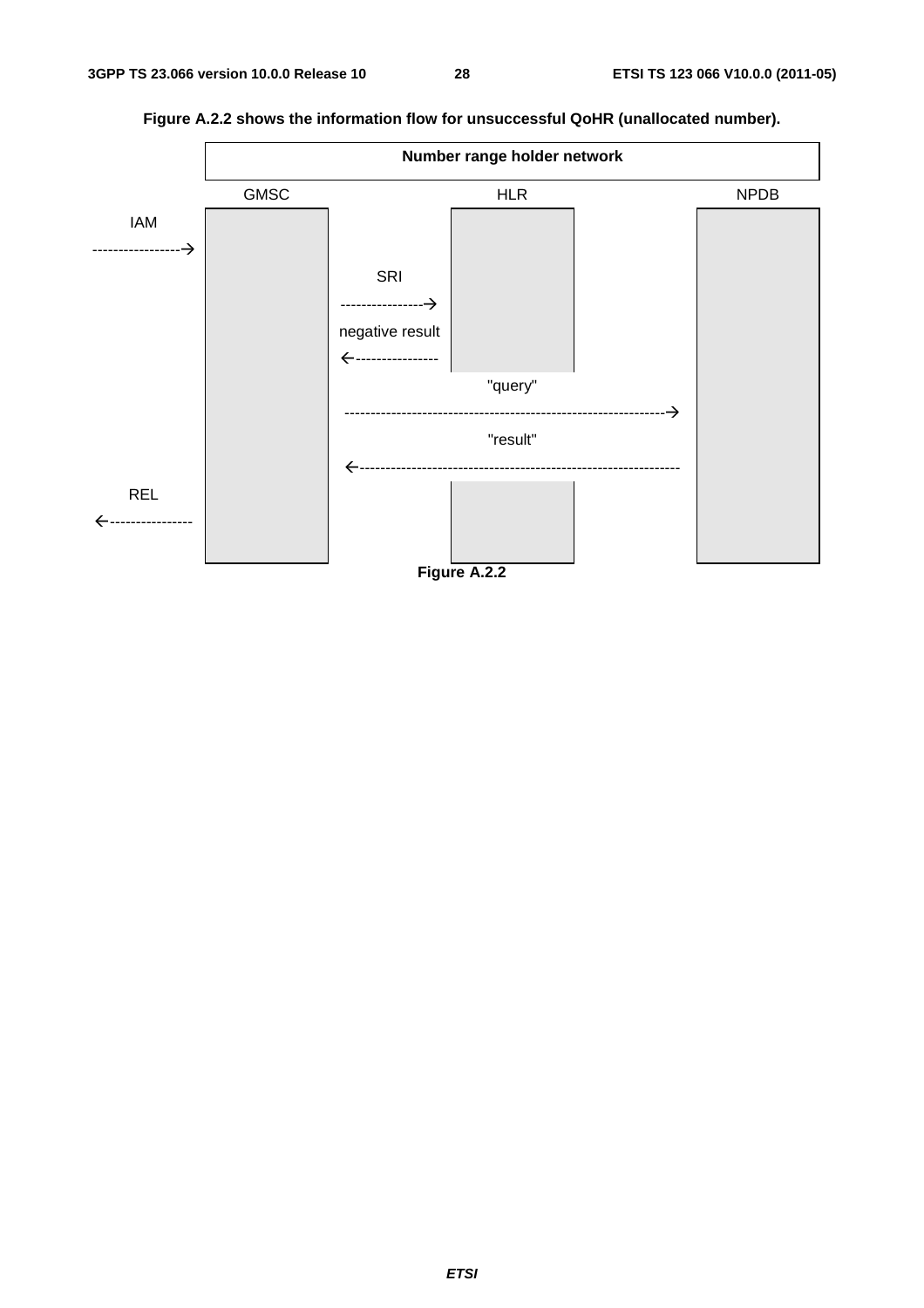![](_page_28_Figure_3.jpeg)

**Figure A.2.2 shows the information flow for unsuccessful QoHR (unallocated number).**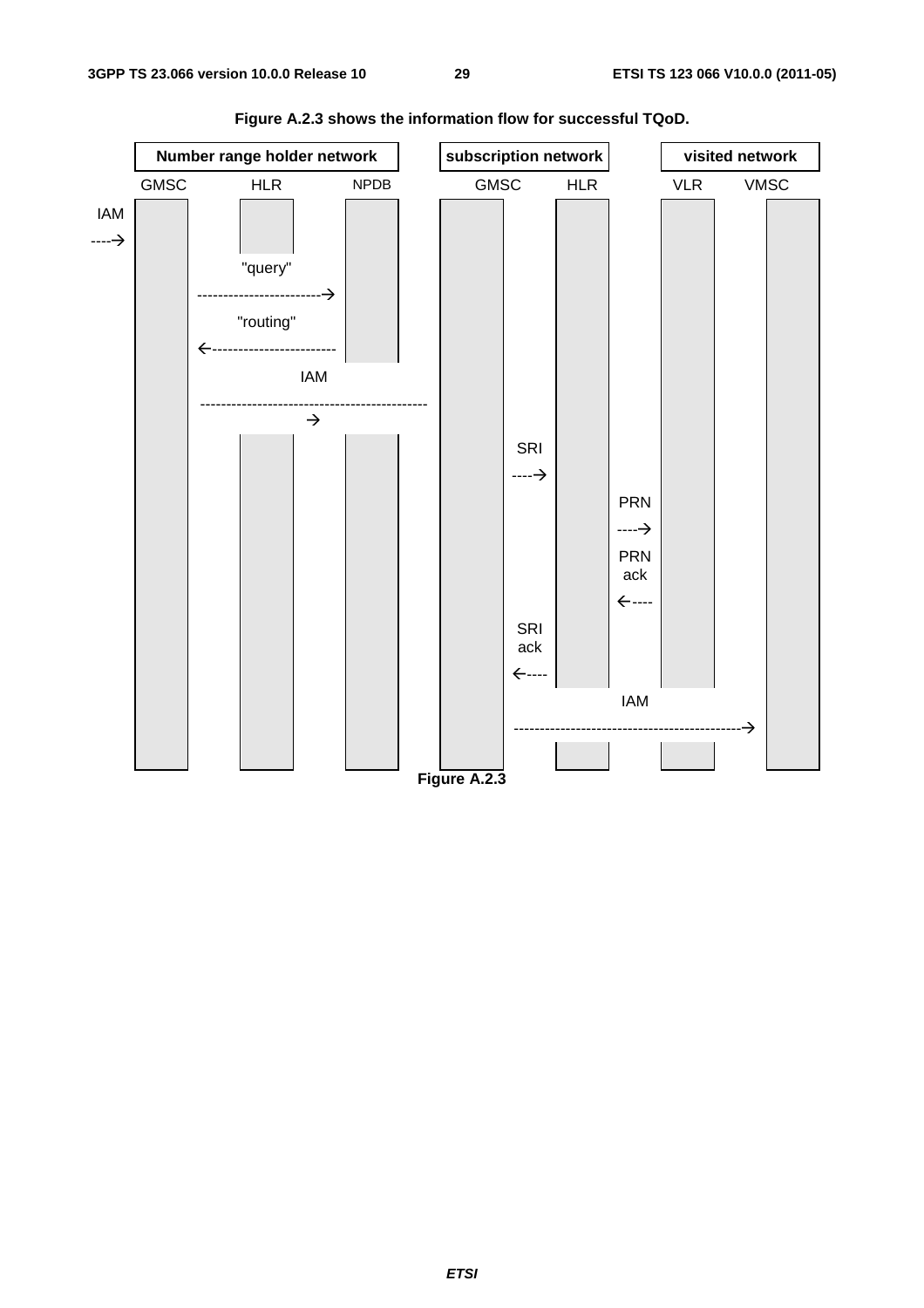![](_page_29_Figure_3.jpeg)

**Figure A.2.3 shows the information flow for successful TQoD.**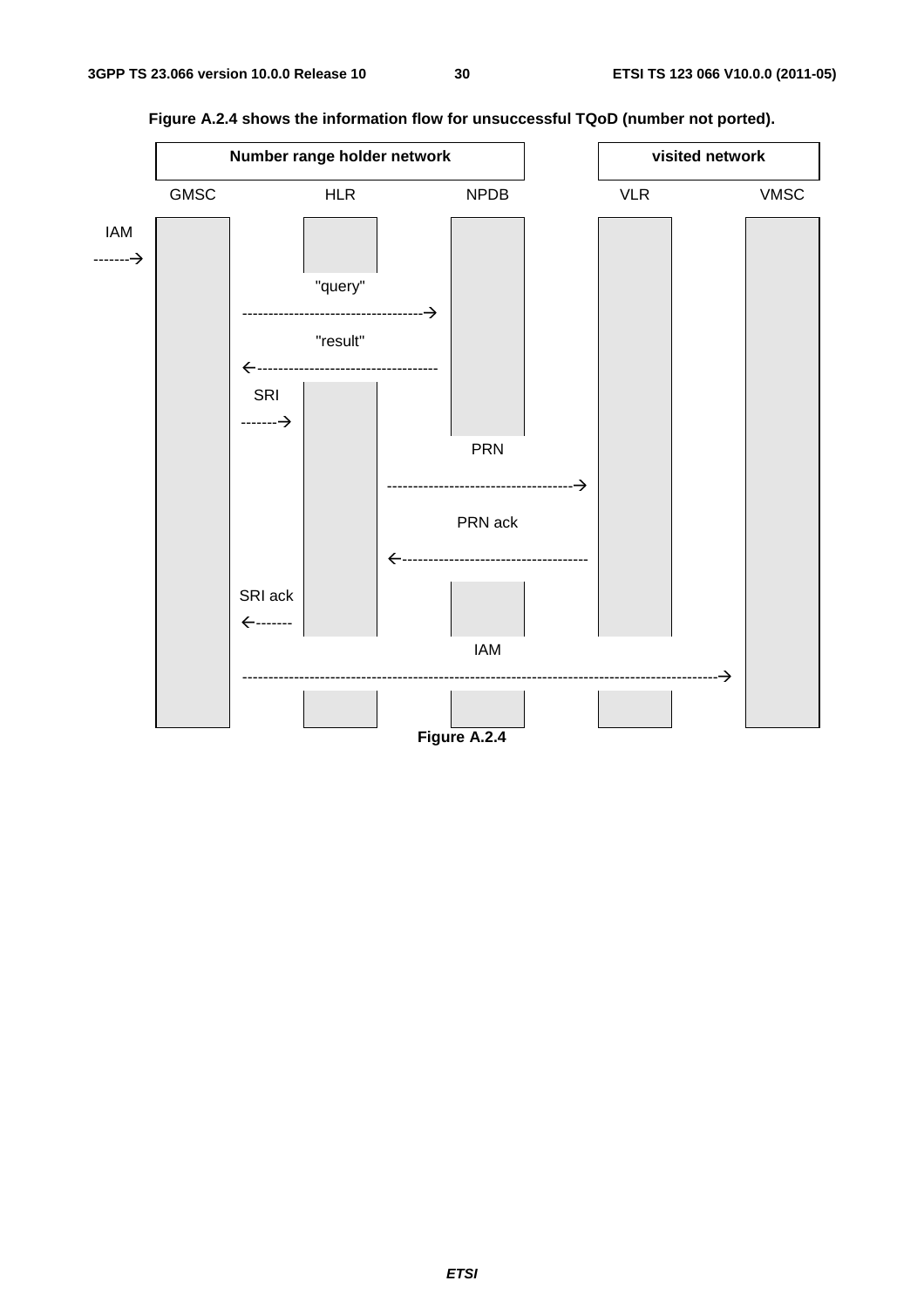![](_page_30_Figure_3.jpeg)

**Figure A.2.4 shows the information flow for unsuccessful TQoD (number not ported).**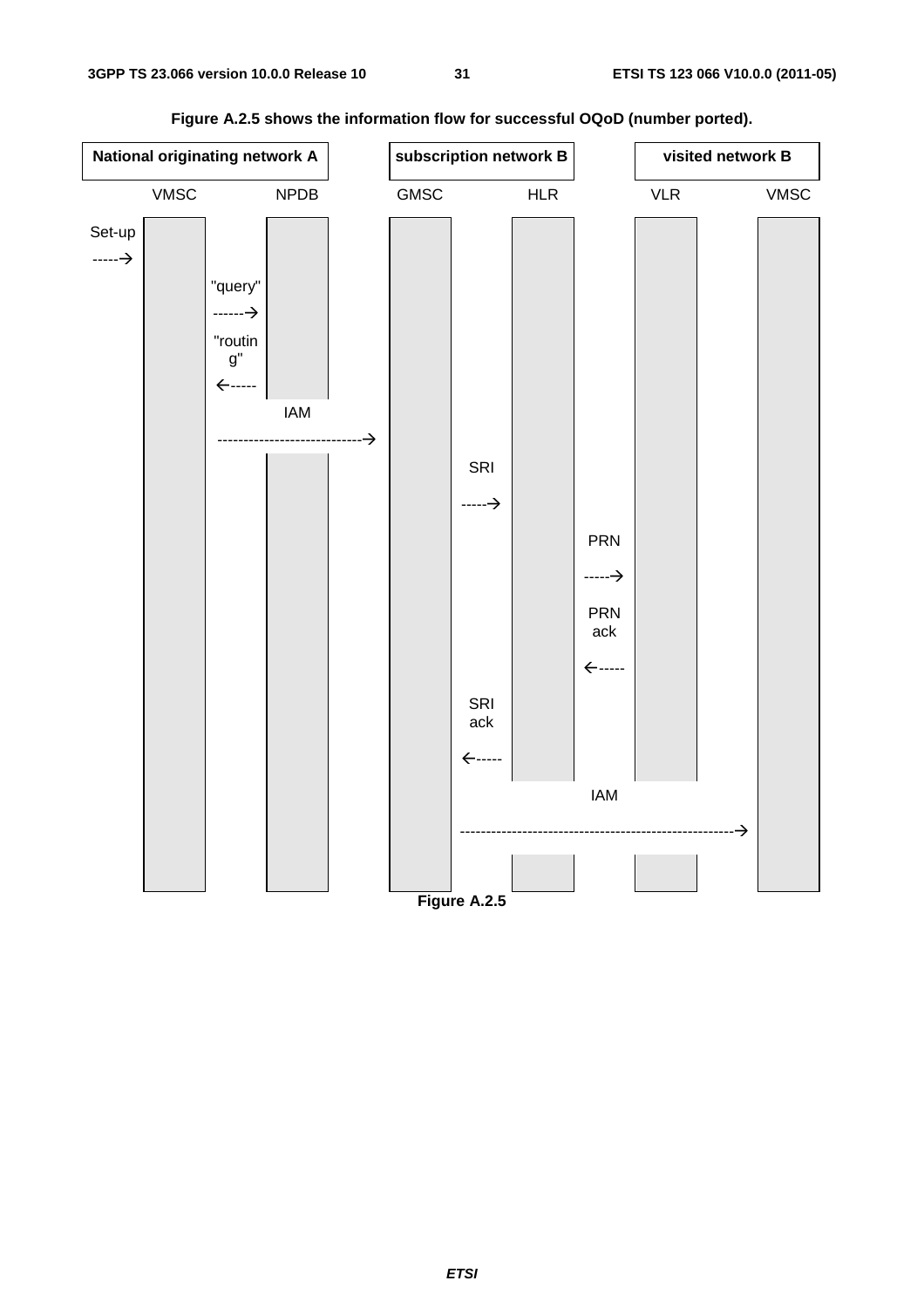| National originating network A |             |                                    | subscription network B |  |      |                   | visited network B |                    |                             |               |             |
|--------------------------------|-------------|------------------------------------|------------------------|--|------|-------------------|-------------------|--------------------|-----------------------------|---------------|-------------|
|                                | <b>VMSC</b> |                                    | NPDB                   |  | GMSC |                   | ${\sf HLR}$       |                    | $\ensuremath{\mathsf{VLR}}$ |               | <b>VMSC</b> |
| Set-up                         |             |                                    |                        |  |      |                   |                   |                    |                             |               |             |
| $\longrightarrow$              |             |                                    |                        |  |      |                   |                   |                    |                             |               |             |
|                                |             | "query"<br>$\overline{\phantom{}}$ |                        |  |      |                   |                   |                    |                             |               |             |
|                                |             | "routin                            |                        |  |      |                   |                   |                    |                             |               |             |
|                                |             | $\mathsf{g}"$                      |                        |  |      |                   |                   |                    |                             |               |             |
|                                |             | $\leftarrow$ -----                 |                        |  |      |                   |                   |                    |                             |               |             |
|                                |             |                                    | <b>IAM</b>             |  |      |                   |                   |                    |                             |               |             |
|                                |             |                                    |                        |  |      | SRI               |                   |                    |                             |               |             |
|                                |             |                                    |                        |  |      | $\longrightarrow$ |                   |                    |                             |               |             |
|                                |             |                                    |                        |  |      |                   |                   | <b>PRN</b>         |                             |               |             |
|                                |             |                                    |                        |  |      |                   |                   |                    |                             |               |             |
|                                |             |                                    |                        |  |      |                   |                   | $\longrightarrow$  |                             |               |             |
|                                |             |                                    |                        |  |      |                   |                   | <b>PRN</b><br>ack  |                             |               |             |
|                                |             |                                    |                        |  |      |                   |                   | $\leftarrow$ ----- |                             |               |             |
|                                |             |                                    |                        |  |      | SRI               |                   |                    |                             |               |             |
|                                |             |                                    |                        |  |      | ack               |                   |                    |                             |               |             |
|                                |             |                                    |                        |  |      | ←-----            |                   |                    |                             |               |             |
|                                |             |                                    |                        |  |      |                   |                   | <b>IAM</b>         |                             |               |             |
|                                |             |                                    |                        |  |      |                   |                   |                    | .                           | $\rightarrow$ |             |
|                                |             |                                    |                        |  |      |                   |                   |                    |                             |               |             |
|                                |             |                                    |                        |  |      | Figure A.2.5      |                   |                    |                             |               |             |

**Figure A.2.5 shows the information flow for successful OQoD (number ported).**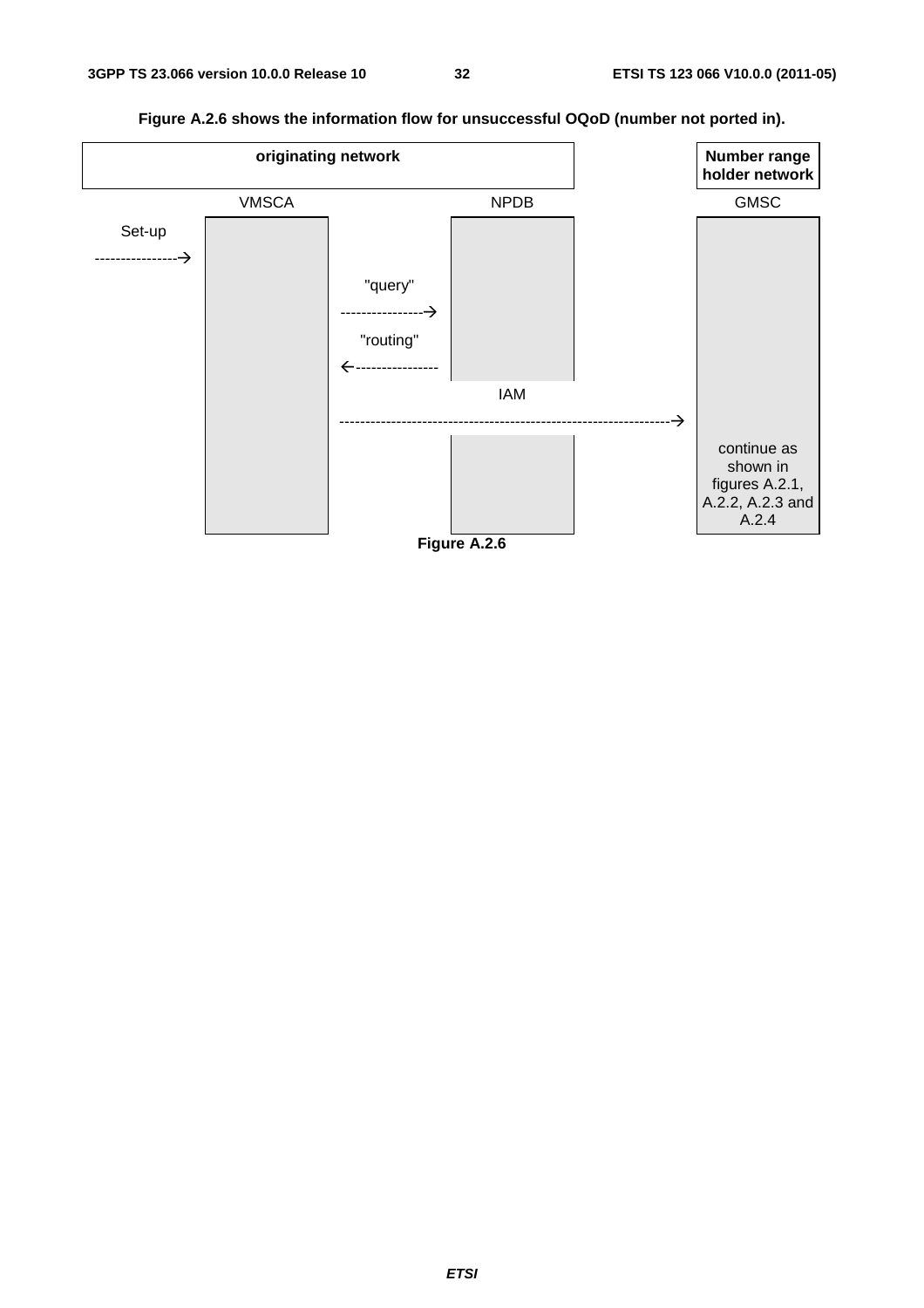![](_page_32_Figure_2.jpeg)

**Figure A.2.6 shows the information flow for unsuccessful OQoD (number not ported in).** 

![](_page_32_Figure_4.jpeg)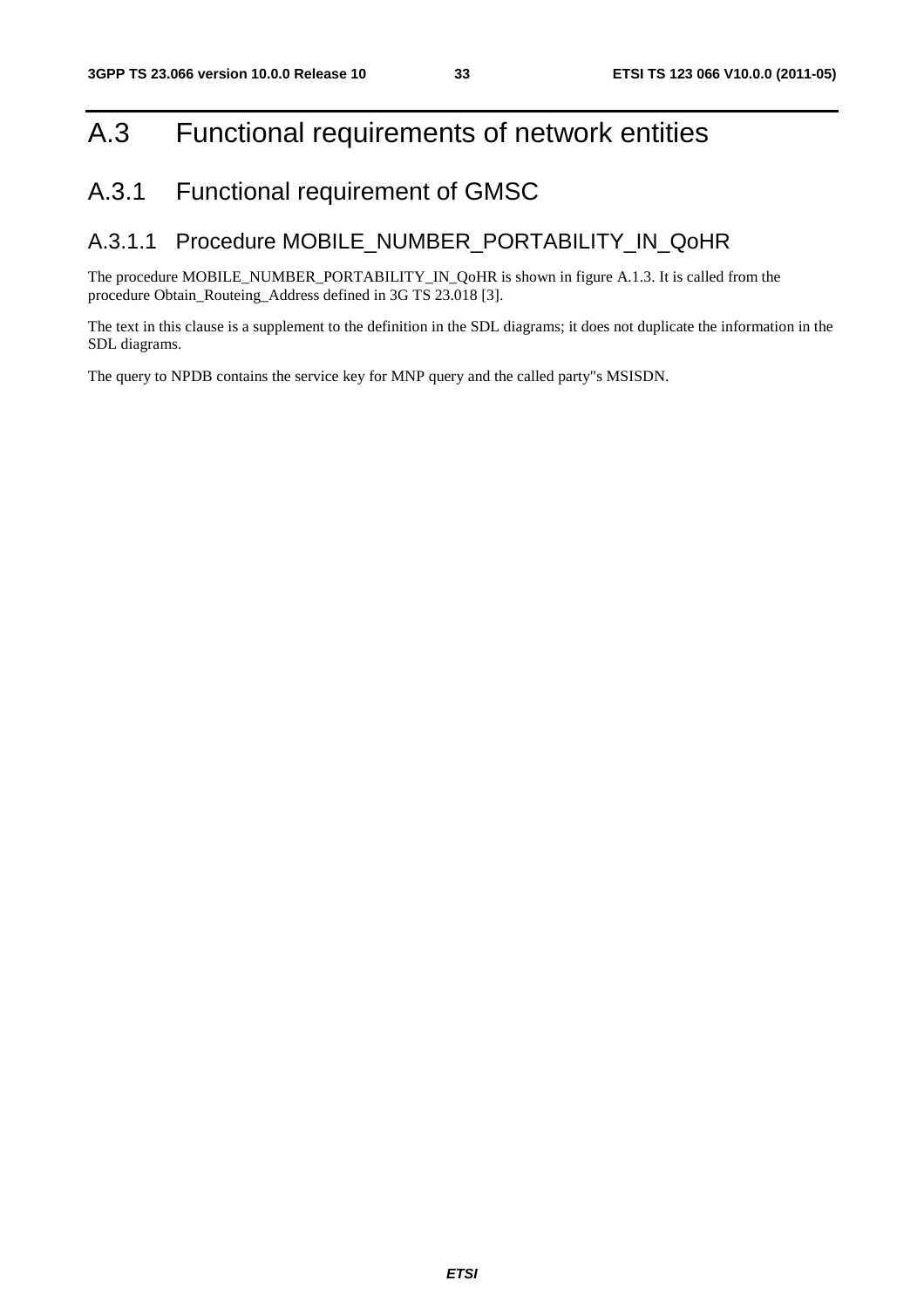### A.3 Functional requirements of network entities

### A.3.1 Functional requirement of GMSC

#### A.3.1.1 Procedure MOBILE\_NUMBER\_PORTABILITY\_IN\_QoHR

The procedure MOBILE\_NUMBER\_PORTABILITY\_IN\_QoHR is shown in figure A.1.3. It is called from the procedure Obtain\_Routeing\_Address defined in 3G TS 23.018 [3].

The text in this clause is a supplement to the definition in the SDL diagrams; it does not duplicate the information in the SDL diagrams.

The query to NPDB contains the service key for MNP query and the called party"s MSISDN.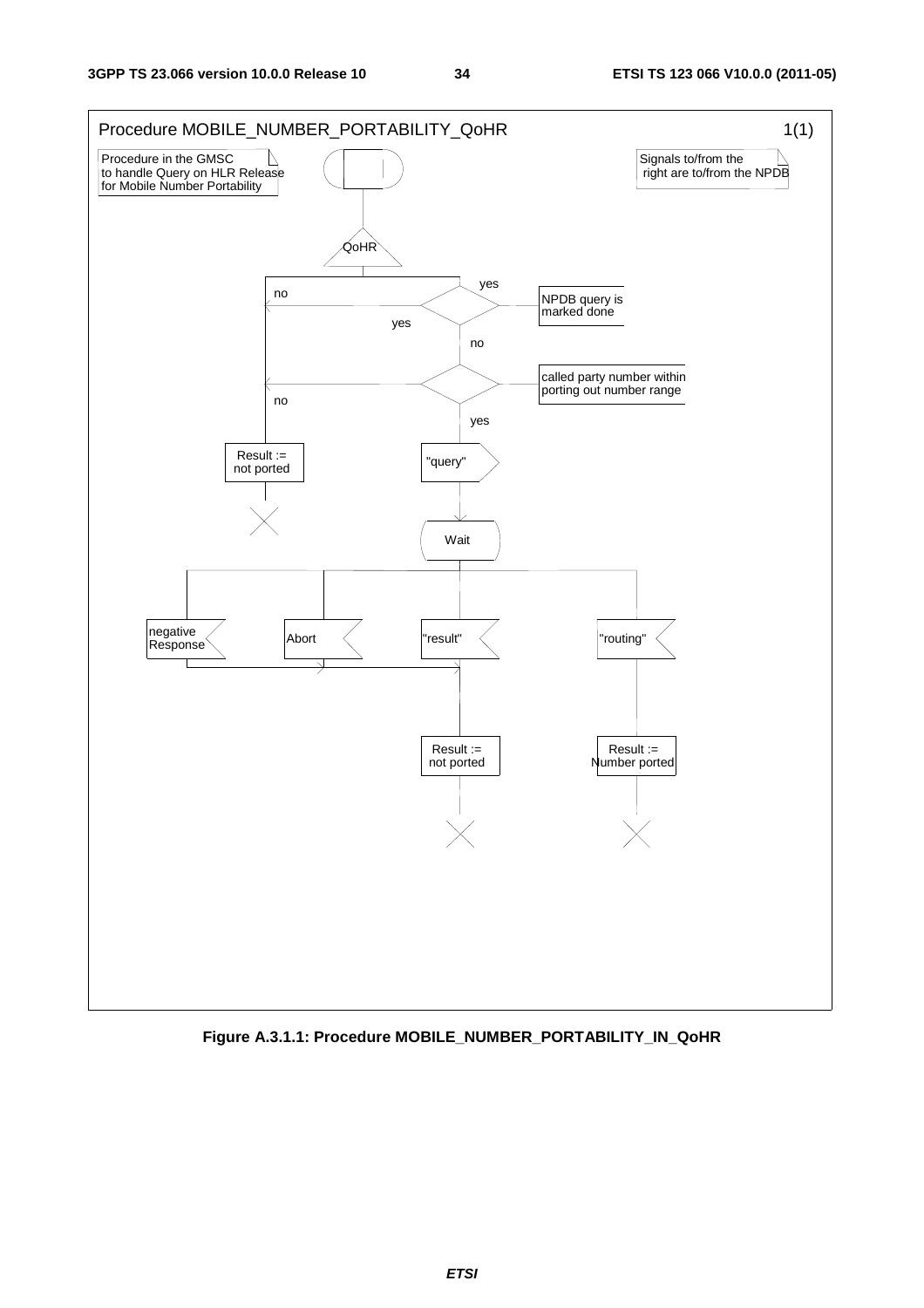![](_page_34_Figure_3.jpeg)

**Figure A.3.1.1: Procedure MOBILE\_NUMBER\_PORTABILITY\_IN\_QoHR**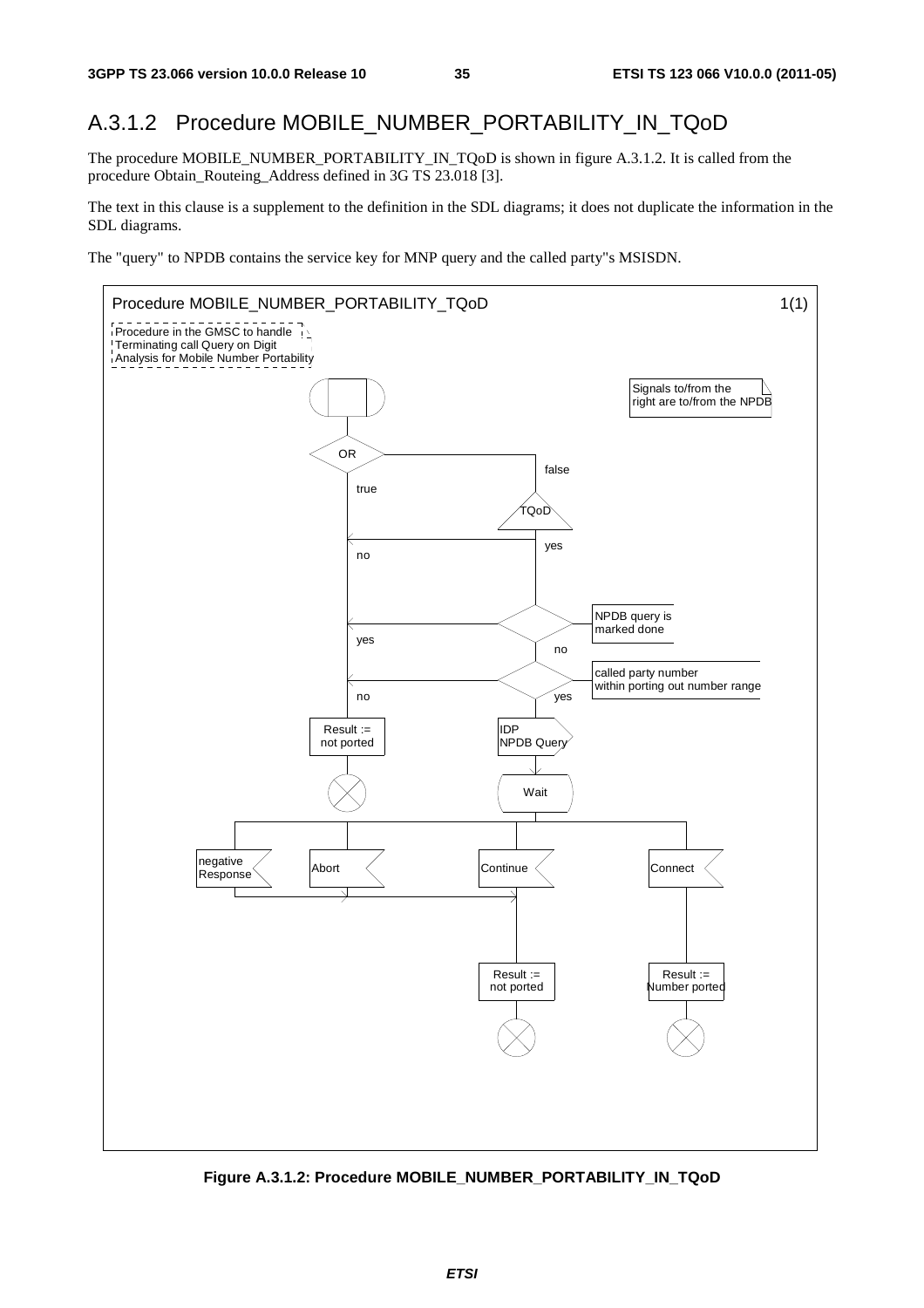#### A.3.1.2 Procedure MOBILE\_NUMBER\_PORTABILITY\_IN\_TQoD

The procedure MOBILE\_NUMBER\_PORTABILITY\_IN\_TQoD is shown in figure A.3.1.2. It is called from the procedure Obtain\_Routeing\_Address defined in 3G TS 23.018 [3].

The text in this clause is a supplement to the definition in the SDL diagrams; it does not duplicate the information in the SDL diagrams.

The "query" to NPDB contains the service key for MNP query and the called party"s MSISDN.

![](_page_35_Figure_7.jpeg)

**Figure A.3.1.2: Procedure MOBILE\_NUMBER\_PORTABILITY\_IN\_TQoD**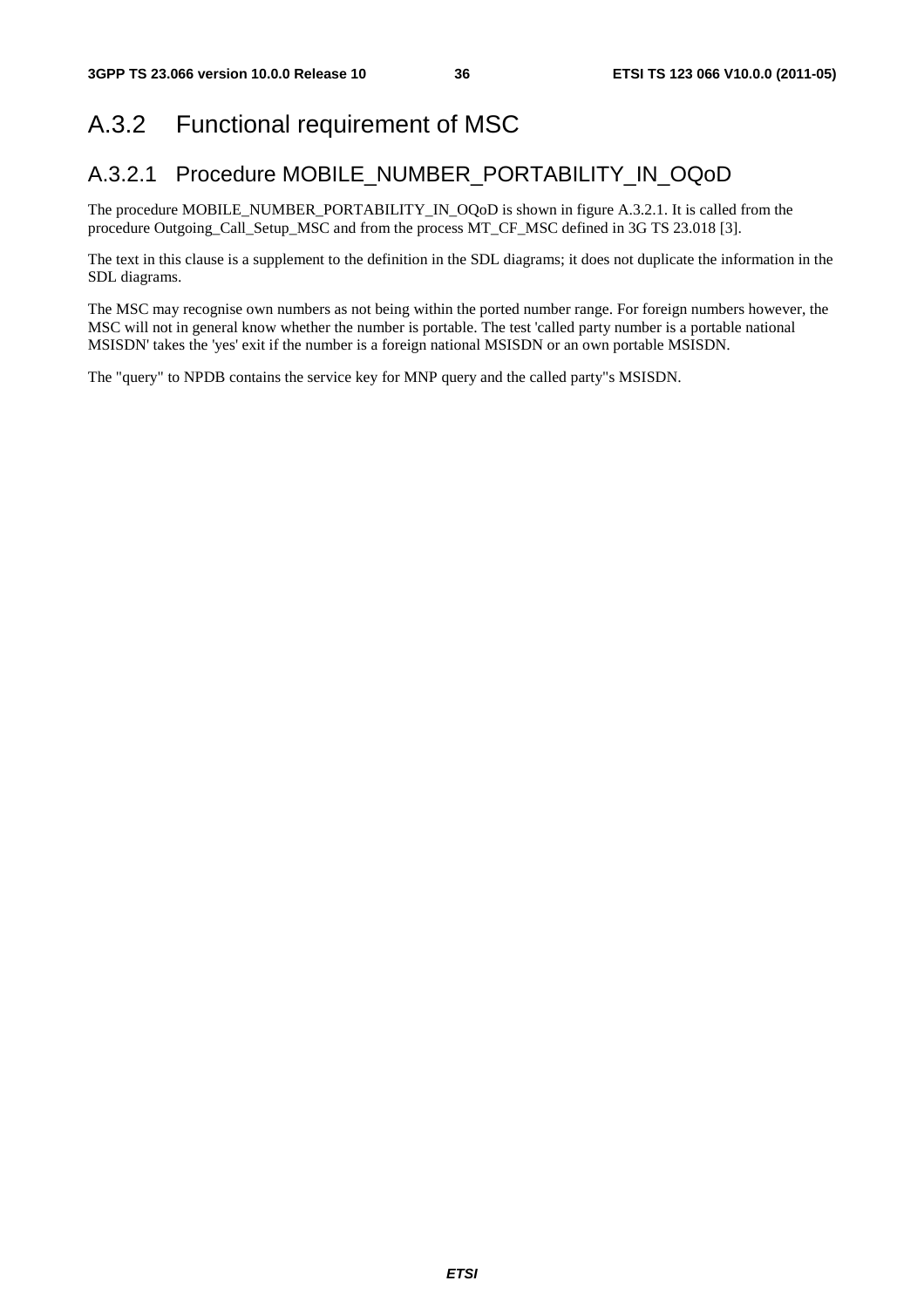# A.3.2 Functional requirement of MSC

### A.3.2.1 Procedure MOBILE\_NUMBER\_PORTABILITY\_IN\_OQoD

The procedure MOBILE\_NUMBER\_PORTABILITY\_IN\_OQoD is shown in figure A.3.2.1. It is called from the procedure Outgoing\_Call\_Setup\_MSC and from the process MT\_CF\_MSC defined in 3G TS 23.018 [3].

The text in this clause is a supplement to the definition in the SDL diagrams; it does not duplicate the information in the SDL diagrams.

The MSC may recognise own numbers as not being within the ported number range. For foreign numbers however, the MSC will not in general know whether the number is portable. The test 'called party number is a portable national MSISDN' takes the 'yes' exit if the number is a foreign national MSISDN or an own portable MSISDN.

The "query" to NPDB contains the service key for MNP query and the called party"s MSISDN.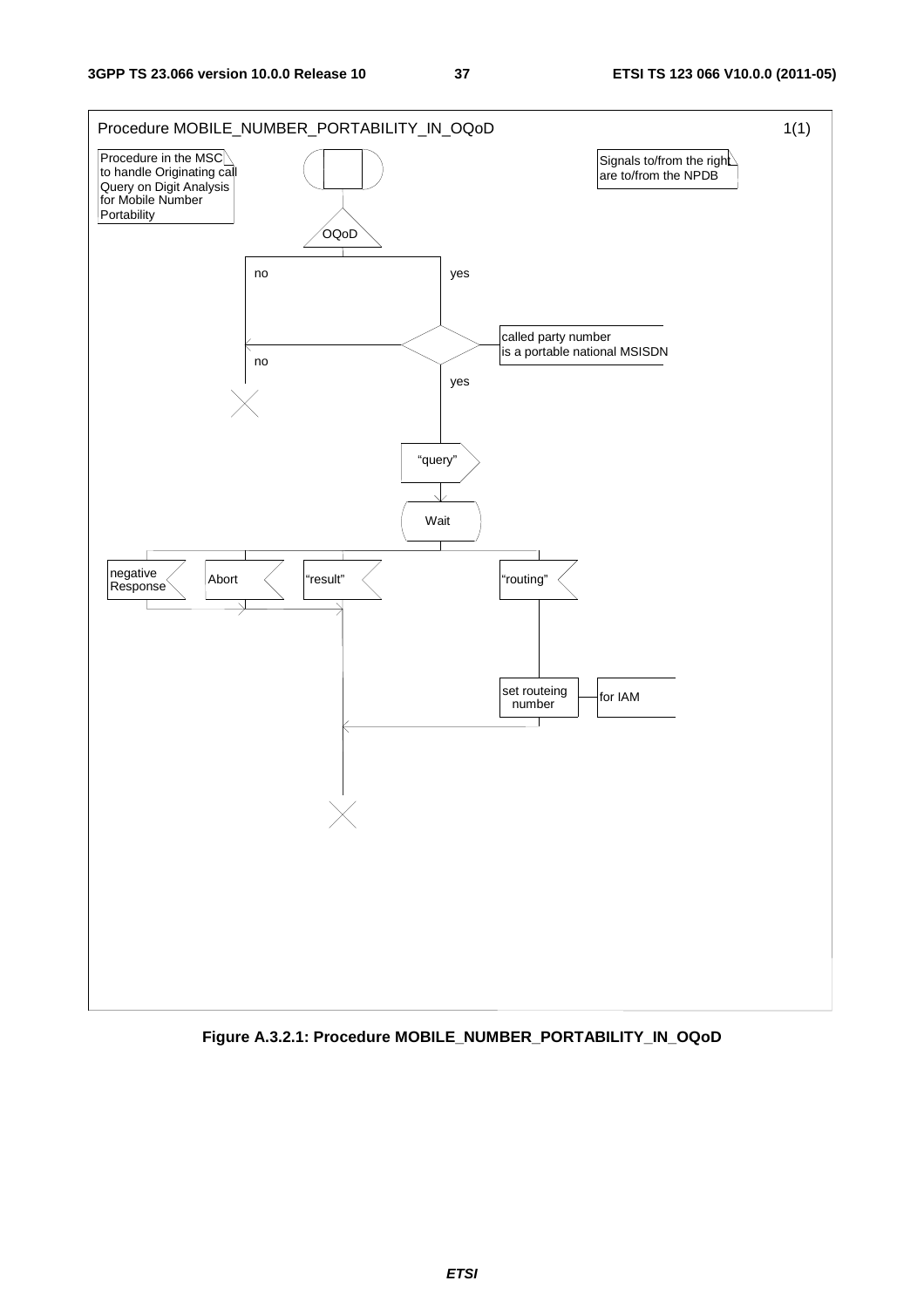

**Figure A.3.2.1: Procedure MOBILE\_NUMBER\_PORTABILITY\_IN\_OQoD**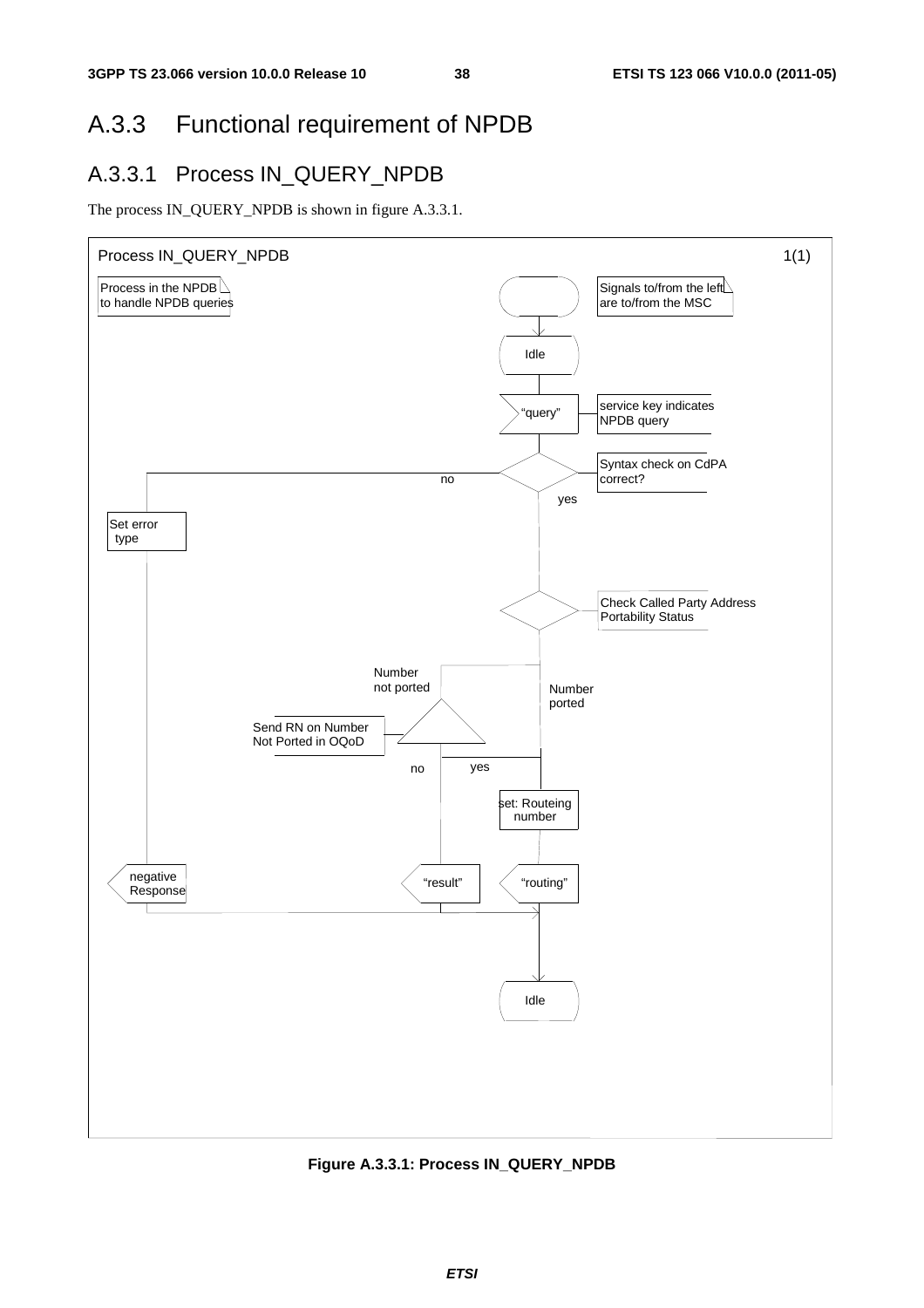### A.3.3 Functional requirement of NPDB

### A.3.3.1 Process IN\_QUERY\_NPDB

The process IN\_QUERY\_NPDB is shown in figure A.3.3.1.



**Figure A.3.3.1: Process IN\_QUERY\_NPDB**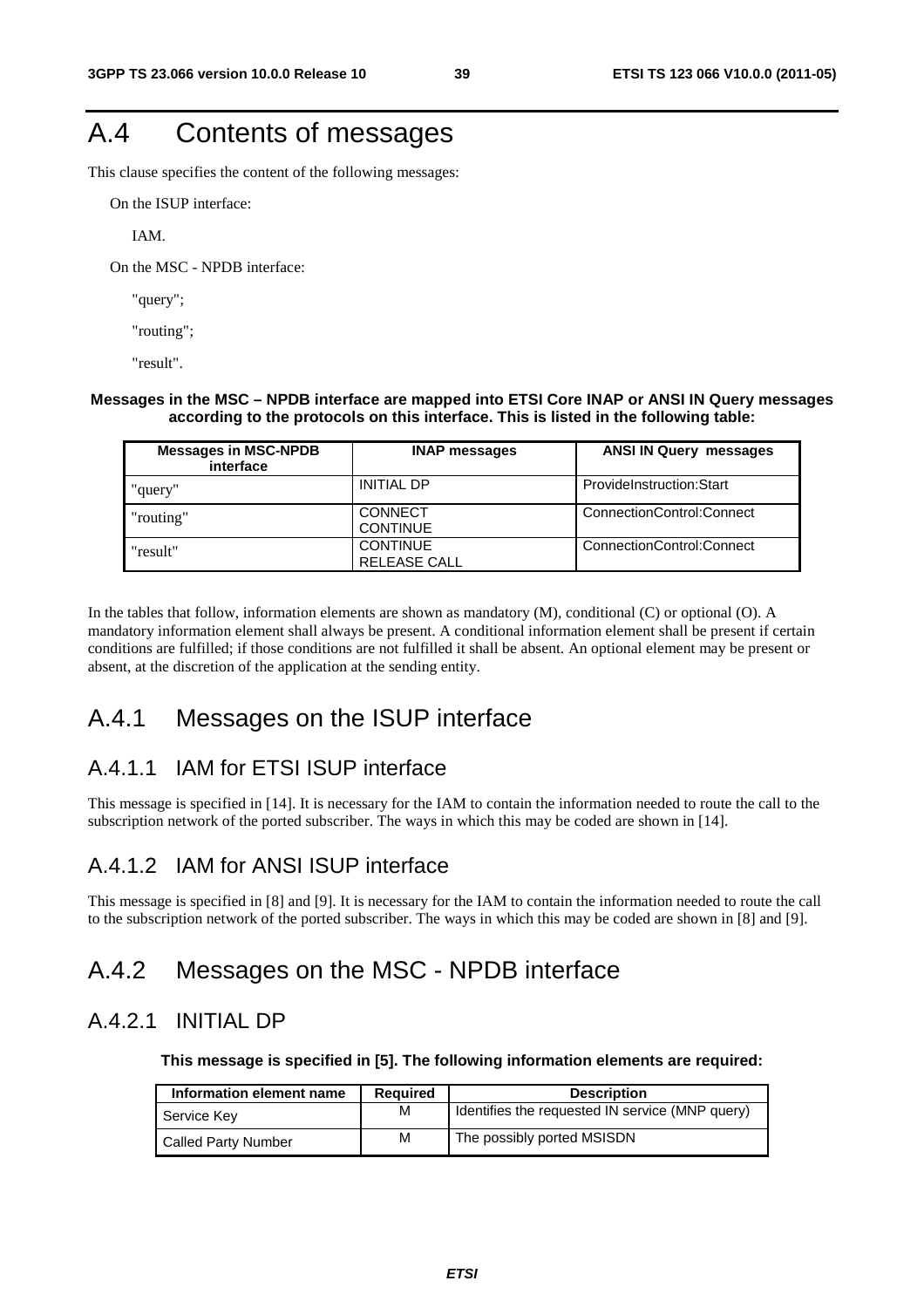# A.4 Contents of messages

This clause specifies the content of the following messages:

On the ISUP interface:

IAM.

On the MSC - NPDB interface:

"query";

"routing";

"result".

#### **Messages in the MSC – NPDB interface are mapped into ETSI Core INAP or ANSI IN Query messages according to the protocols on this interface. This is listed in the following table:**

| <b>Messages in MSC-NPDB</b><br>interface | <b>INAP messages</b>                   | <b>ANSI IN Query messages</b> |
|------------------------------------------|----------------------------------------|-------------------------------|
| "query"                                  | <b>INITIAL DP</b>                      | ProvideInstruction:Start      |
| "routing"                                | <b>CONNECT</b><br><b>CONTINUE</b>      | ConnectionControl:Connect     |
| "result"                                 | <b>CONTINUE</b><br><b>RELEASE CALL</b> | ConnectionControl:Connect     |

In the tables that follow, information elements are shown as mandatory (M), conditional (C) or optional (O). A mandatory information element shall always be present. A conditional information element shall be present if certain conditions are fulfilled; if those conditions are not fulfilled it shall be absent. An optional element may be present or absent, at the discretion of the application at the sending entity.

### A.4.1 Messages on the ISUP interface

### A.4.1.1 IAM for ETSI ISUP interface

This message is specified in [14]. It is necessary for the IAM to contain the information needed to route the call to the subscription network of the ported subscriber. The ways in which this may be coded are shown in [14].

### A.4.1.2 IAM for ANSI ISUP interface

This message is specified in [8] and [9]. It is necessary for the IAM to contain the information needed to route the call to the subscription network of the ported subscriber. The ways in which this may be coded are shown in [8] and [9].

### A.4.2 Messages on the MSC - NPDB interface

### A.4.2.1 INITIAL DP

**This message is specified in [5]. The following information elements are required:** 

| Information element name   | Reguired | <b>Description</b>                              |
|----------------------------|----------|-------------------------------------------------|
| Service Key                | M        | Identifies the requested IN service (MNP query) |
| <b>Called Party Number</b> | M        | The possibly ported MSISDN                      |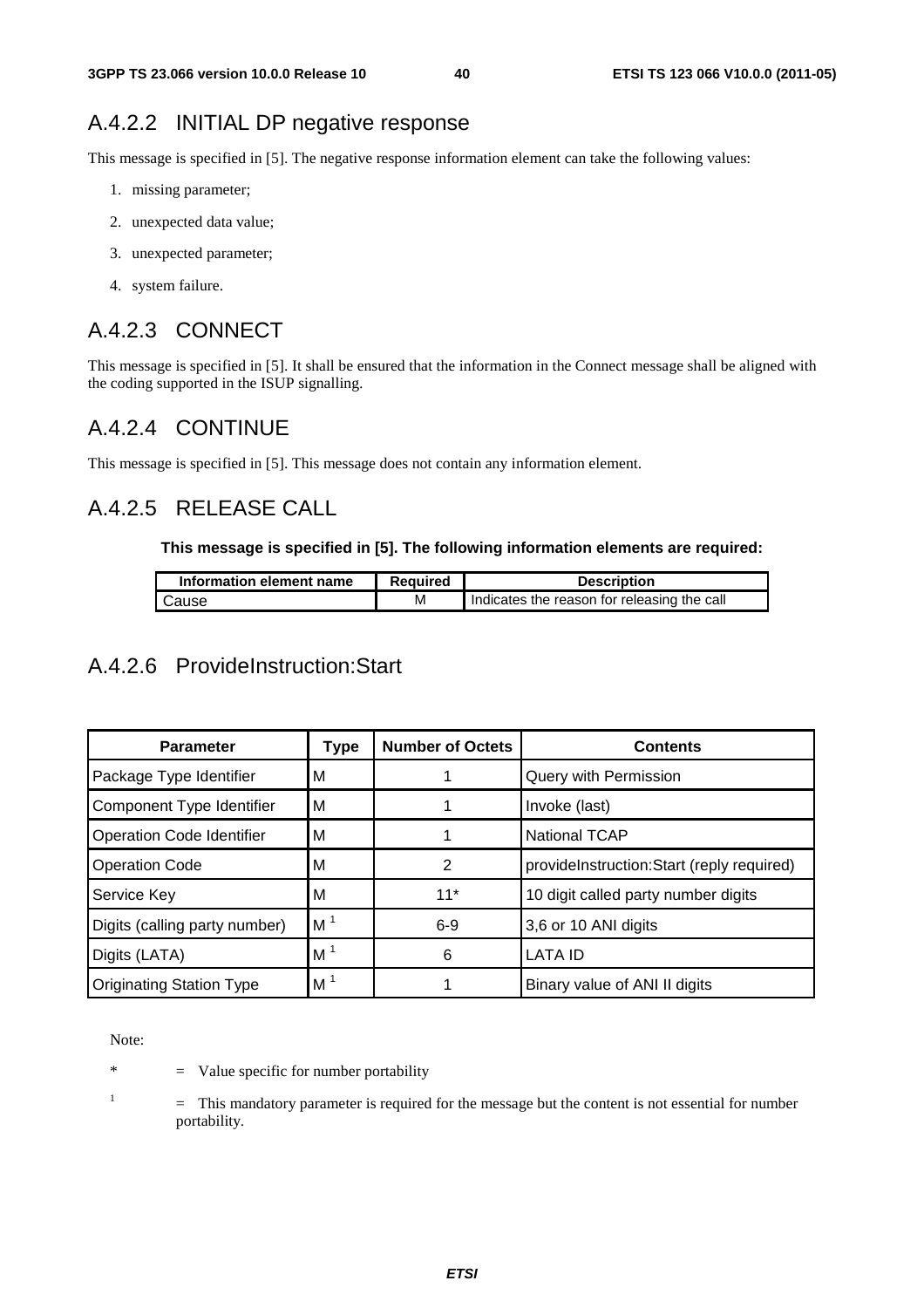### A.4.2.2 INITIAL DP negative response

This message is specified in [5]. The negative response information element can take the following values:

- 1. missing parameter;
- 2. unexpected data value;
- 3. unexpected parameter;
- 4. system failure.

### A.4.2.3 CONNECT

This message is specified in [5]. It shall be ensured that the information in the Connect message shall be aligned with the coding supported in the ISUP signalling.

### A.4.2.4 CONTINUE

This message is specified in [5]. This message does not contain any information element.

### A.4.2.5 RELEASE CALL

#### **This message is specified in [5]. The following information elements are required:**

| Information element name | <b>Required</b> | <b>Description</b>                          |
|--------------------------|-----------------|---------------------------------------------|
| Cause                    | м               | Indicates the reason for releasing the call |

### A.4.2.6 ProvideInstruction:Start

| <b>Parameter</b>                 | Type           | <b>Number of Octets</b> | <b>Contents</b>                           |
|----------------------------------|----------------|-------------------------|-------------------------------------------|
| Package Type Identifier          | м              |                         | Query with Permission                     |
| Component Type Identifier        | м              |                         | Invoke (last)                             |
| <b>Operation Code Identifier</b> | м              |                         | <b>National TCAP</b>                      |
| <b>Operation Code</b>            | М              | 2                       | provideInstruction:Start (reply required) |
| Service Key                      | М              | $11*$                   | 10 digit called party number digits       |
| Digits (calling party number)    | M <sup>1</sup> | $6-9$                   | 3,6 or 10 ANI digits                      |
| Digits (LATA)                    | M <sup>1</sup> | 6                       | <b>LATA ID</b>                            |
| <b>Originating Station Type</b>  | M <sup>1</sup> |                         | Binary value of ANI II digits             |

Note:

\* = Value specific for number portability

1

 = This mandatory parameter is required for the message but the content is not essential for number portability.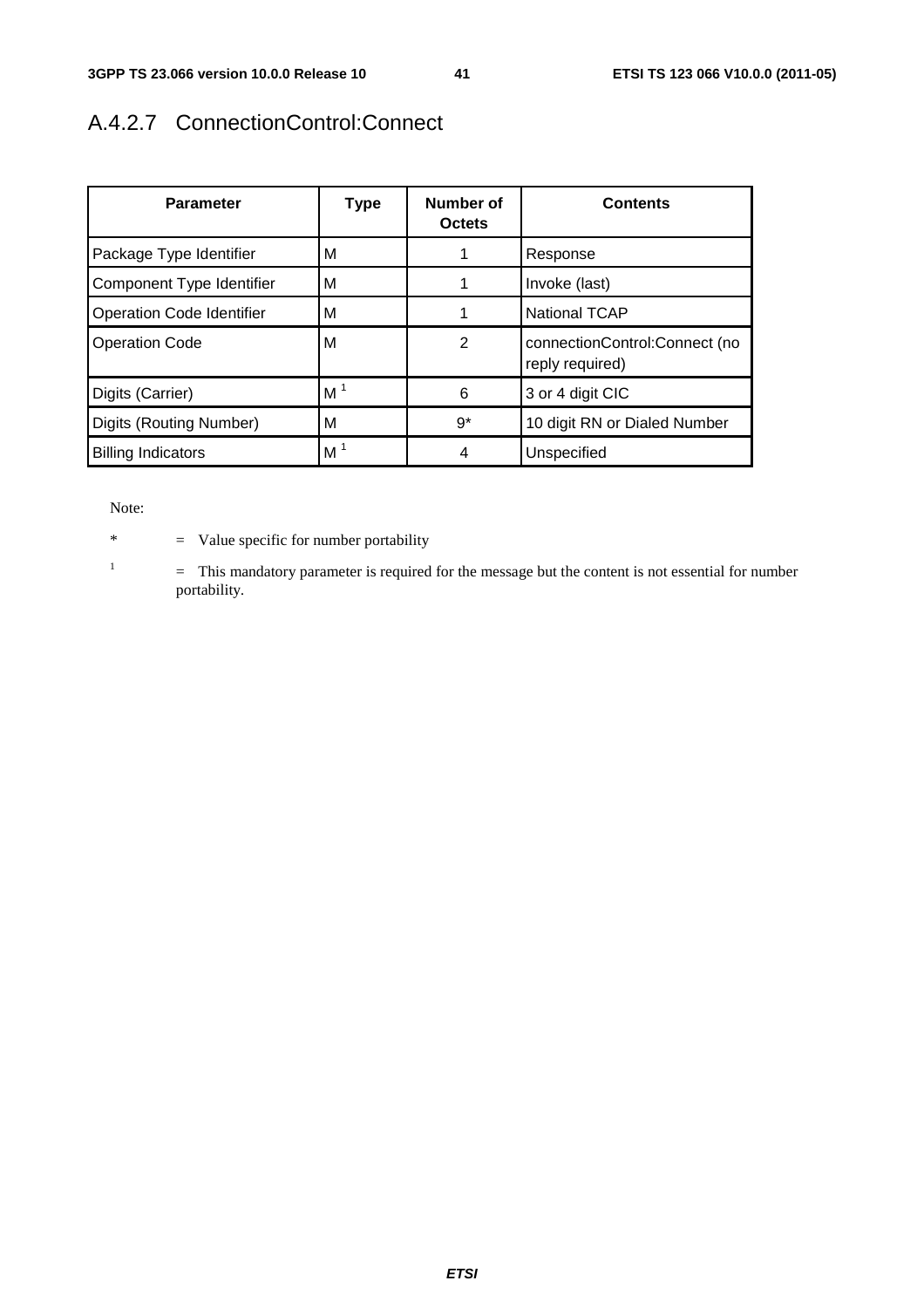# A.4.2.7 ConnectionControl:Connect

| <b>Parameter</b>                 | <b>Type</b>    | Number of<br><b>Octets</b> | <b>Contents</b>                                  |
|----------------------------------|----------------|----------------------------|--------------------------------------------------|
| Package Type Identifier          | м              |                            | Response                                         |
| Component Type Identifier        | м              |                            | Invoke (last)                                    |
| <b>Operation Code Identifier</b> | м              | 1                          | <b>National TCAP</b>                             |
| <b>Operation Code</b>            | м              | $\overline{2}$             | connectionControl:Connect (no<br>reply required) |
| Digits (Carrier)                 | M <sup>1</sup> | 6                          | 3 or 4 digit CIC                                 |
| Digits (Routing Number)          | м              | $9*$                       | 10 digit RN or Dialed Number                     |
| <b>Billing Indicators</b>        | M <sup>1</sup> | 4                          | Unspecified                                      |

Note:

1

\* = Value specific for number portability

 = This mandatory parameter is required for the message but the content is not essential for number portability.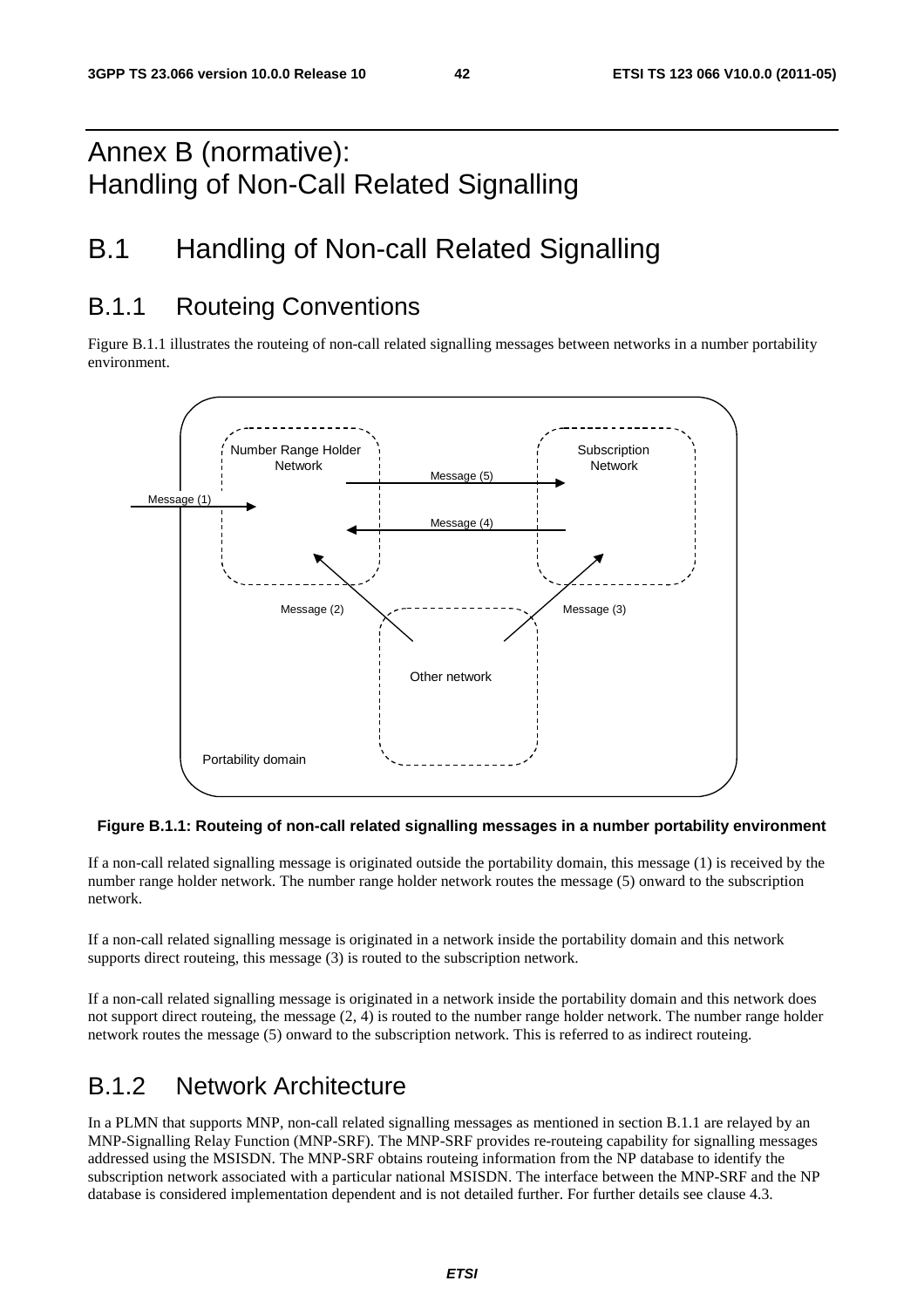# Annex B (normative): Handling of Non-Call Related Signalling

# B.1 Handling of Non-call Related Signalling

### B.1.1 Routeing Conventions

Figure B.1.1 illustrates the routeing of non-call related signalling messages between networks in a number portability environment.



#### **Figure B.1.1: Routeing of non-call related signalling messages in a number portability environment**

If a non-call related signalling message is originated outside the portability domain, this message (1) is received by the number range holder network. The number range holder network routes the message (5) onward to the subscription network.

If a non-call related signalling message is originated in a network inside the portability domain and this network supports direct routeing, this message (3) is routed to the subscription network.

If a non-call related signalling message is originated in a network inside the portability domain and this network does not support direct routeing, the message (2, 4) is routed to the number range holder network. The number range holder network routes the message (5) onward to the subscription network. This is referred to as indirect routeing.

### B.1.2 Network Architecture

In a PLMN that supports MNP, non-call related signalling messages as mentioned in section B.1.1 are relayed by an MNP-Signalling Relay Function (MNP-SRF). The MNP-SRF provides re-routeing capability for signalling messages addressed using the MSISDN. The MNP-SRF obtains routeing information from the NP database to identify the subscription network associated with a particular national MSISDN. The interface between the MNP-SRF and the NP database is considered implementation dependent and is not detailed further. For further details see clause 4.3.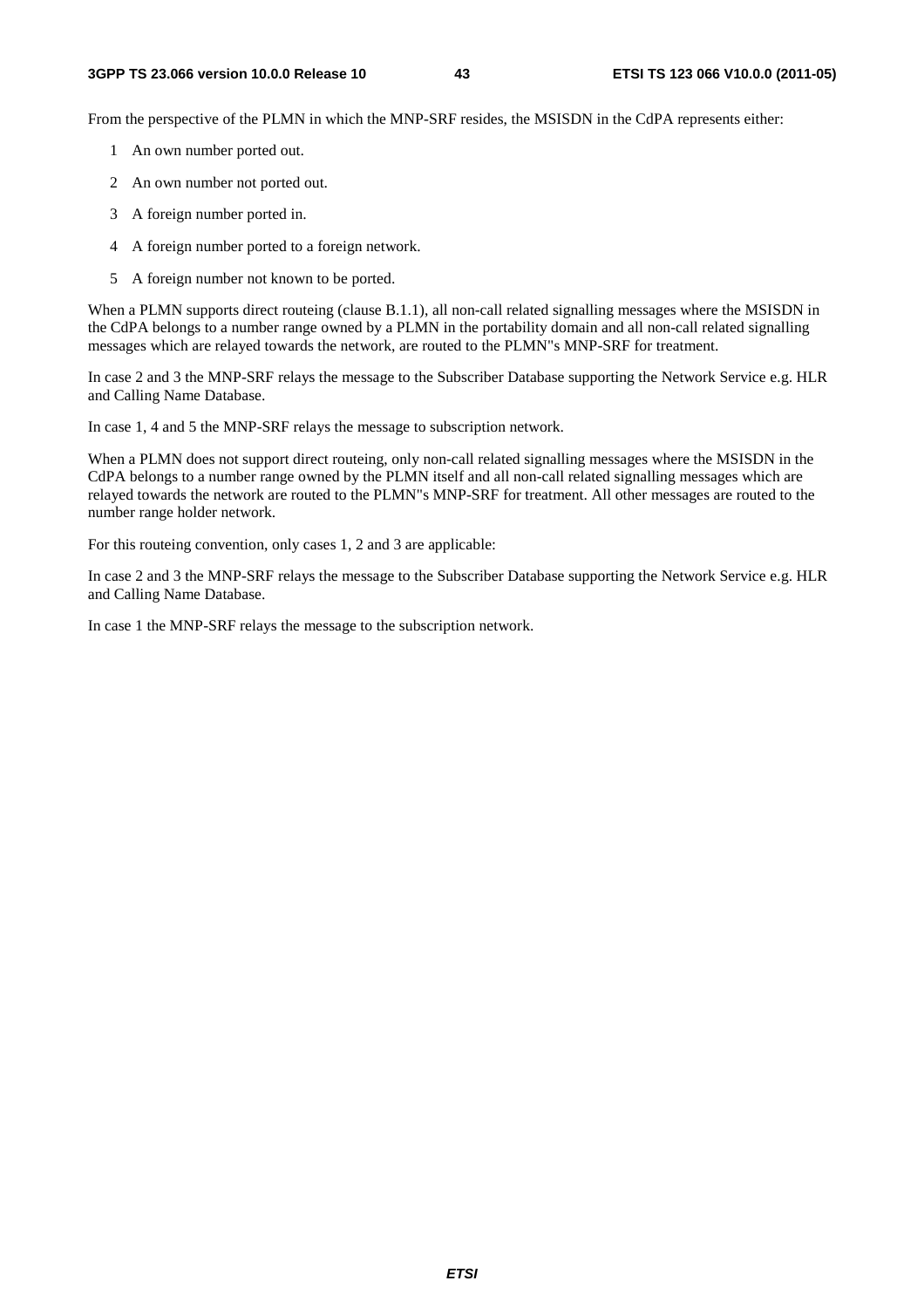From the perspective of the PLMN in which the MNP-SRF resides, the MSISDN in the CdPA represents either:

- 1 An own number ported out.
- 2 An own number not ported out.
- 3 A foreign number ported in.
- 4 A foreign number ported to a foreign network.
- 5 A foreign number not known to be ported.

When a PLMN supports direct routeing (clause B.1.1), all non-call related signalling messages where the MSISDN in the CdPA belongs to a number range owned by a PLMN in the portability domain and all non-call related signalling messages which are relayed towards the network, are routed to the PLMN"s MNP-SRF for treatment.

In case 2 and 3 the MNP-SRF relays the message to the Subscriber Database supporting the Network Service e.g. HLR and Calling Name Database.

In case 1, 4 and 5 the MNP-SRF relays the message to subscription network.

When a PLMN does not support direct routeing, only non-call related signalling messages where the MSISDN in the CdPA belongs to a number range owned by the PLMN itself and all non-call related signalling messages which are relayed towards the network are routed to the PLMN"s MNP-SRF for treatment. All other messages are routed to the number range holder network.

For this routeing convention, only cases 1, 2 and 3 are applicable:

In case 2 and 3 the MNP-SRF relays the message to the Subscriber Database supporting the Network Service e.g. HLR and Calling Name Database.

In case 1 the MNP-SRF relays the message to the subscription network.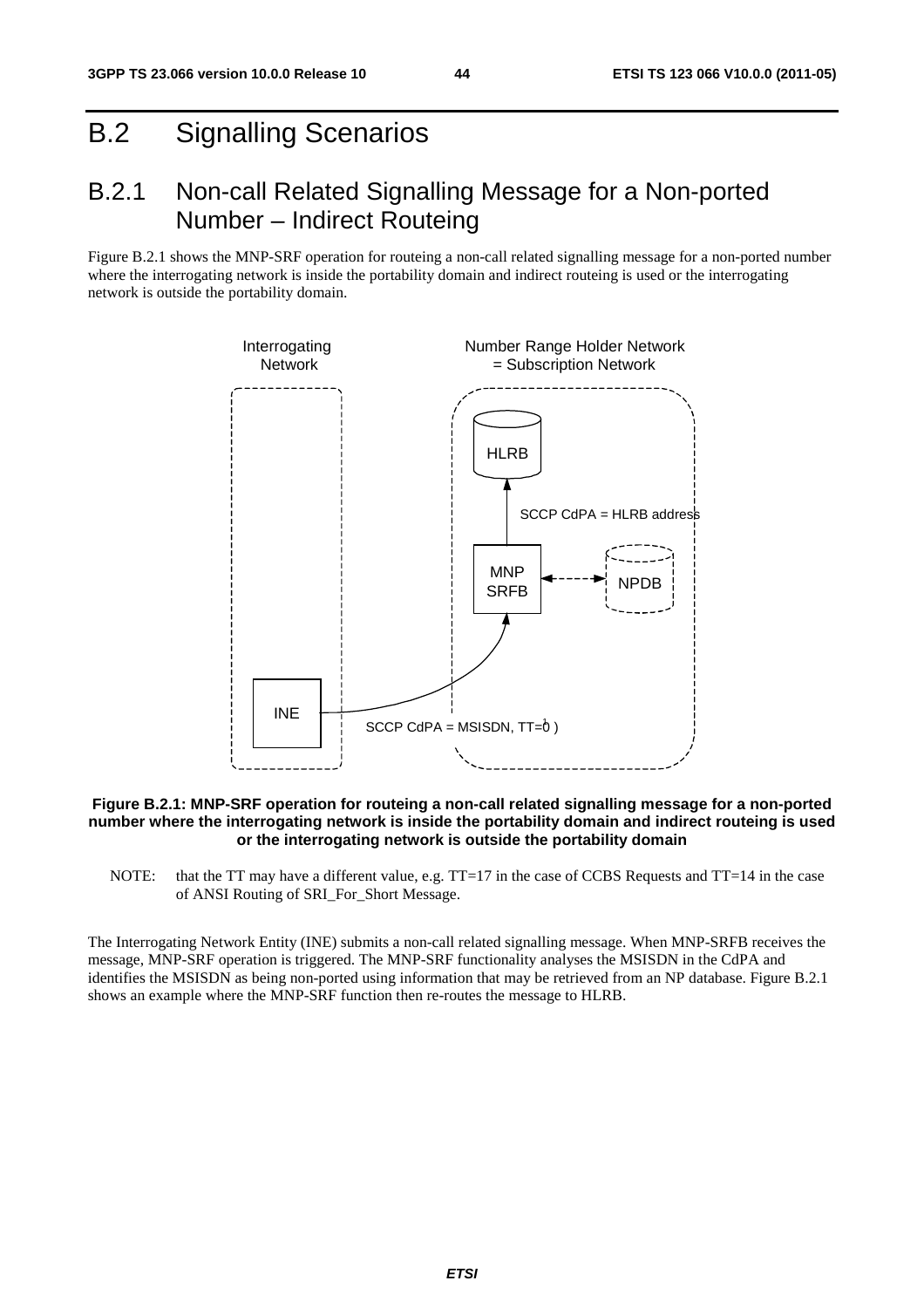# B.2 Signalling Scenarios

### B.2.1 Non-call Related Signalling Message for a Non-ported Number – Indirect Routeing

Figure B.2.1 shows the MNP-SRF operation for routeing a non-call related signalling message for a non-ported number where the interrogating network is inside the portability domain and indirect routeing is used or the interrogating network is outside the portability domain.



#### **Figure B.2.1: MNP-SRF operation for routeing a non-call related signalling message for a non-ported number where the interrogating network is inside the portability domain and indirect routeing is used or the interrogating network is outside the portability domain**

NOTE: that the TT may have a different value, e.g. TT=17 in the case of CCBS Requests and TT=14 in the case of ANSI Routing of SRI\_For\_Short Message.

The Interrogating Network Entity (INE) submits a non-call related signalling message. When MNP-SRFB receives the message, MNP-SRF operation is triggered. The MNP-SRF functionality analyses the MSISDN in the CdPA and identifies the MSISDN as being non-ported using information that may be retrieved from an NP database. Figure B.2.1 shows an example where the MNP-SRF function then re-routes the message to HLRB.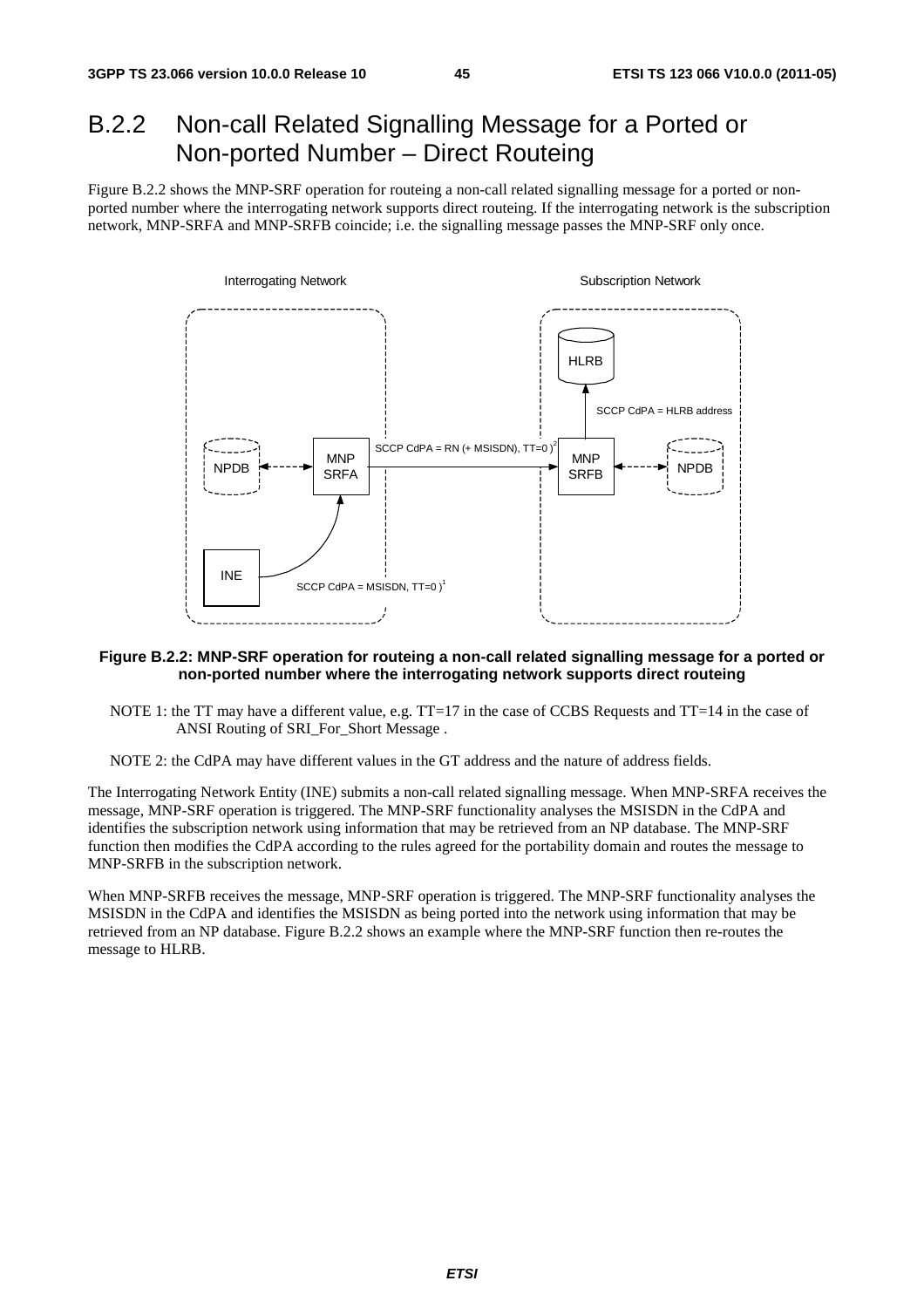# B.2.2 Non-call Related Signalling Message for a Ported or Non-ported Number – Direct Routeing

Figure B.2.2 shows the MNP-SRF operation for routeing a non-call related signalling message for a ported or nonported number where the interrogating network supports direct routeing. If the interrogating network is the subscription network, MNP-SRFA and MNP-SRFB coincide; i.e. the signalling message passes the MNP-SRF only once.



#### **Figure B.2.2: MNP-SRF operation for routeing a non-call related signalling message for a ported or non-ported number where the interrogating network supports direct routeing**

- NOTE 1: the TT may have a different value, e.g. TT=17 in the case of CCBS Requests and TT=14 in the case of ANSI Routing of SRI\_For\_Short Message .
- NOTE 2: the CdPA may have different values in the GT address and the nature of address fields.

The Interrogating Network Entity (INE) submits a non-call related signalling message. When MNP-SRFA receives the message, MNP-SRF operation is triggered. The MNP-SRF functionality analyses the MSISDN in the CdPA and identifies the subscription network using information that may be retrieved from an NP database. The MNP-SRF function then modifies the CdPA according to the rules agreed for the portability domain and routes the message to MNP-SRFB in the subscription network.

When MNP-SRFB receives the message, MNP-SRF operation is triggered. The MNP-SRF functionality analyses the MSISDN in the CdPA and identifies the MSISDN as being ported into the network using information that may be retrieved from an NP database. Figure B.2.2 shows an example where the MNP-SRF function then re-routes the message to HLRB.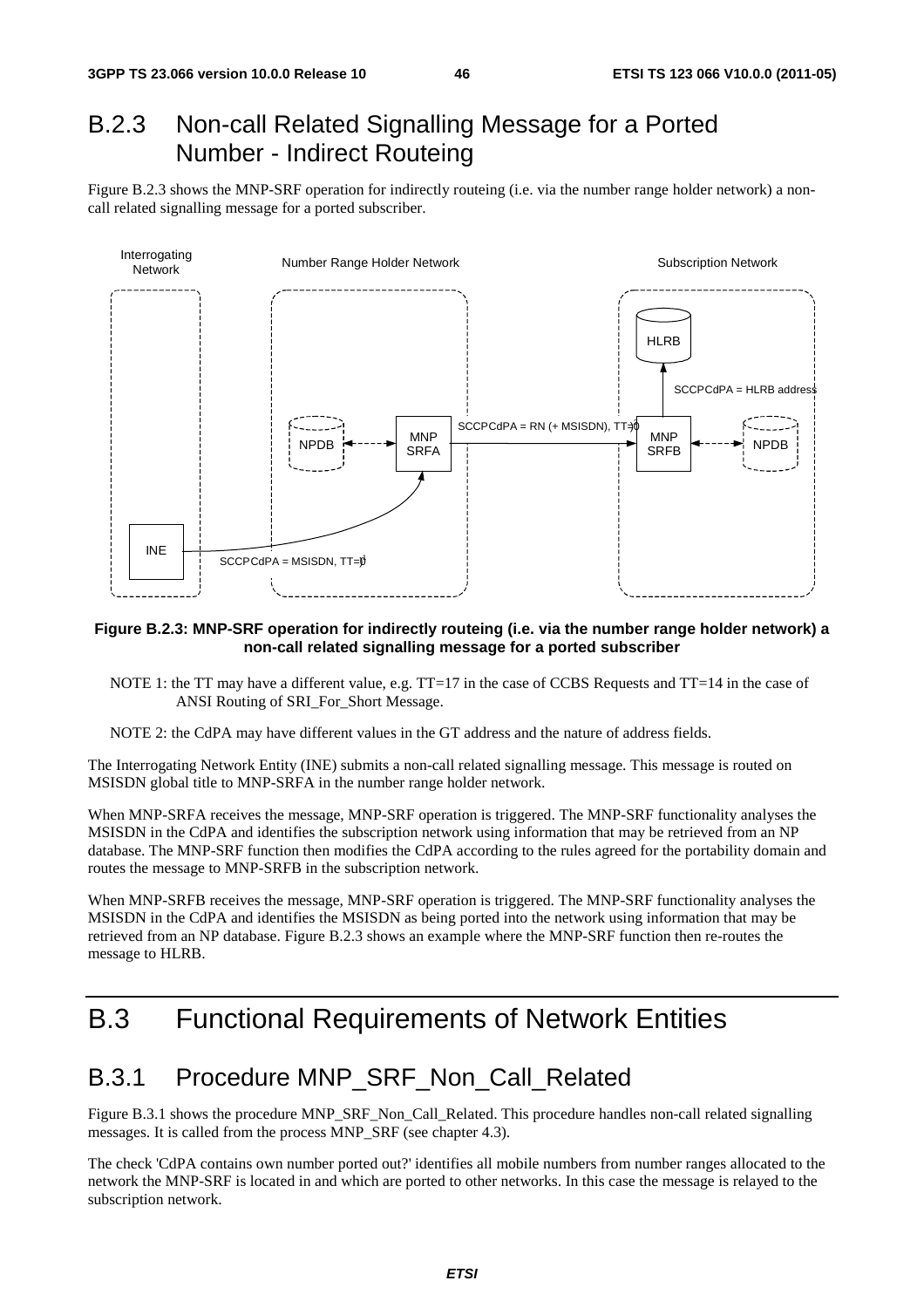## B.2.3 Non-call Related Signalling Message for a Ported Number - Indirect Routeing

Figure B.2.3 shows the MNP-SRF operation for indirectly routeing (i.e. via the number range holder network) a noncall related signalling message for a ported subscriber.



#### **Figure B.2.3: MNP-SRF operation for indirectly routeing (i.e. via the number range holder network) a non-call related signalling message for a ported subscriber**

- NOTE 1: the TT may have a different value, e.g. TT=17 in the case of CCBS Requests and TT=14 in the case of ANSI Routing of SRI\_For\_Short Message.
- NOTE 2: the CdPA may have different values in the GT address and the nature of address fields.

The Interrogating Network Entity (INE) submits a non-call related signalling message. This message is routed on MSISDN global title to MNP-SRFA in the number range holder network.

When MNP-SRFA receives the message, MNP-SRF operation is triggered. The MNP-SRF functionality analyses the MSISDN in the CdPA and identifies the subscription network using information that may be retrieved from an NP database. The MNP-SRF function then modifies the CdPA according to the rules agreed for the portability domain and routes the message to MNP-SRFB in the subscription network.

When MNP-SRFB receives the message, MNP-SRF operation is triggered. The MNP-SRF functionality analyses the MSISDN in the CdPA and identifies the MSISDN as being ported into the network using information that may be retrieved from an NP database. Figure B.2.3 shows an example where the MNP-SRF function then re-routes the message to HLRB.

# B.3 Functional Requirements of Network Entities

### B.3.1 Procedure MNP\_SRF\_Non\_Call\_Related

Figure B.3.1 shows the procedure MNP\_SRF\_Non\_Call\_Related. This procedure handles non-call related signalling messages. It is called from the process MNP\_SRF (see chapter 4.3).

The check 'CdPA contains own number ported out?' identifies all mobile numbers from number ranges allocated to the network the MNP-SRF is located in and which are ported to other networks. In this case the message is relayed to the subscription network.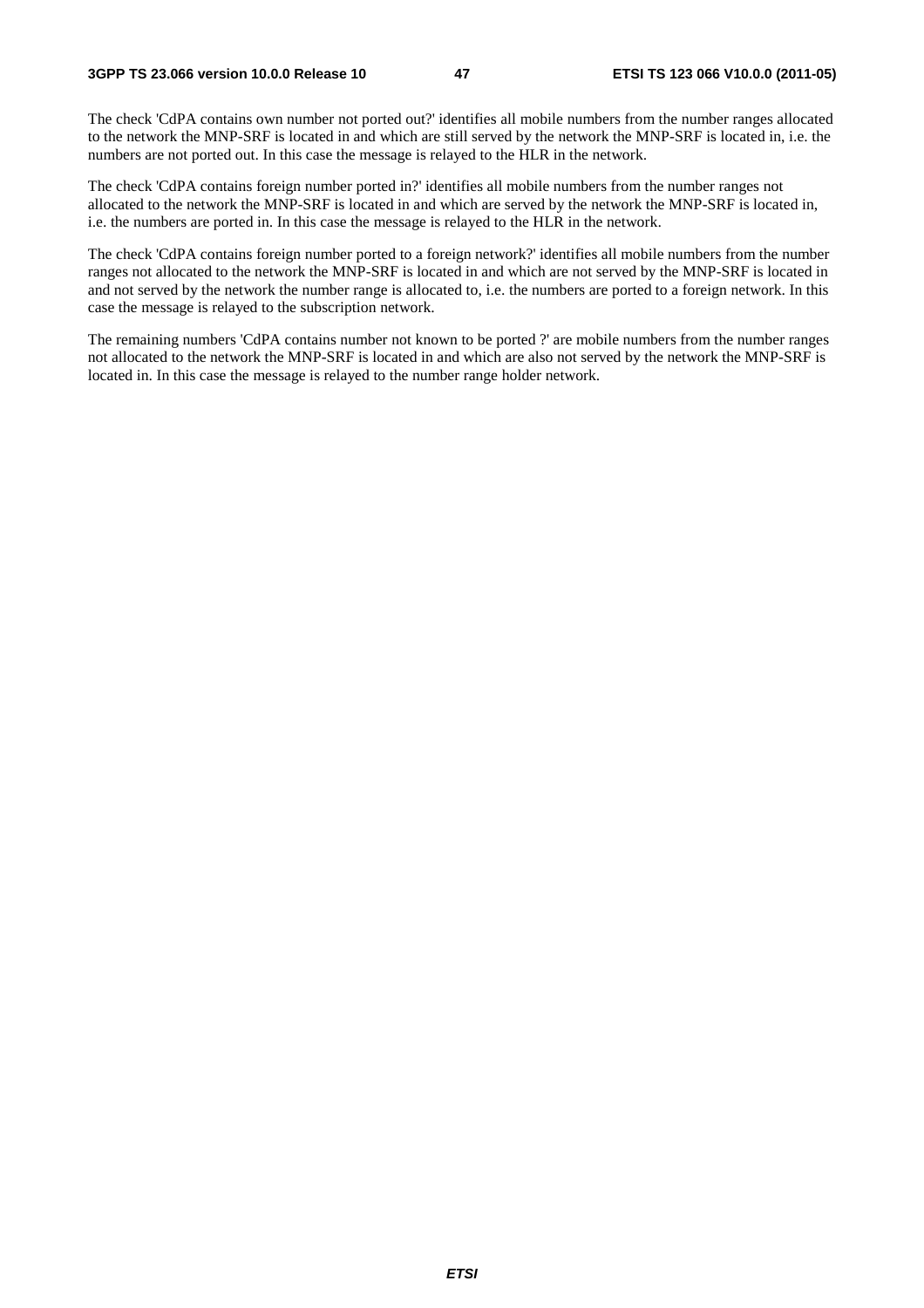The check 'CdPA contains own number not ported out?' identifies all mobile numbers from the number ranges allocated to the network the MNP-SRF is located in and which are still served by the network the MNP-SRF is located in, i.e. the numbers are not ported out. In this case the message is relayed to the HLR in the network.

The check 'CdPA contains foreign number ported in?' identifies all mobile numbers from the number ranges not allocated to the network the MNP-SRF is located in and which are served by the network the MNP-SRF is located in, i.e. the numbers are ported in. In this case the message is relayed to the HLR in the network.

The check 'CdPA contains foreign number ported to a foreign network?' identifies all mobile numbers from the number ranges not allocated to the network the MNP-SRF is located in and which are not served by the MNP-SRF is located in and not served by the network the number range is allocated to, i.e. the numbers are ported to a foreign network. In this case the message is relayed to the subscription network.

The remaining numbers 'CdPA contains number not known to be ported ?' are mobile numbers from the number ranges not allocated to the network the MNP-SRF is located in and which are also not served by the network the MNP-SRF is located in. In this case the message is relayed to the number range holder network.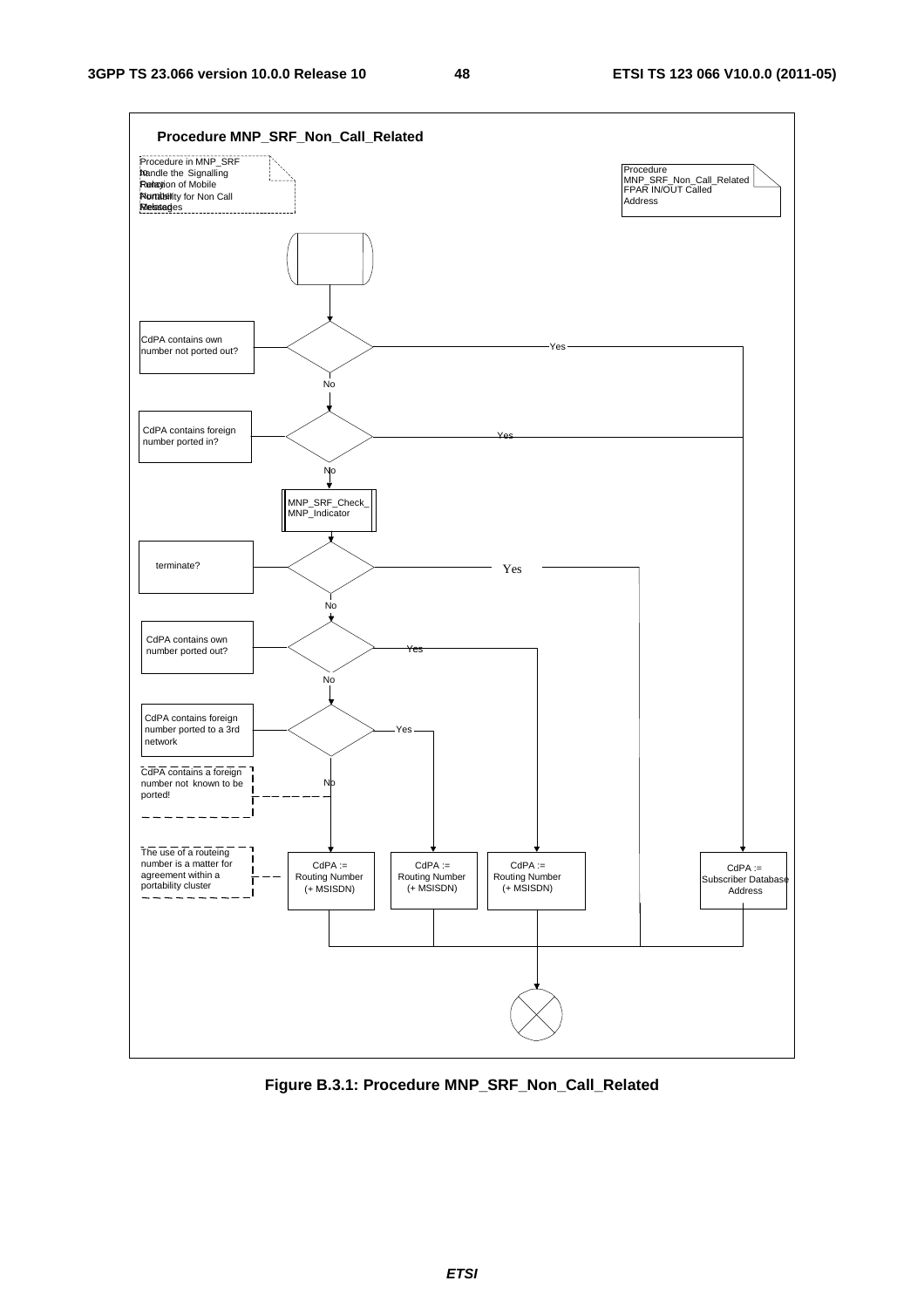

**Figure B.3.1: Procedure MNP\_SRF\_Non\_Call\_Related**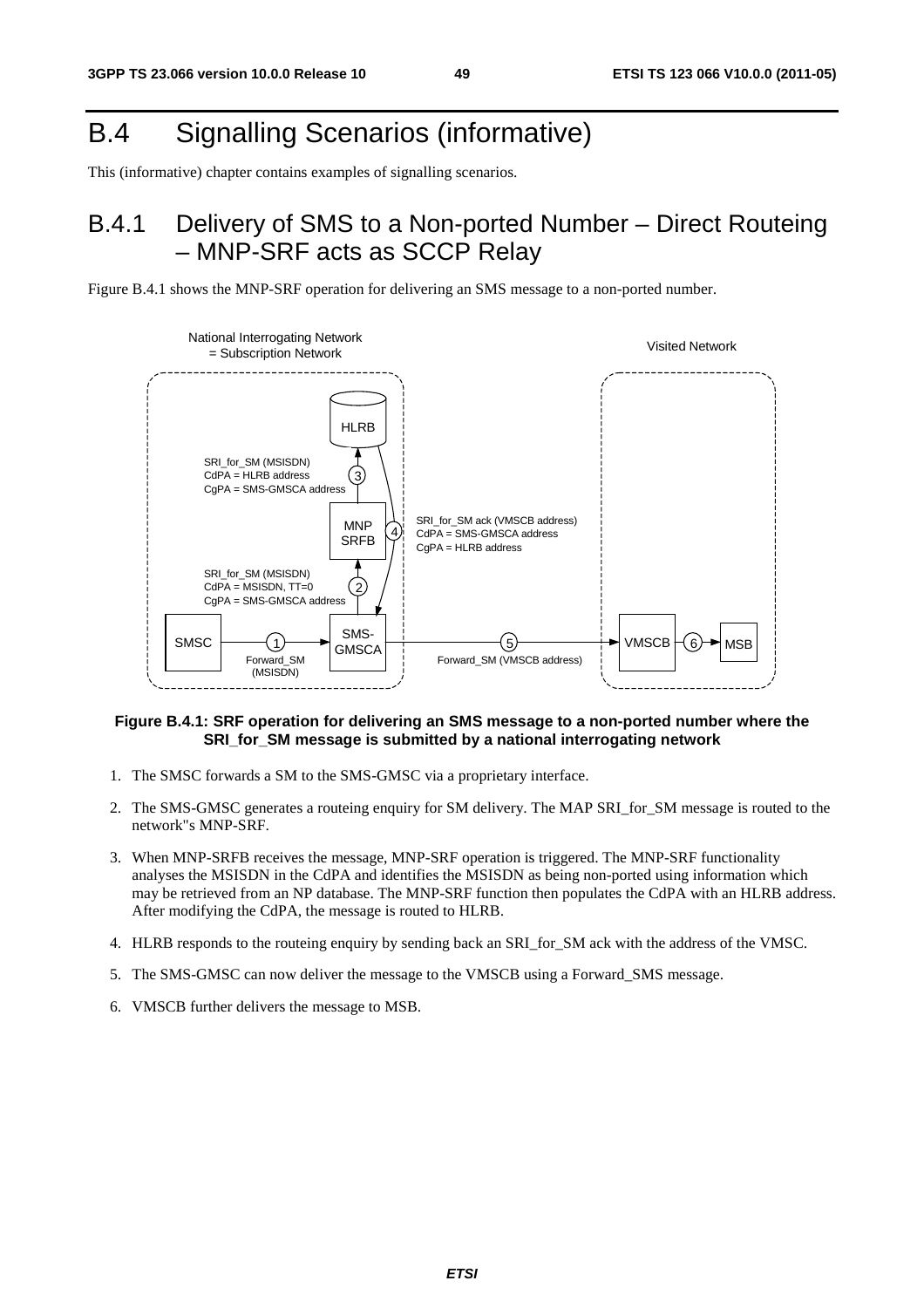# B.4 Signalling Scenarios (informative)

This (informative) chapter contains examples of signalling scenarios.

# B.4.1 Delivery of SMS to a Non-ported Number – Direct Routeing – MNP-SRF acts as SCCP Relay





### **Figure B.4.1: SRF operation for delivering an SMS message to a non-ported number where the SRI** for SM message is submitted by a national interrogating network

- 1. The SMSC forwards a SM to the SMS-GMSC via a proprietary interface.
- 2. The SMS-GMSC generates a routeing enquiry for SM delivery. The MAP SRI\_for\_SM message is routed to the network"s MNP-SRF.
- 3. When MNP-SRFB receives the message, MNP-SRF operation is triggered. The MNP-SRF functionality analyses the MSISDN in the CdPA and identifies the MSISDN as being non-ported using information which may be retrieved from an NP database. The MNP-SRF function then populates the CdPA with an HLRB address. After modifying the CdPA, the message is routed to HLRB.
- 4. HLRB responds to the routeing enquiry by sending back an SRI\_for\_SM ack with the address of the VMSC.
- 5. The SMS-GMSC can now deliver the message to the VMSCB using a Forward\_SMS message.
- 6. VMSCB further delivers the message to MSB.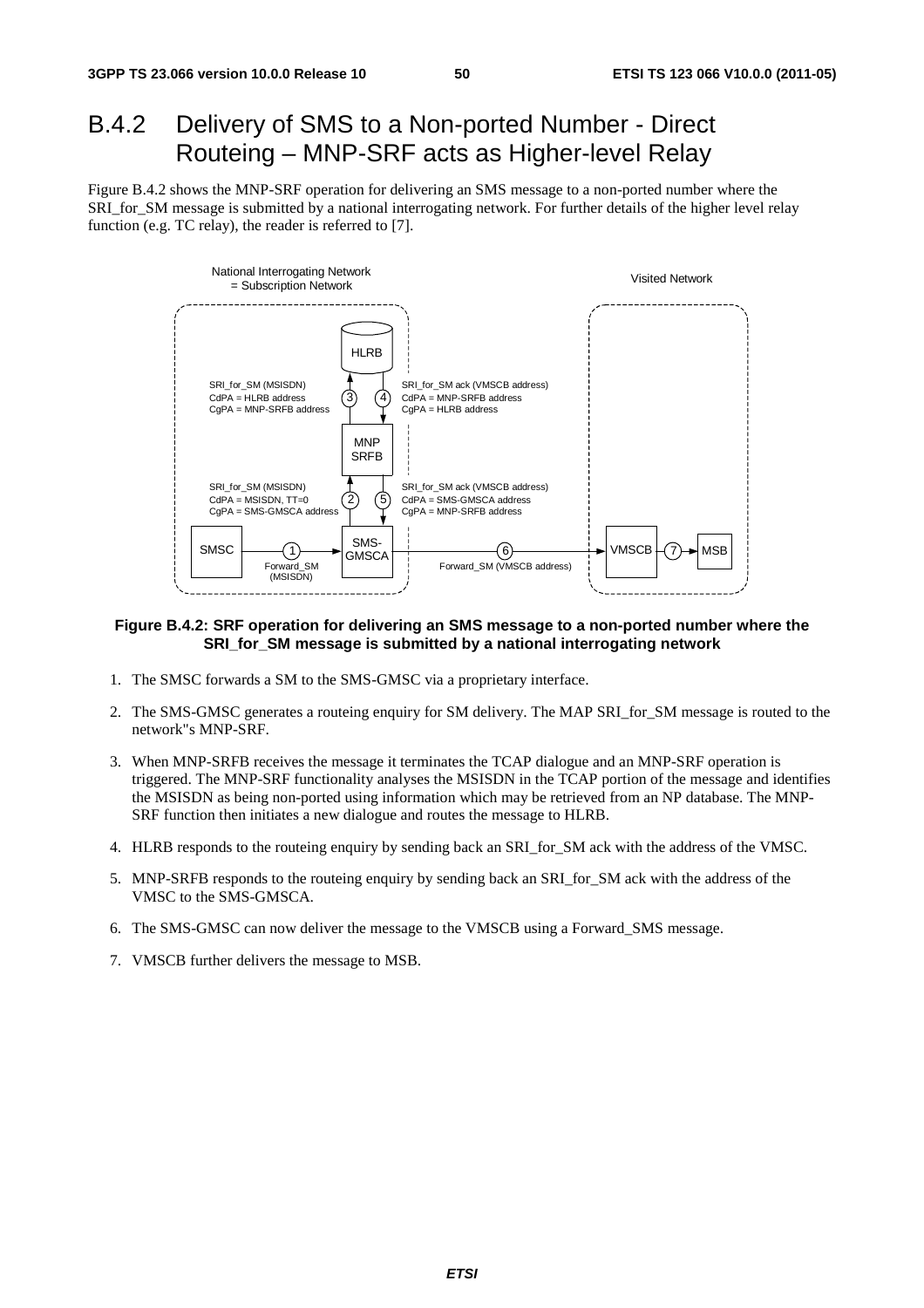## B.4.2 Delivery of SMS to a Non-ported Number - Direct Routeing – MNP-SRF acts as Higher-level Relay

Figure B.4.2 shows the MNP-SRF operation for delivering an SMS message to a non-ported number where the SRI\_for\_SM message is submitted by a national interrogating network. For further details of the higher level relay function (e.g. TC relay), the reader is referred to [7].



#### **Figure B.4.2: SRF operation for delivering an SMS message to a non-ported number where the SRI\_for\_SM message is submitted by a national interrogating network**

- 1. The SMSC forwards a SM to the SMS-GMSC via a proprietary interface.
- 2. The SMS-GMSC generates a routeing enquiry for SM delivery. The MAP SRI\_for\_SM message is routed to the network"s MNP-SRF.
- 3. When MNP-SRFB receives the message it terminates the TCAP dialogue and an MNP-SRF operation is triggered. The MNP-SRF functionality analyses the MSISDN in the TCAP portion of the message and identifies the MSISDN as being non-ported using information which may be retrieved from an NP database. The MNP-SRF function then initiates a new dialogue and routes the message to HLRB.
- 4. HLRB responds to the routeing enquiry by sending back an SRI\_for\_SM ack with the address of the VMSC.
- 5. MNP-SRFB responds to the routeing enquiry by sending back an SRI\_for\_SM ack with the address of the VMSC to the SMS-GMSCA.
- 6. The SMS-GMSC can now deliver the message to the VMSCB using a Forward\_SMS message.
- 7. VMSCB further delivers the message to MSB.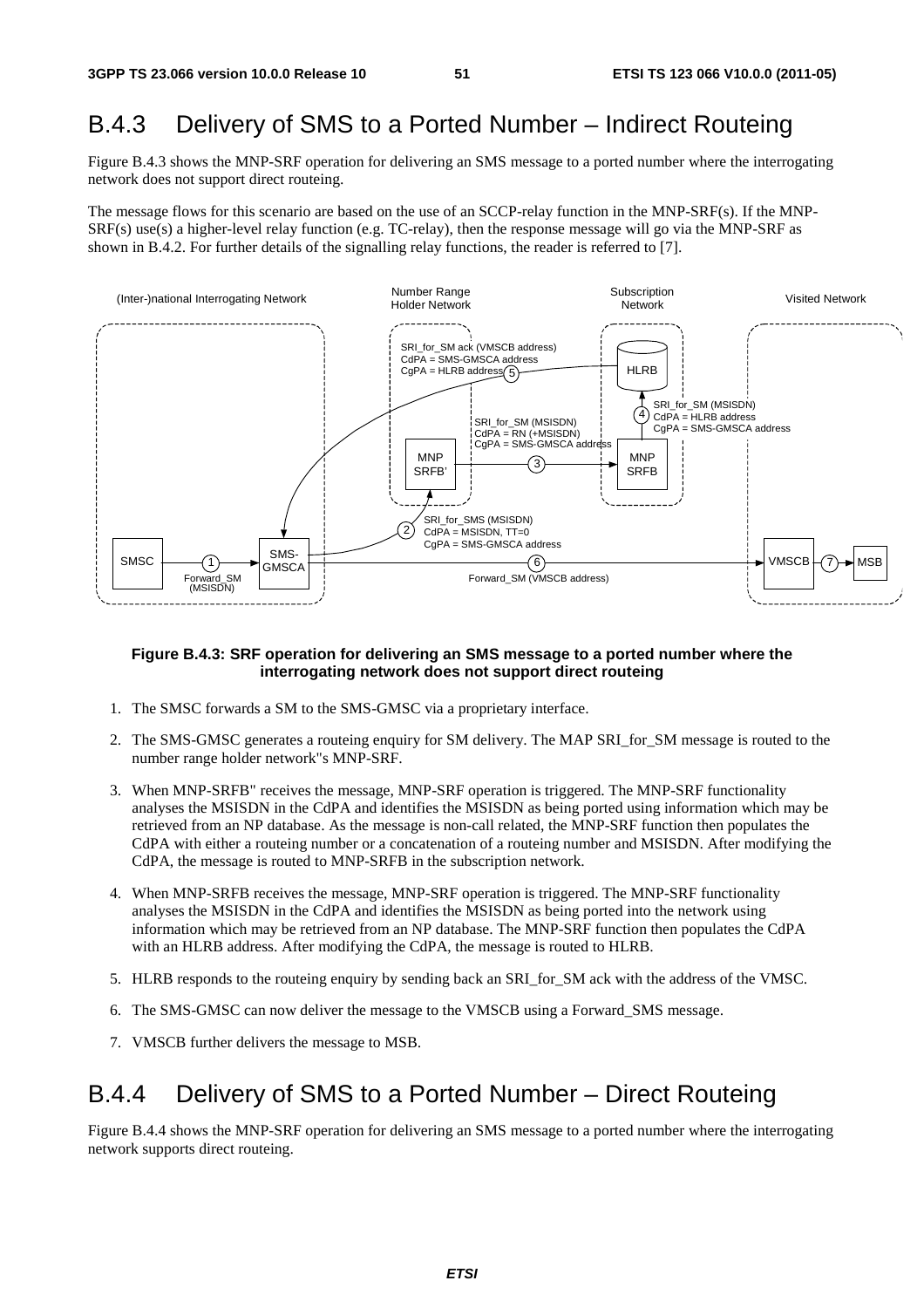## B.4.3 Delivery of SMS to a Ported Number – Indirect Routeing

Figure B.4.3 shows the MNP-SRF operation for delivering an SMS message to a ported number where the interrogating network does not support direct routeing.

The message flows for this scenario are based on the use of an SCCP-relay function in the MNP-SRF(s). If the MNP-SRF(s) use(s) a higher-level relay function (e.g. TC-relay), then the response message will go via the MNP-SRF as shown in B.4.2. For further details of the signalling relay functions, the reader is referred to [7].



#### **Figure B.4.3: SRF operation for delivering an SMS message to a ported number where the interrogating network does not support direct routeing**

- 1. The SMSC forwards a SM to the SMS-GMSC via a proprietary interface.
- 2. The SMS-GMSC generates a routeing enquiry for SM delivery. The MAP SRI for SM message is routed to the number range holder network"s MNP-SRF.
- 3. When MNP-SRFB" receives the message, MNP-SRF operation is triggered. The MNP-SRF functionality analyses the MSISDN in the CdPA and identifies the MSISDN as being ported using information which may be retrieved from an NP database. As the message is non-call related, the MNP-SRF function then populates the CdPA with either a routeing number or a concatenation of a routeing number and MSISDN. After modifying the CdPA, the message is routed to MNP-SRFB in the subscription network.
- 4. When MNP-SRFB receives the message, MNP-SRF operation is triggered. The MNP-SRF functionality analyses the MSISDN in the CdPA and identifies the MSISDN as being ported into the network using information which may be retrieved from an NP database. The MNP-SRF function then populates the CdPA with an HLRB address. After modifying the CdPA, the message is routed to HLRB.
- 5. HLRB responds to the routeing enquiry by sending back an SRI\_for\_SM ack with the address of the VMSC.
- 6. The SMS-GMSC can now deliver the message to the VMSCB using a Forward\_SMS message.
- 7. VMSCB further delivers the message to MSB.

### B.4.4 Delivery of SMS to a Ported Number – Direct Routeing

Figure B.4.4 shows the MNP-SRF operation for delivering an SMS message to a ported number where the interrogating network supports direct routeing.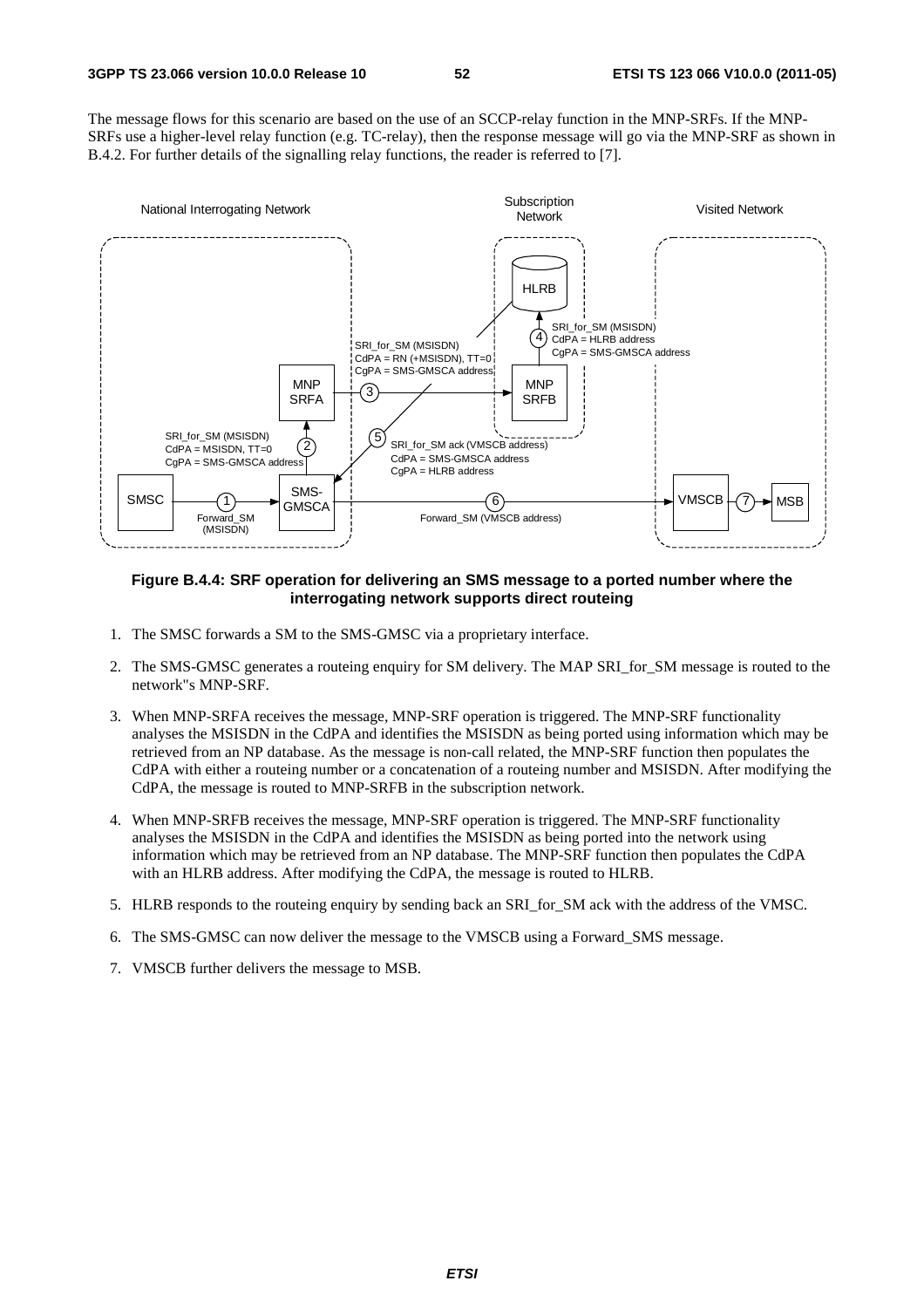The message flows for this scenario are based on the use of an SCCP-relay function in the MNP-SRFs. If the MNP-SRFs use a higher-level relay function (e.g. TC-relay), then the response message will go via the MNP-SRF as shown in B.4.2. For further details of the signalling relay functions, the reader is referred to [7].



### **Figure B.4.4: SRF operation for delivering an SMS message to a ported number where the interrogating network supports direct routeing**

- 1. The SMSC forwards a SM to the SMS-GMSC via a proprietary interface.
- 2. The SMS-GMSC generates a routeing enquiry for SM delivery. The MAP SRI\_for\_SM message is routed to the network"s MNP-SRF.
- 3. When MNP-SRFA receives the message, MNP-SRF operation is triggered. The MNP-SRF functionality analyses the MSISDN in the CdPA and identifies the MSISDN as being ported using information which may be retrieved from an NP database. As the message is non-call related, the MNP-SRF function then populates the CdPA with either a routeing number or a concatenation of a routeing number and MSISDN. After modifying the CdPA, the message is routed to MNP-SRFB in the subscription network.
- 4. When MNP-SRFB receives the message, MNP-SRF operation is triggered. The MNP-SRF functionality analyses the MSISDN in the CdPA and identifies the MSISDN as being ported into the network using information which may be retrieved from an NP database. The MNP-SRF function then populates the CdPA with an HLRB address. After modifying the CdPA, the message is routed to HLRB.
- 5. HLRB responds to the routeing enquiry by sending back an SRI\_for\_SM ack with the address of the VMSC.
- 6. The SMS-GMSC can now deliver the message to the VMSCB using a Forward\_SMS message.
- 7. VMSCB further delivers the message to MSB.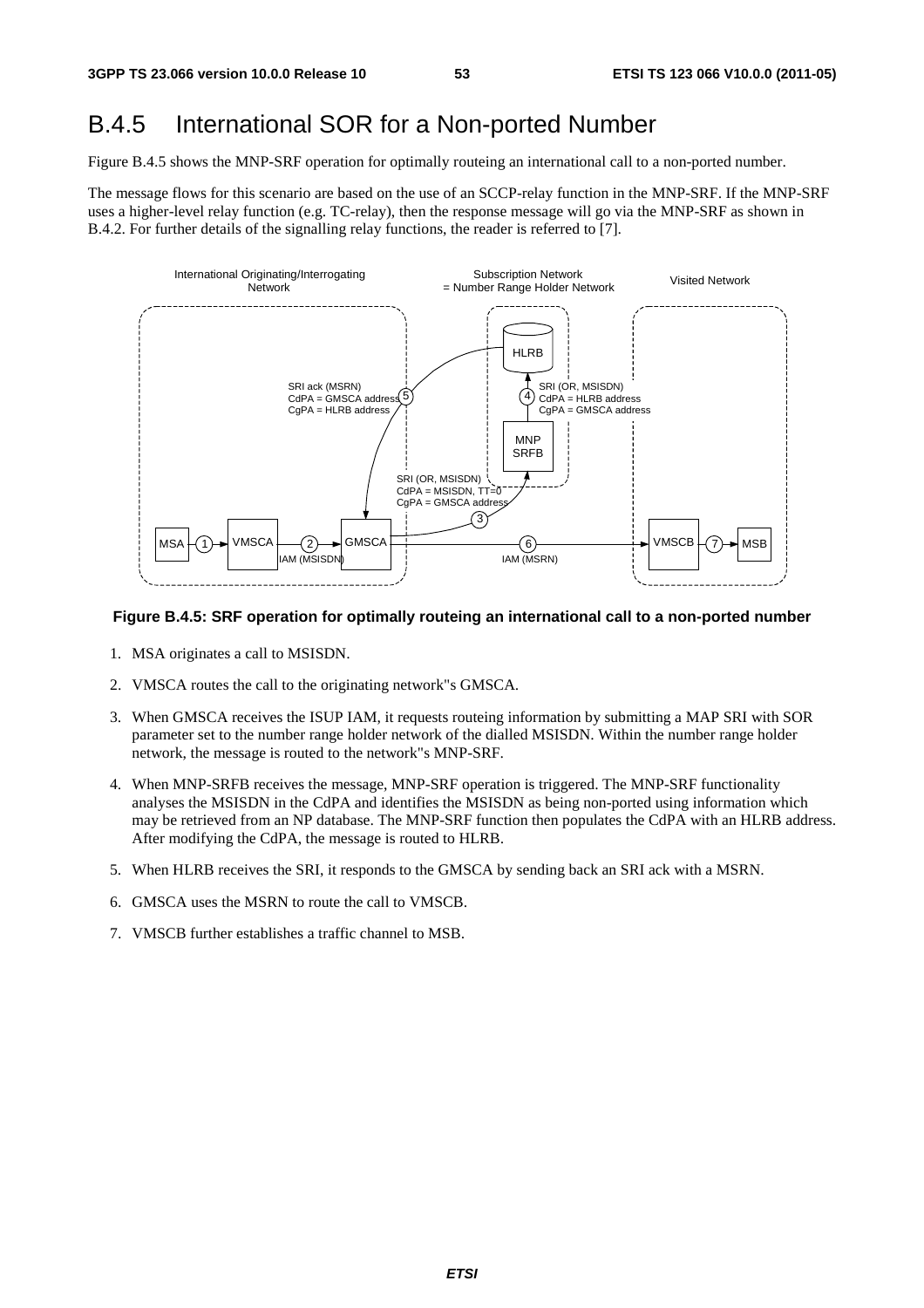# B.4.5 International SOR for a Non-ported Number

Figure B.4.5 shows the MNP-SRF operation for optimally routeing an international call to a non-ported number.

The message flows for this scenario are based on the use of an SCCP-relay function in the MNP-SRF. If the MNP-SRF uses a higher-level relay function (e.g. TC-relay), then the response message will go via the MNP-SRF as shown in B.4.2. For further details of the signalling relay functions, the reader is referred to [7].



### **Figure B.4.5: SRF operation for optimally routeing an international call to a non-ported number**

- 1. MSA originates a call to MSISDN.
- 2. VMSCA routes the call to the originating network"s GMSCA.
- 3. When GMSCA receives the ISUP IAM, it requests routeing information by submitting a MAP SRI with SOR parameter set to the number range holder network of the dialled MSISDN. Within the number range holder network, the message is routed to the network"s MNP-SRF.
- 4. When MNP-SRFB receives the message, MNP-SRF operation is triggered. The MNP-SRF functionality analyses the MSISDN in the CdPA and identifies the MSISDN as being non-ported using information which may be retrieved from an NP database. The MNP-SRF function then populates the CdPA with an HLRB address. After modifying the CdPA, the message is routed to HLRB.
- 5. When HLRB receives the SRI, it responds to the GMSCA by sending back an SRI ack with a MSRN.
- 6. GMSCA uses the MSRN to route the call to VMSCB.
- 7. VMSCB further establishes a traffic channel to MSB.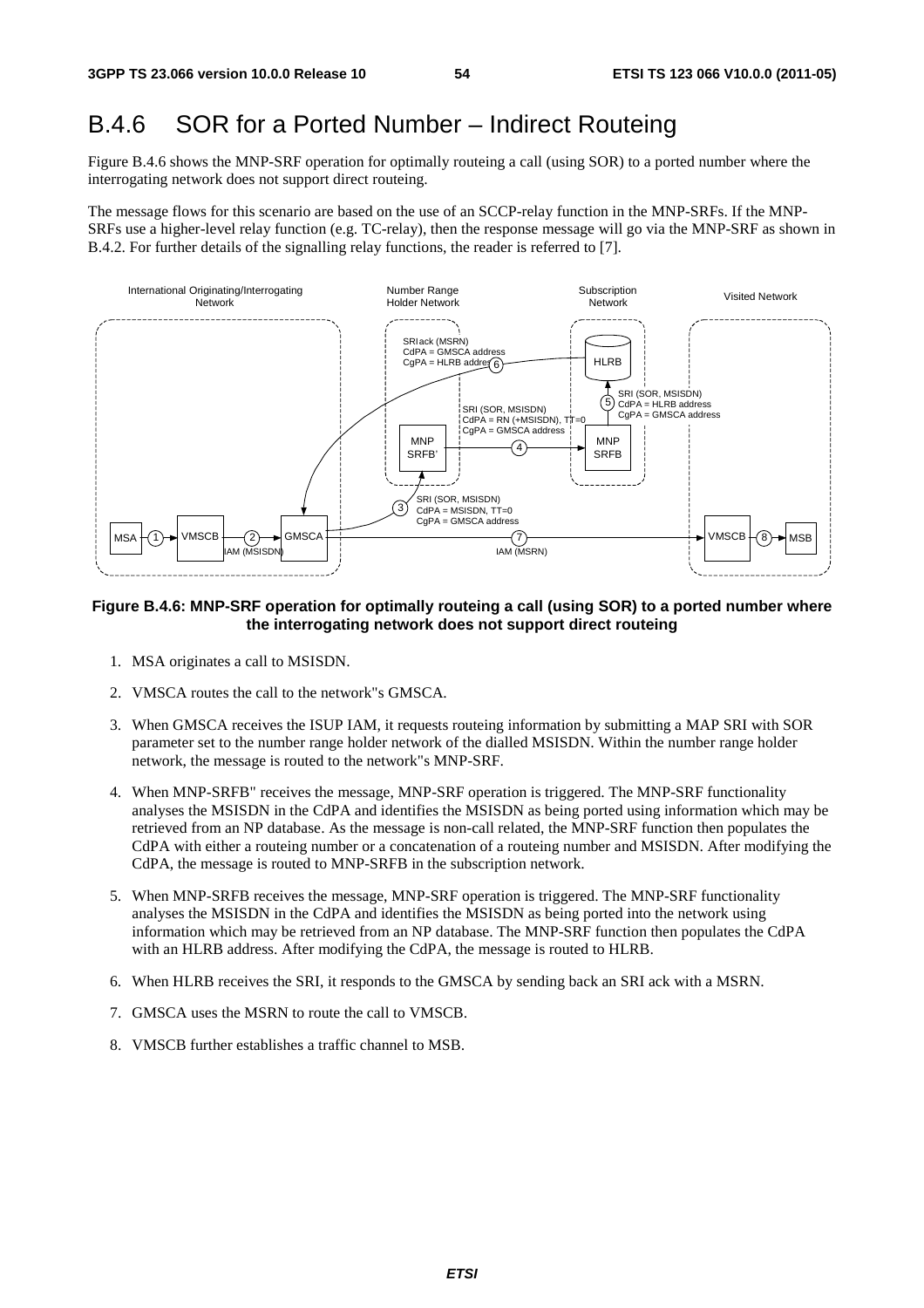### B.4.6 SOR for a Ported Number – Indirect Routeing

Figure B.4.6 shows the MNP-SRF operation for optimally routeing a call (using SOR) to a ported number where the interrogating network does not support direct routeing.

The message flows for this scenario are based on the use of an SCCP-relay function in the MNP-SRFs. If the MNP-SRFs use a higher-level relay function (e.g. TC-relay), then the response message will go via the MNP-SRF as shown in B.4.2. For further details of the signalling relay functions, the reader is referred to [7].



#### **Figure B.4.6: MNP-SRF operation for optimally routeing a call (using SOR) to a ported number where the interrogating network does not support direct routeing**

- 1. MSA originates a call to MSISDN.
- 2. VMSCA routes the call to the network"s GMSCA.
- 3. When GMSCA receives the ISUP IAM, it requests routeing information by submitting a MAP SRI with SOR parameter set to the number range holder network of the dialled MSISDN. Within the number range holder network, the message is routed to the network"s MNP-SRF.
- 4. When MNP-SRFB" receives the message, MNP-SRF operation is triggered. The MNP-SRF functionality analyses the MSISDN in the CdPA and identifies the MSISDN as being ported using information which may be retrieved from an NP database. As the message is non-call related, the MNP-SRF function then populates the CdPA with either a routeing number or a concatenation of a routeing number and MSISDN. After modifying the CdPA, the message is routed to MNP-SRFB in the subscription network.
- 5. When MNP-SRFB receives the message, MNP-SRF operation is triggered. The MNP-SRF functionality analyses the MSISDN in the CdPA and identifies the MSISDN as being ported into the network using information which may be retrieved from an NP database. The MNP-SRF function then populates the CdPA with an HLRB address. After modifying the CdPA, the message is routed to HLRB.
- 6. When HLRB receives the SRI, it responds to the GMSCA by sending back an SRI ack with a MSRN.
- 7. GMSCA uses the MSRN to route the call to VMSCB.
- 8. VMSCB further establishes a traffic channel to MSB.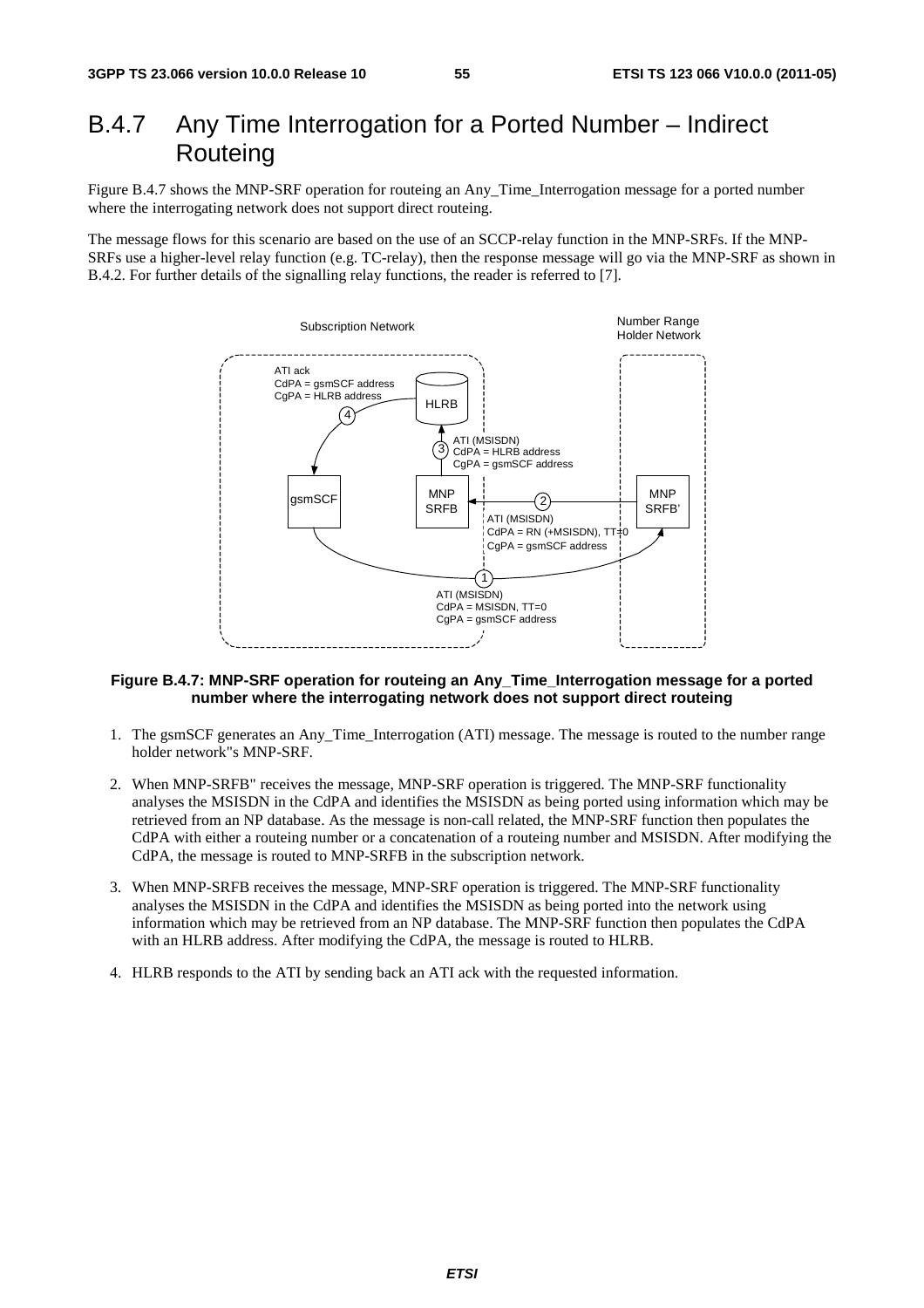# B.4.7 Any Time Interrogation for a Ported Number – Indirect **Routeing**

Figure B.4.7 shows the MNP-SRF operation for routeing an Any\_Time\_Interrogation message for a ported number where the interrogating network does not support direct routeing.

The message flows for this scenario are based on the use of an SCCP-relay function in the MNP-SRFs. If the MNP-SRFs use a higher-level relay function (e.g. TC-relay), then the response message will go via the MNP-SRF as shown in B.4.2. For further details of the signalling relay functions, the reader is referred to [7].



#### **Figure B.4.7: MNP-SRF operation for routeing an Any\_Time\_Interrogation message for a ported number where the interrogating network does not support direct routeing**

- 1. The gsmSCF generates an Any\_Time\_Interrogation (ATI) message. The message is routed to the number range holder network"s MNP-SRF.
- 2. When MNP-SRFB" receives the message, MNP-SRF operation is triggered. The MNP-SRF functionality analyses the MSISDN in the CdPA and identifies the MSISDN as being ported using information which may be retrieved from an NP database. As the message is non-call related, the MNP-SRF function then populates the CdPA with either a routeing number or a concatenation of a routeing number and MSISDN. After modifying the CdPA, the message is routed to MNP-SRFB in the subscription network.
- 3. When MNP-SRFB receives the message, MNP-SRF operation is triggered. The MNP-SRF functionality analyses the MSISDN in the CdPA and identifies the MSISDN as being ported into the network using information which may be retrieved from an NP database. The MNP-SRF function then populates the CdPA with an HLRB address. After modifying the CdPA, the message is routed to HLRB.
- 4. HLRB responds to the ATI by sending back an ATI ack with the requested information.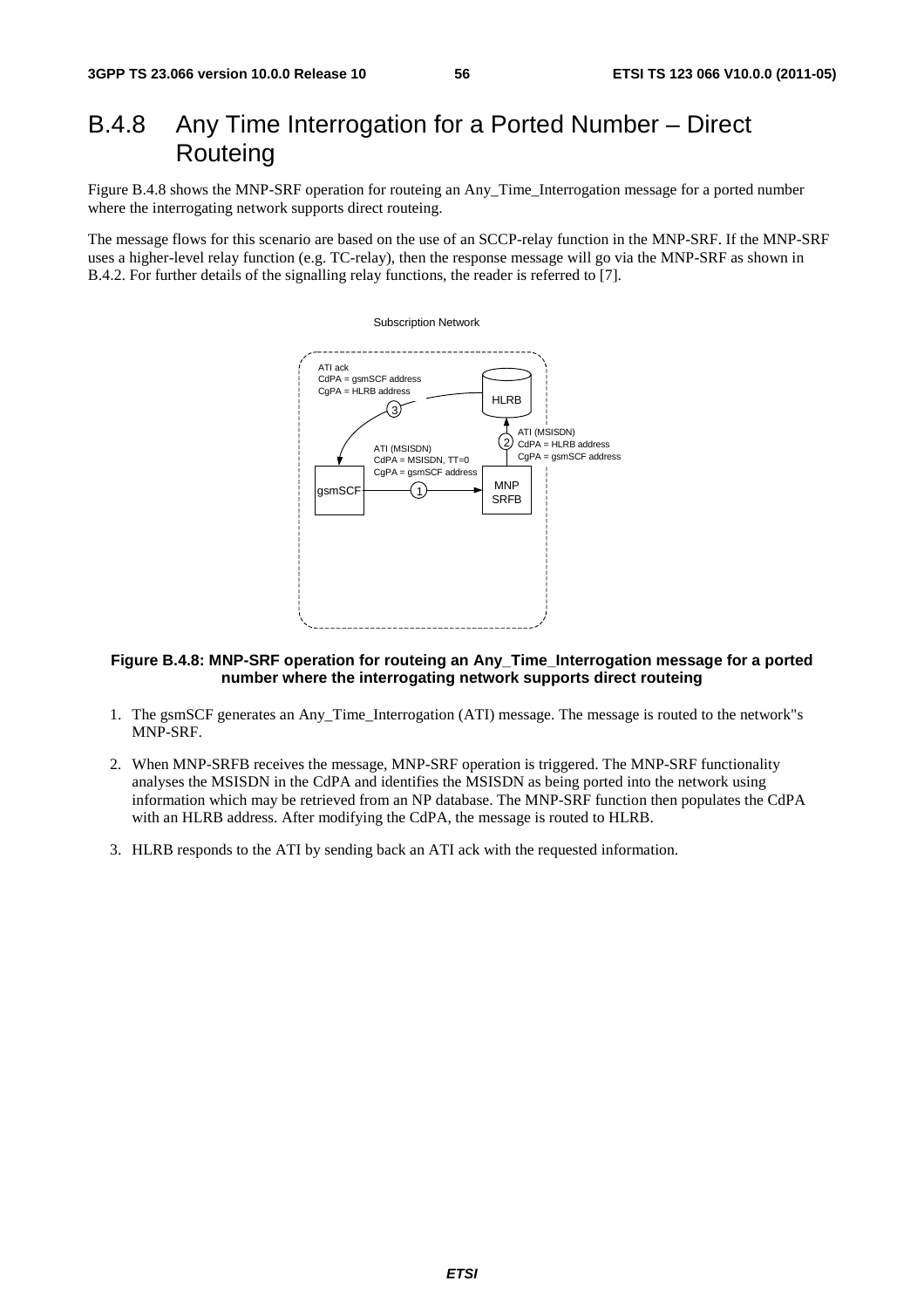# B.4.8 Any Time Interrogation for a Ported Number – Direct Routeing

Figure B.4.8 shows the MNP-SRF operation for routeing an Any\_Time\_Interrogation message for a ported number where the interrogating network supports direct routeing.

The message flows for this scenario are based on the use of an SCCP-relay function in the MNP-SRF. If the MNP-SRF uses a higher-level relay function (e.g. TC-relay), then the response message will go via the MNP-SRF as shown in B.4.2. For further details of the signalling relay functions, the reader is referred to [7].



### **Figure B.4.8: MNP-SRF operation for routeing an Any\_Time\_Interrogation message for a ported number where the interrogating network supports direct routeing**

- 1. The gsmSCF generates an Any\_Time\_Interrogation (ATI) message. The message is routed to the network"s MNP-SRF.
- 2. When MNP-SRFB receives the message, MNP-SRF operation is triggered. The MNP-SRF functionality analyses the MSISDN in the CdPA and identifies the MSISDN as being ported into the network using information which may be retrieved from an NP database. The MNP-SRF function then populates the CdPA with an HLRB address. After modifying the CdPA, the message is routed to HLRB.
- 3. HLRB responds to the ATI by sending back an ATI ack with the requested information.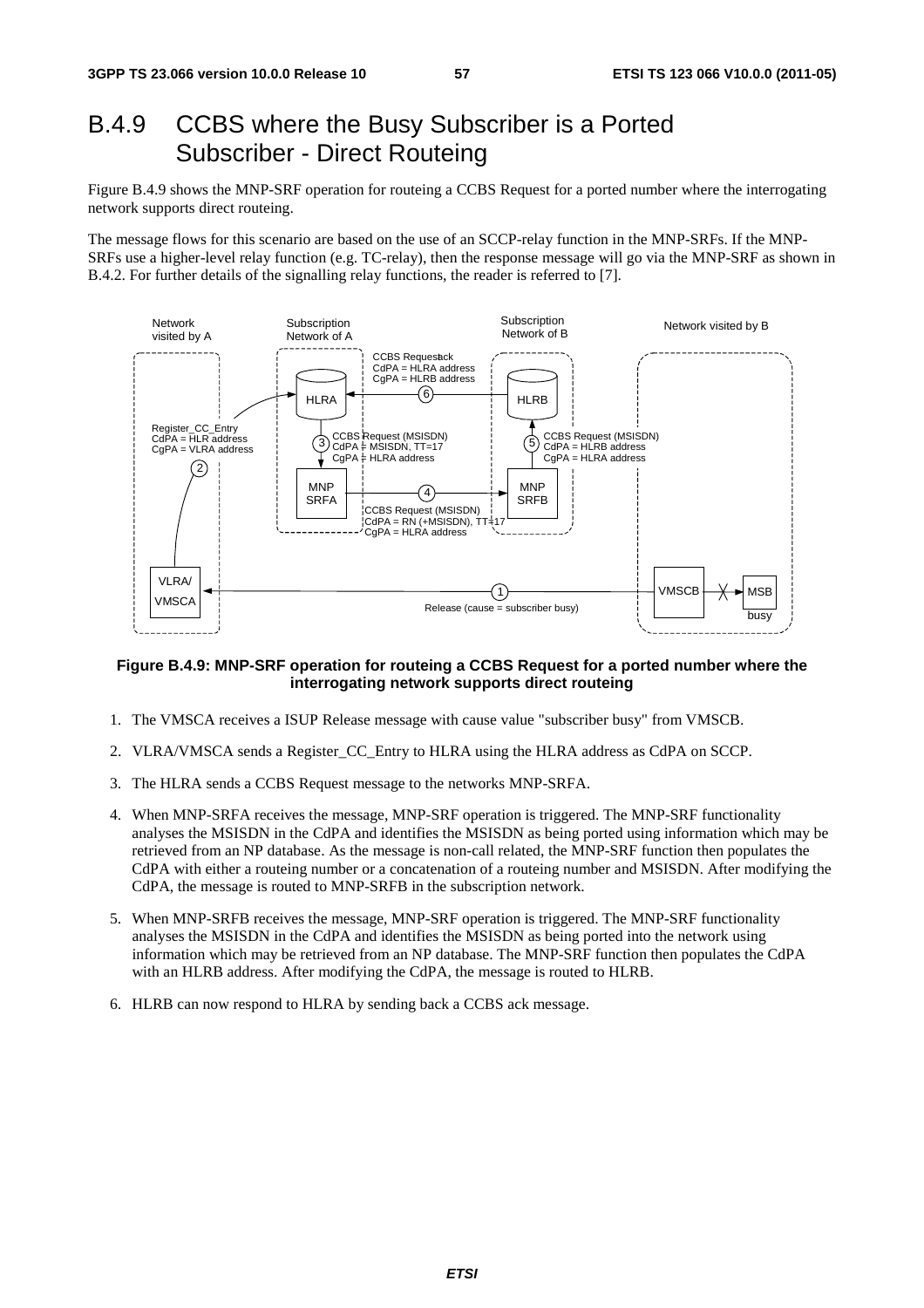# B.4.9 CCBS where the Busy Subscriber is a Ported Subscriber - Direct Routeing

Figure B.4.9 shows the MNP-SRF operation for routeing a CCBS Request for a ported number where the interrogating network supports direct routeing.

The message flows for this scenario are based on the use of an SCCP-relay function in the MNP-SRFs. If the MNP-SRFs use a higher-level relay function (e.g. TC-relay), then the response message will go via the MNP-SRF as shown in B.4.2. For further details of the signalling relay functions, the reader is referred to [7].



#### **Figure B.4.9: MNP-SRF operation for routeing a CCBS Request for a ported number where the interrogating network supports direct routeing**

- 1. The VMSCA receives a ISUP Release message with cause value "subscriber busy" from VMSCB.
- 2. VLRA/VMSCA sends a Register\_CC\_Entry to HLRA using the HLRA address as CdPA on SCCP.
- 3. The HLRA sends a CCBS Request message to the networks MNP-SRFA.
- 4. When MNP-SRFA receives the message, MNP-SRF operation is triggered. The MNP-SRF functionality analyses the MSISDN in the CdPA and identifies the MSISDN as being ported using information which may be retrieved from an NP database. As the message is non-call related, the MNP-SRF function then populates the CdPA with either a routeing number or a concatenation of a routeing number and MSISDN. After modifying the CdPA, the message is routed to MNP-SRFB in the subscription network.
- 5. When MNP-SRFB receives the message, MNP-SRF operation is triggered. The MNP-SRF functionality analyses the MSISDN in the CdPA and identifies the MSISDN as being ported into the network using information which may be retrieved from an NP database. The MNP-SRF function then populates the CdPA with an HLRB address. After modifying the CdPA, the message is routed to HLRB.
- 6. HLRB can now respond to HLRA by sending back a CCBS ack message.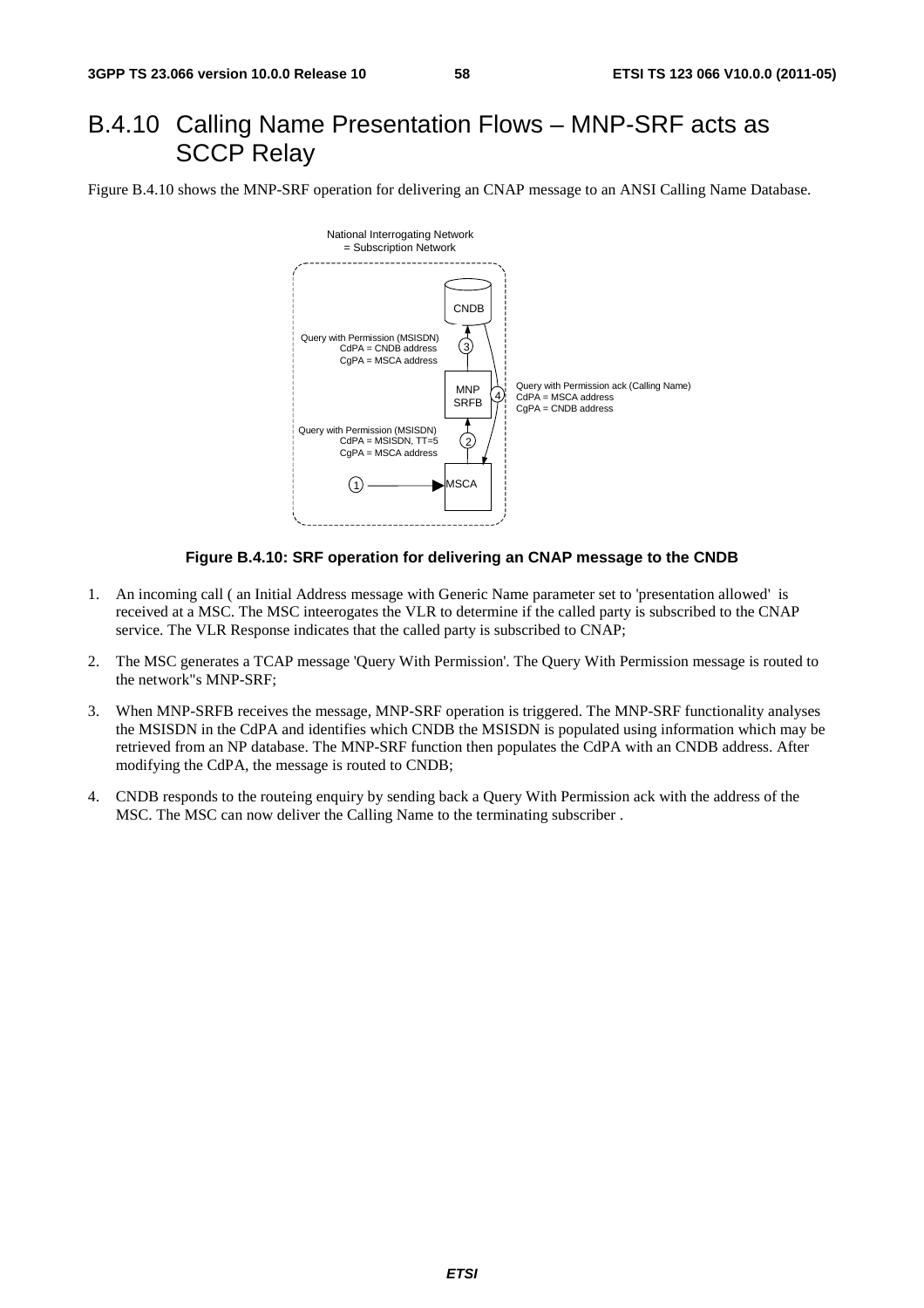## B.4.10 Calling Name Presentation Flows – MNP-SRF acts as SCCP Relay

Figure B.4.10 shows the MNP-SRF operation for delivering an CNAP message to an ANSI Calling Name Database.



#### **Figure B.4.10: SRF operation for delivering an CNAP message to the CNDB**

- 1. An incoming call ( an Initial Address message with Generic Name parameter set to 'presentation allowed' is received at a MSC. The MSC inteerogates the VLR to determine if the called party is subscribed to the CNAP service. The VLR Response indicates that the called party is subscribed to CNAP;
- 2. The MSC generates a TCAP message 'Query With Permission'. The Query With Permission message is routed to the network"s MNP-SRF;
- 3. When MNP-SRFB receives the message, MNP-SRF operation is triggered. The MNP-SRF functionality analyses the MSISDN in the CdPA and identifies which CNDB the MSISDN is populated using information which may be retrieved from an NP database. The MNP-SRF function then populates the CdPA with an CNDB address. After modifying the CdPA, the message is routed to CNDB;
- 4. CNDB responds to the routeing enquiry by sending back a Query With Permission ack with the address of the MSC. The MSC can now deliver the Calling Name to the terminating subscriber .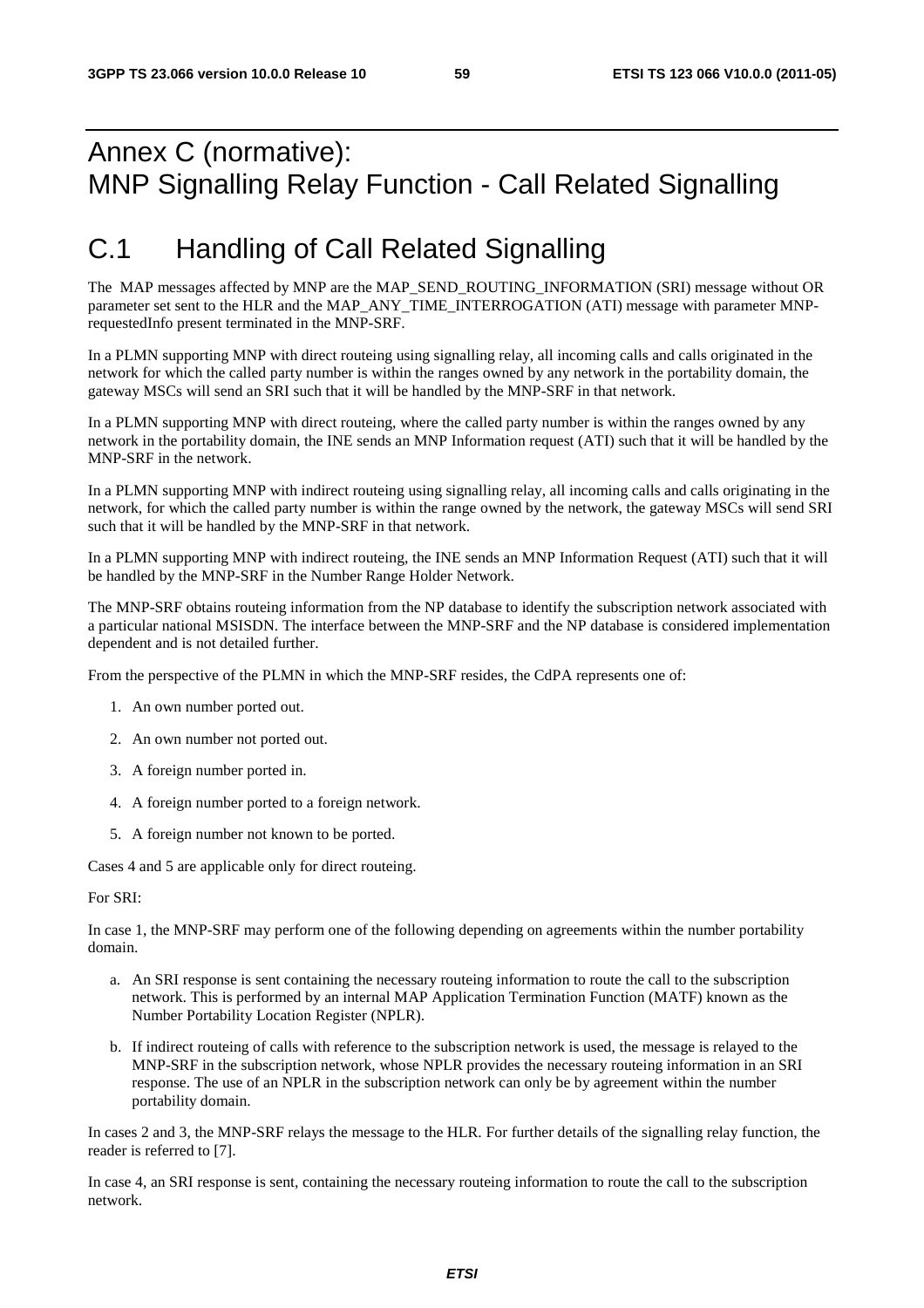# Annex C (normative): MNP Signalling Relay Function - Call Related Signalling

# C.1 Handling of Call Related Signalling

The MAP messages affected by MNP are the MAP\_SEND\_ROUTING\_INFORMATION (SRI) message without OR parameter set sent to the HLR and the MAP\_ANY\_TIME\_INTERROGATION (ATI) message with parameter MNPrequestedInfo present terminated in the MNP-SRF.

In a PLMN supporting MNP with direct routeing using signalling relay, all incoming calls and calls originated in the network for which the called party number is within the ranges owned by any network in the portability domain, the gateway MSCs will send an SRI such that it will be handled by the MNP-SRF in that network.

In a PLMN supporting MNP with direct routeing, where the called party number is within the ranges owned by any network in the portability domain, the INE sends an MNP Information request (ATI) such that it will be handled by the MNP-SRF in the network.

In a PLMN supporting MNP with indirect routeing using signalling relay, all incoming calls and calls originating in the network, for which the called party number is within the range owned by the network, the gateway MSCs will send SRI such that it will be handled by the MNP-SRF in that network.

In a PLMN supporting MNP with indirect routeing, the INE sends an MNP Information Request (ATI) such that it will be handled by the MNP-SRF in the Number Range Holder Network.

The MNP-SRF obtains routeing information from the NP database to identify the subscription network associated with a particular national MSISDN. The interface between the MNP-SRF and the NP database is considered implementation dependent and is not detailed further.

From the perspective of the PLMN in which the MNP-SRF resides, the CdPA represents one of:

- 1. An own number ported out.
- 2. An own number not ported out.
- 3. A foreign number ported in.
- 4. A foreign number ported to a foreign network.
- 5. A foreign number not known to be ported.

Cases 4 and 5 are applicable only for direct routeing.

For SRI:

In case 1, the MNP-SRF may perform one of the following depending on agreements within the number portability domain.

- a. An SRI response is sent containing the necessary routeing information to route the call to the subscription network. This is performed by an internal MAP Application Termination Function (MATF) known as the Number Portability Location Register (NPLR).
- b. If indirect routeing of calls with reference to the subscription network is used, the message is relayed to the MNP-SRF in the subscription network, whose NPLR provides the necessary routeing information in an SRI response. The use of an NPLR in the subscription network can only be by agreement within the number portability domain.

In cases 2 and 3, the MNP-SRF relays the message to the HLR. For further details of the signalling relay function, the reader is referred to [7].

In case 4, an SRI response is sent, containing the necessary routeing information to route the call to the subscription network.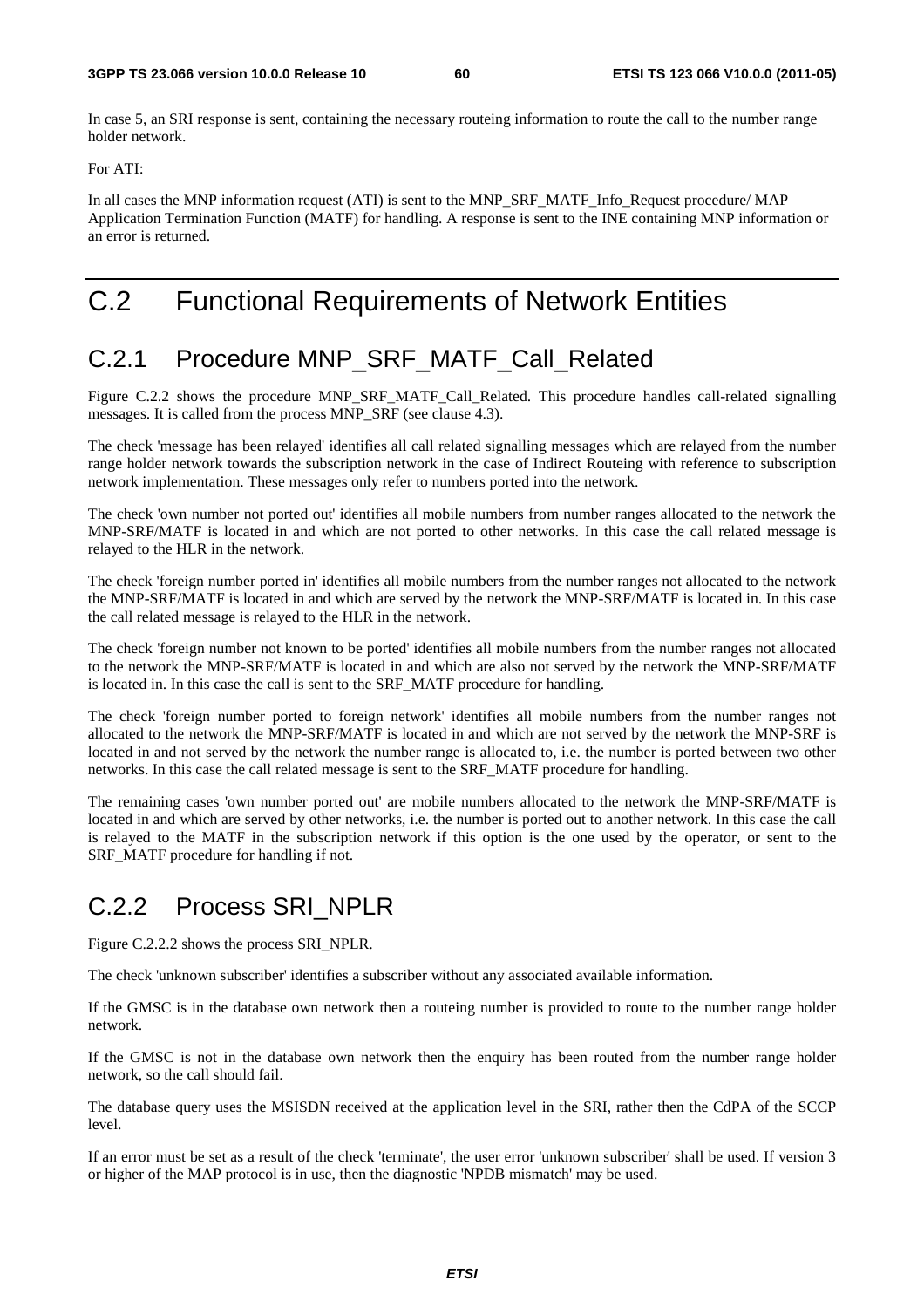In case 5, an SRI response is sent, containing the necessary routeing information to route the call to the number range holder network.

For ATI:

In all cases the MNP information request (ATI) is sent to the MNP\_SRF\_MATF\_Info\_Request procedure/ MAP Application Termination Function (MATF) for handling. A response is sent to the INE containing MNP information or an error is returned.

# C.2 Functional Requirements of Network Entities

# C.2.1 Procedure MNP\_SRF\_MATF\_Call\_Related

Figure C.2.2 shows the procedure MNP\_SRF\_MATF\_Call\_Related. This procedure handles call-related signalling messages. It is called from the process MNP\_SRF (see clause 4.3).

The check 'message has been relayed' identifies all call related signalling messages which are relayed from the number range holder network towards the subscription network in the case of Indirect Routeing with reference to subscription network implementation. These messages only refer to numbers ported into the network.

The check 'own number not ported out' identifies all mobile numbers from number ranges allocated to the network the MNP-SRF/MATF is located in and which are not ported to other networks. In this case the call related message is relayed to the HLR in the network.

The check 'foreign number ported in' identifies all mobile numbers from the number ranges not allocated to the network the MNP-SRF/MATF is located in and which are served by the network the MNP-SRF/MATF is located in. In this case the call related message is relayed to the HLR in the network.

The check 'foreign number not known to be ported' identifies all mobile numbers from the number ranges not allocated to the network the MNP-SRF/MATF is located in and which are also not served by the network the MNP-SRF/MATF is located in. In this case the call is sent to the SRF\_MATF procedure for handling.

The check 'foreign number ported to foreign network' identifies all mobile numbers from the number ranges not allocated to the network the MNP-SRF/MATF is located in and which are not served by the network the MNP-SRF is located in and not served by the network the number range is allocated to, i.e. the number is ported between two other networks. In this case the call related message is sent to the SRF\_MATF procedure for handling.

The remaining cases 'own number ported out' are mobile numbers allocated to the network the MNP-SRF/MATF is located in and which are served by other networks, i.e. the number is ported out to another network. In this case the call is relayed to the MATF in the subscription network if this option is the one used by the operator, or sent to the SRF\_MATF procedure for handling if not.

# C.2.2 Process SRI\_NPLR

Figure C.2.2.2 shows the process SRI\_NPLR.

The check 'unknown subscriber' identifies a subscriber without any associated available information.

If the GMSC is in the database own network then a routeing number is provided to route to the number range holder network.

If the GMSC is not in the database own network then the enquiry has been routed from the number range holder network, so the call should fail.

The database query uses the MSISDN received at the application level in the SRI, rather then the CdPA of the SCCP level.

If an error must be set as a result of the check 'terminate', the user error 'unknown subscriber' shall be used. If version 3 or higher of the MAP protocol is in use, then the diagnostic 'NPDB mismatch' may be used.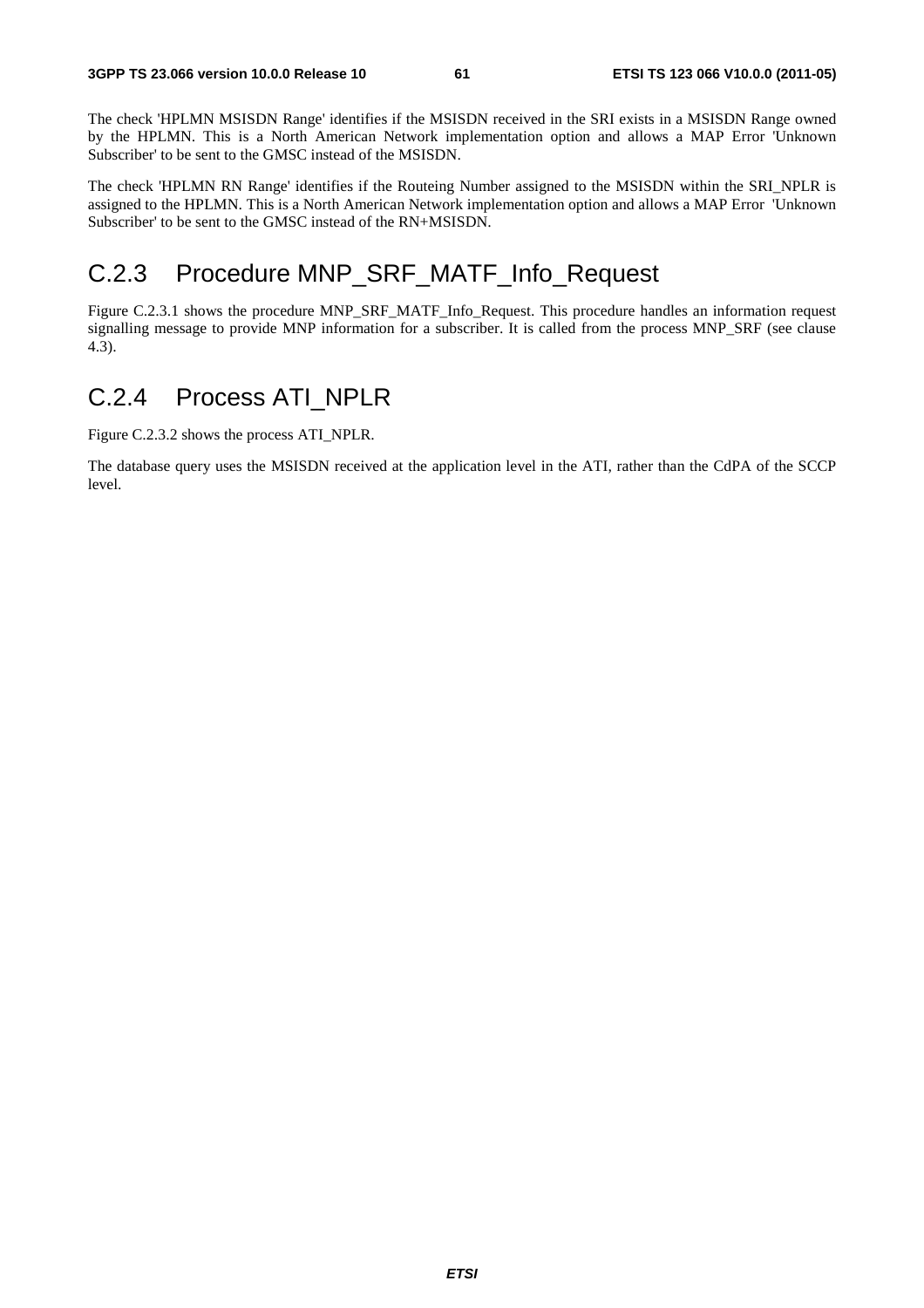The check 'HPLMN MSISDN Range' identifies if the MSISDN received in the SRI exists in a MSISDN Range owned by the HPLMN. This is a North American Network implementation option and allows a MAP Error 'Unknown Subscriber' to be sent to the GMSC instead of the MSISDN.

The check 'HPLMN RN Range' identifies if the Routeing Number assigned to the MSISDN within the SRI\_NPLR is assigned to the HPLMN. This is a North American Network implementation option and allows a MAP Error 'Unknown Subscriber' to be sent to the GMSC instead of the RN+MSISDN.

### C.2.3 Procedure MNP\_SRF\_MATF\_Info\_Request

Figure C.2.3.1 shows the procedure MNP\_SRF\_MATF\_Info\_Request. This procedure handles an information request signalling message to provide MNP information for a subscriber. It is called from the process MNP\_SRF (see clause 4.3).

### C.2.4 Process ATI\_NPLR

Figure C.2.3.2 shows the process ATI\_NPLR.

The database query uses the MSISDN received at the application level in the ATI, rather than the CdPA of the SCCP level.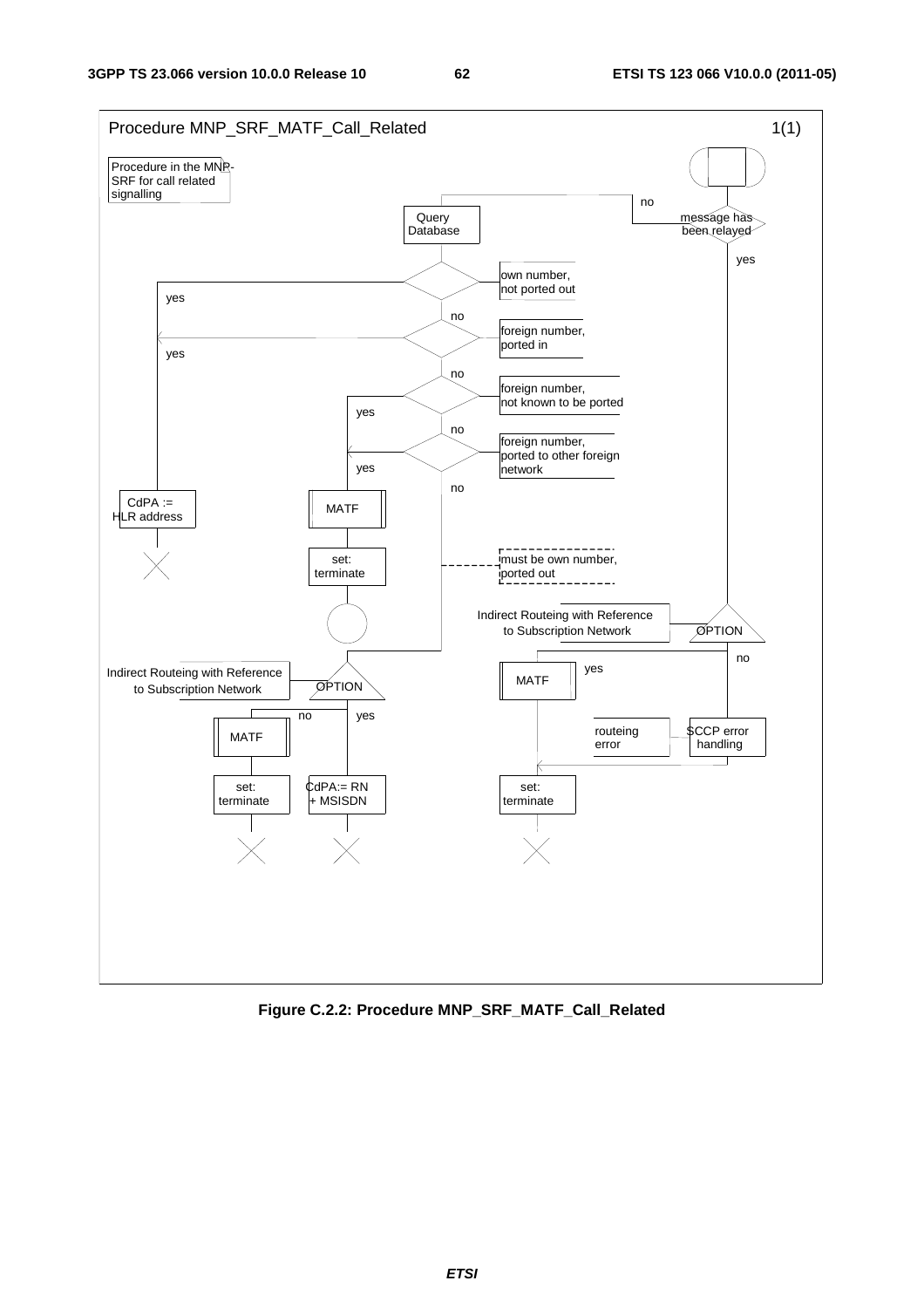

**Figure C.2.2: Procedure MNP\_SRF\_MATF\_Call\_Related**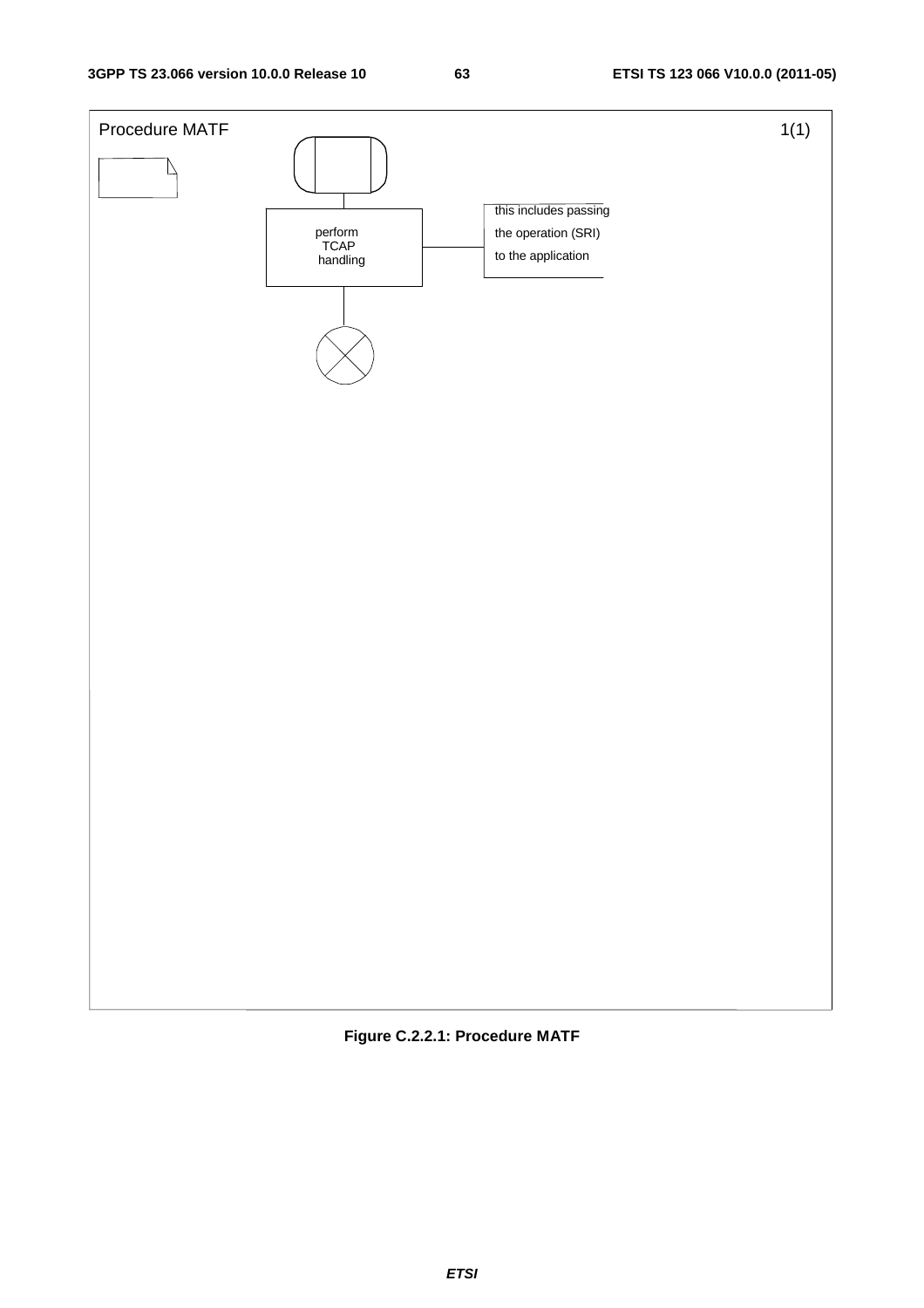

**Figure C.2.2.1: Procedure MATF**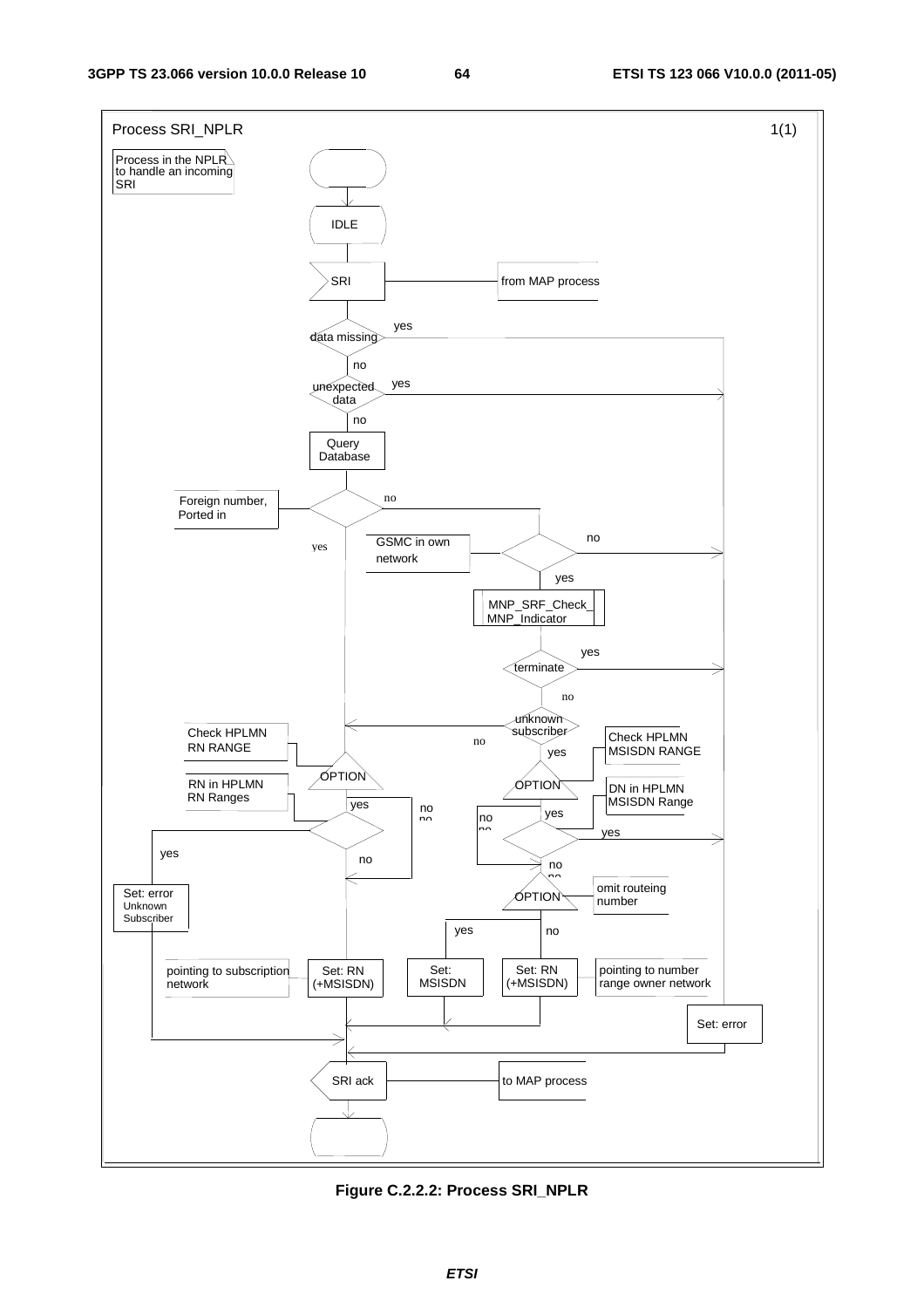

**Figure C.2.2.2: Process SRI\_NPLR**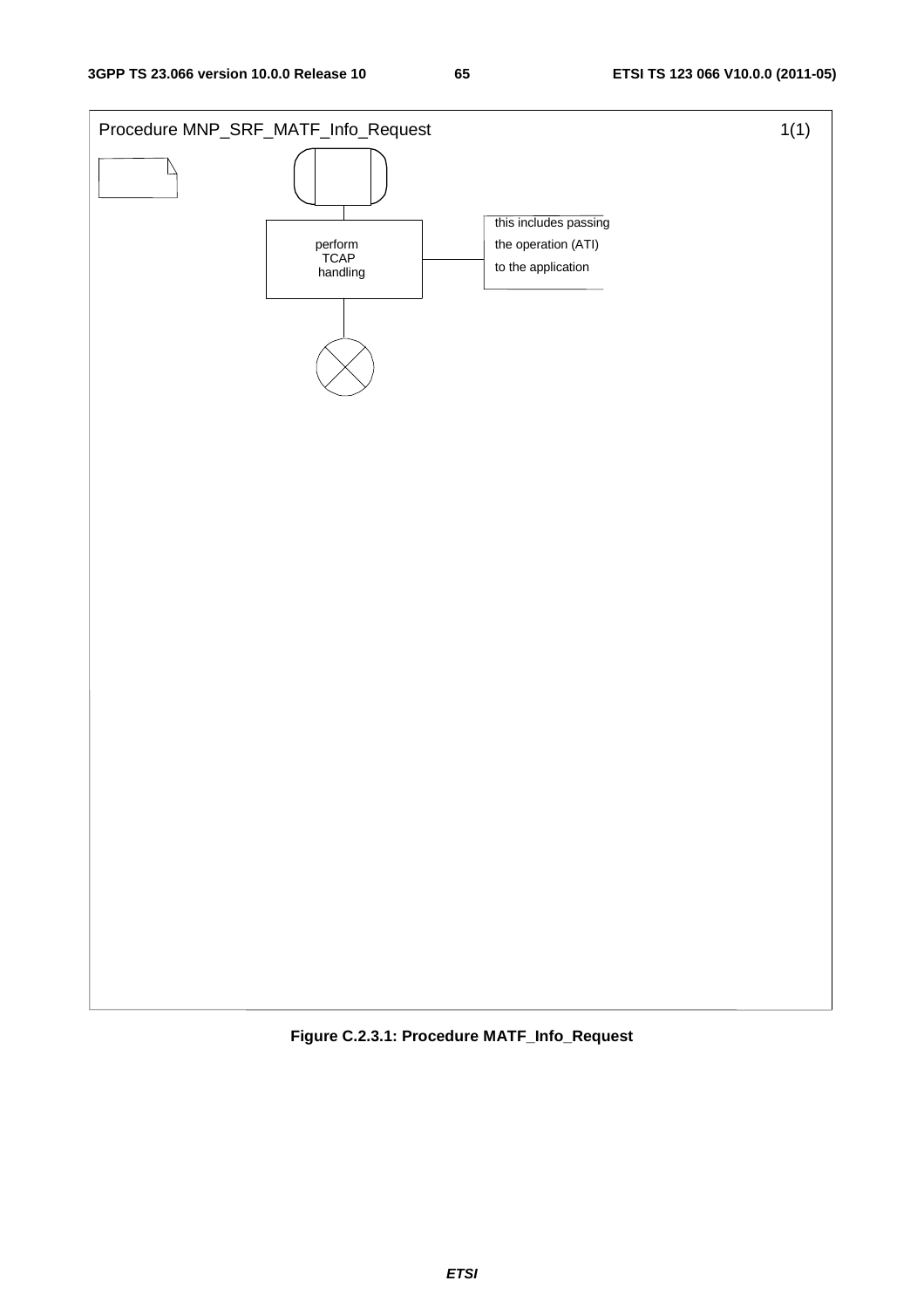

**Figure C.2.3.1: Procedure MATF\_Info\_Request**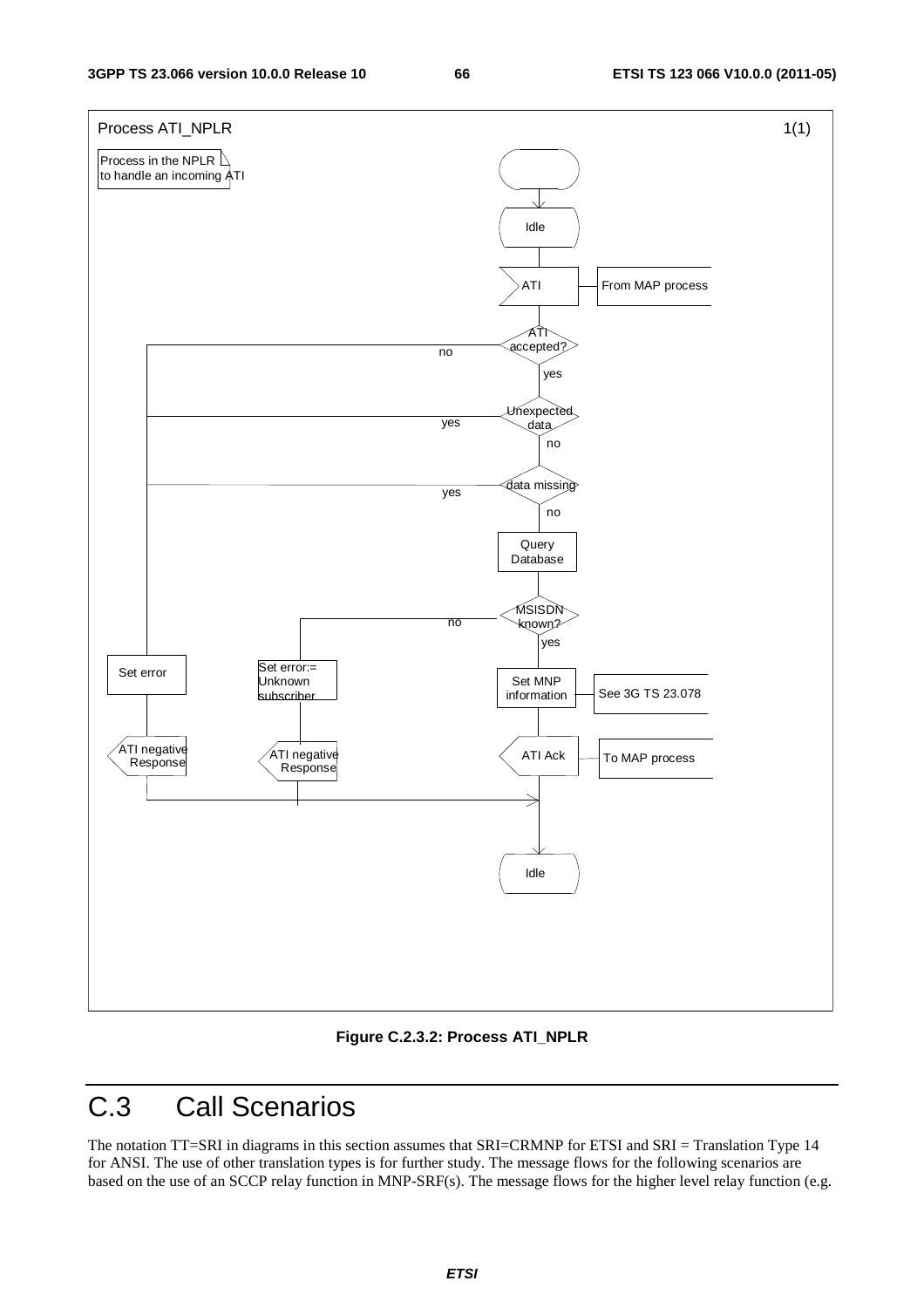

**Figure C.2.3.2: Process ATI\_NPLR** 

# C.3 Call Scenarios

The notation TT=SRI in diagrams in this section assumes that SRI=CRMNP for ETSI and SRI = Translation Type 14 for ANSI. The use of other translation types is for further study. The message flows for the following scenarios are based on the use of an SCCP relay function in MNP-SRF(s). The message flows for the higher level relay function (e.g.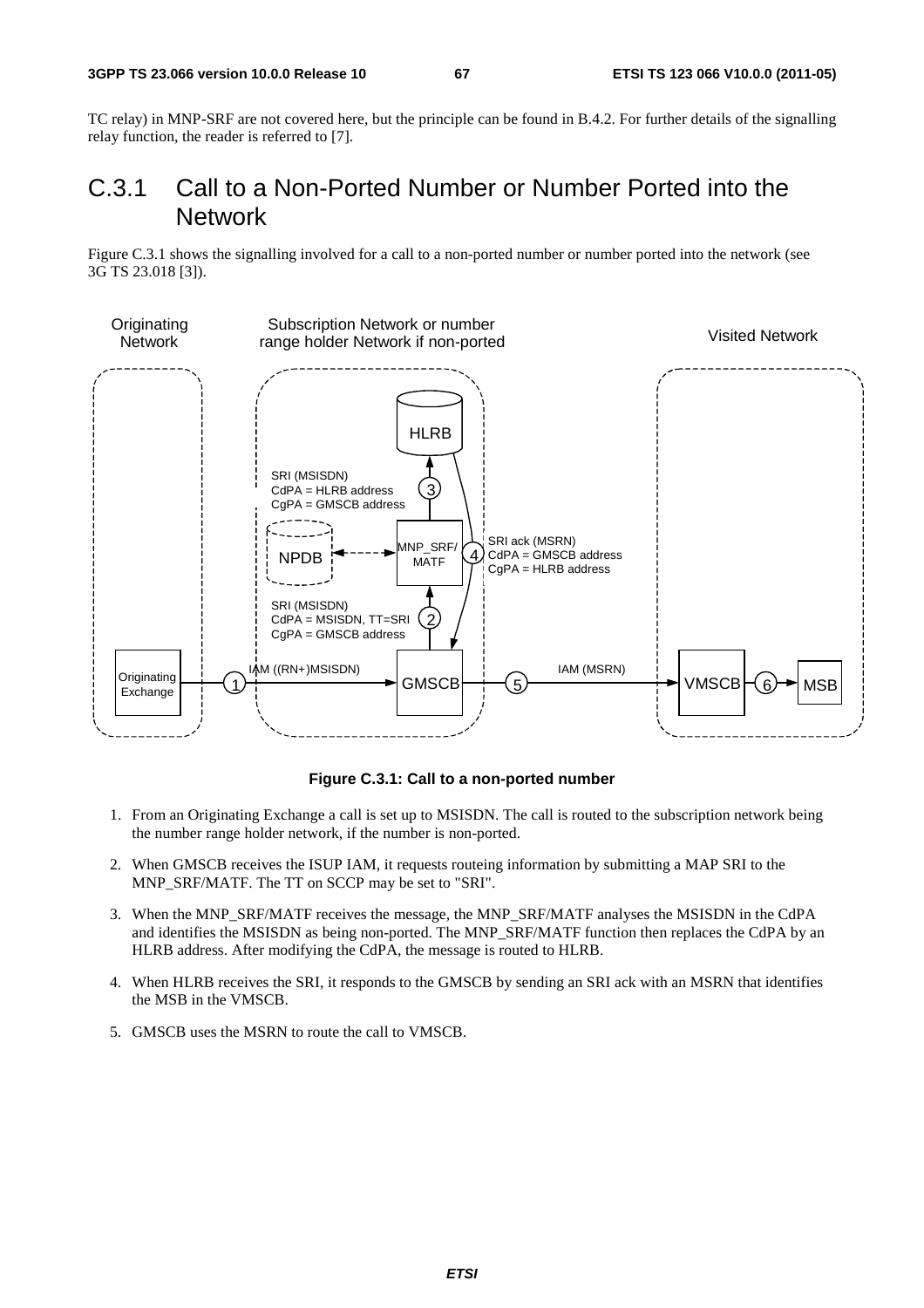TC relay) in MNP-SRF are not covered here, but the principle can be found in B.4.2. For further details of the signalling relay function, the reader is referred to [7].

### C.3.1 Call to a Non-Ported Number or Number Ported into the Network

Figure C.3.1 shows the signalling involved for a call to a non-ported number or number ported into the network (see 3G TS 23.018 [3]).



### **Figure C.3.1: Call to a non-ported number**

- 1. From an Originating Exchange a call is set up to MSISDN. The call is routed to the subscription network being the number range holder network, if the number is non-ported.
- 2. When GMSCB receives the ISUP IAM, it requests routeing information by submitting a MAP SRI to the MNP\_SRF/MATF. The TT on SCCP may be set to "SRI".
- 3. When the MNP\_SRF/MATF receives the message, the MNP\_SRF/MATF analyses the MSISDN in the CdPA and identifies the MSISDN as being non-ported. The MNP\_SRF/MATF function then replaces the CdPA by an HLRB address. After modifying the CdPA, the message is routed to HLRB.
- 4. When HLRB receives the SRI, it responds to the GMSCB by sending an SRI ack with an MSRN that identifies the MSB in the VMSCB.
- 5. GMSCB uses the MSRN to route the call to VMSCB.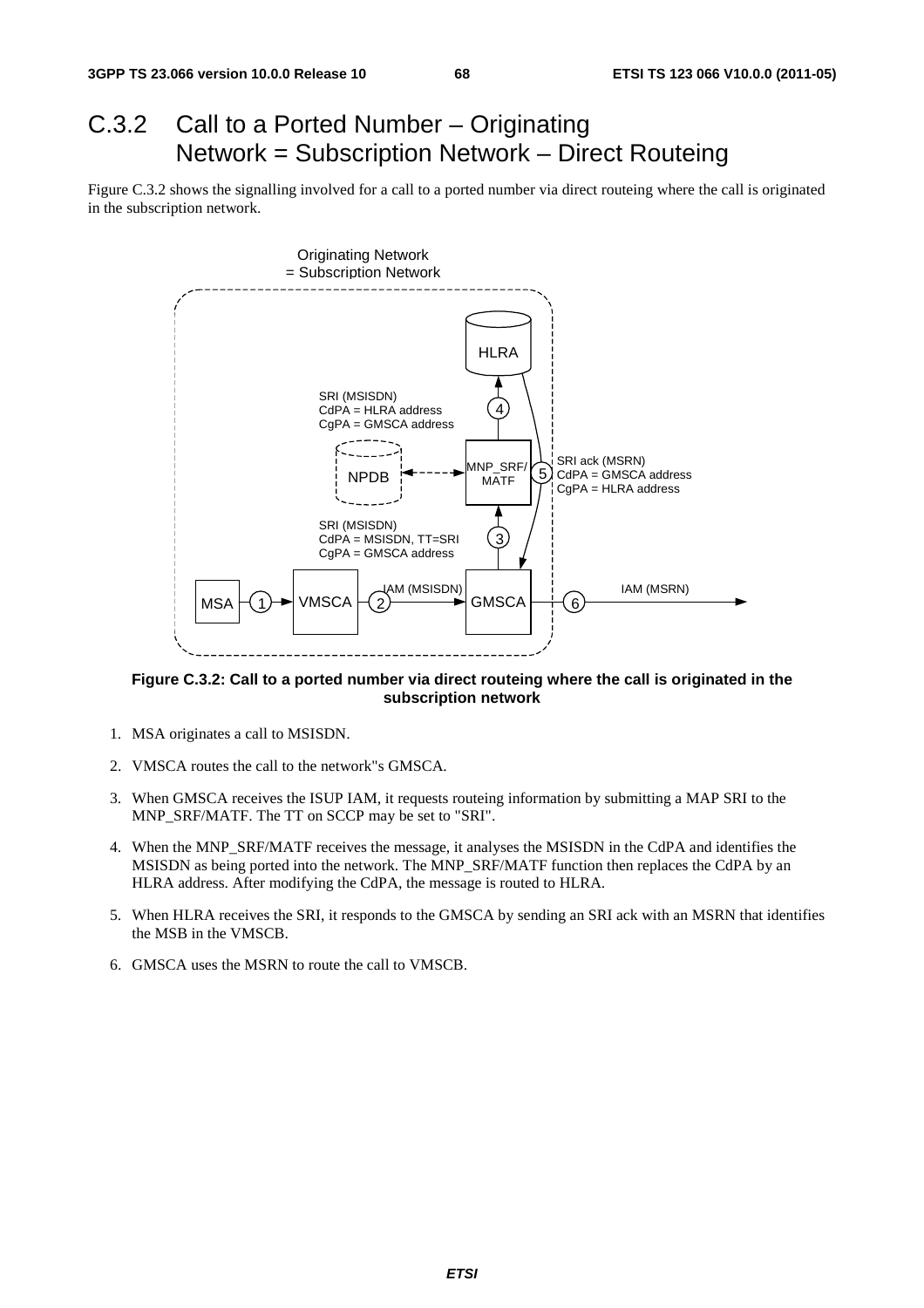# C.3.2 Call to a Ported Number – Originating Network = Subscription Network – Direct Routeing

Figure C.3.2 shows the signalling involved for a call to a ported number via direct routeing where the call is originated in the subscription network.



**Figure C.3.2: Call to a ported number via direct routeing where the call is originated in the subscription network** 

- 1. MSA originates a call to MSISDN.
- 2. VMSCA routes the call to the network"s GMSCA.
- 3. When GMSCA receives the ISUP IAM, it requests routeing information by submitting a MAP SRI to the MNP\_SRF/MATF. The TT on SCCP may be set to "SRI".
- 4. When the MNP\_SRF/MATF receives the message, it analyses the MSISDN in the CdPA and identifies the MSISDN as being ported into the network. The MNP\_SRF/MATF function then replaces the CdPA by an HLRA address. After modifying the CdPA, the message is routed to HLRA.
- 5. When HLRA receives the SRI, it responds to the GMSCA by sending an SRI ack with an MSRN that identifies the MSB in the VMSCB.
- 6. GMSCA uses the MSRN to route the call to VMSCB.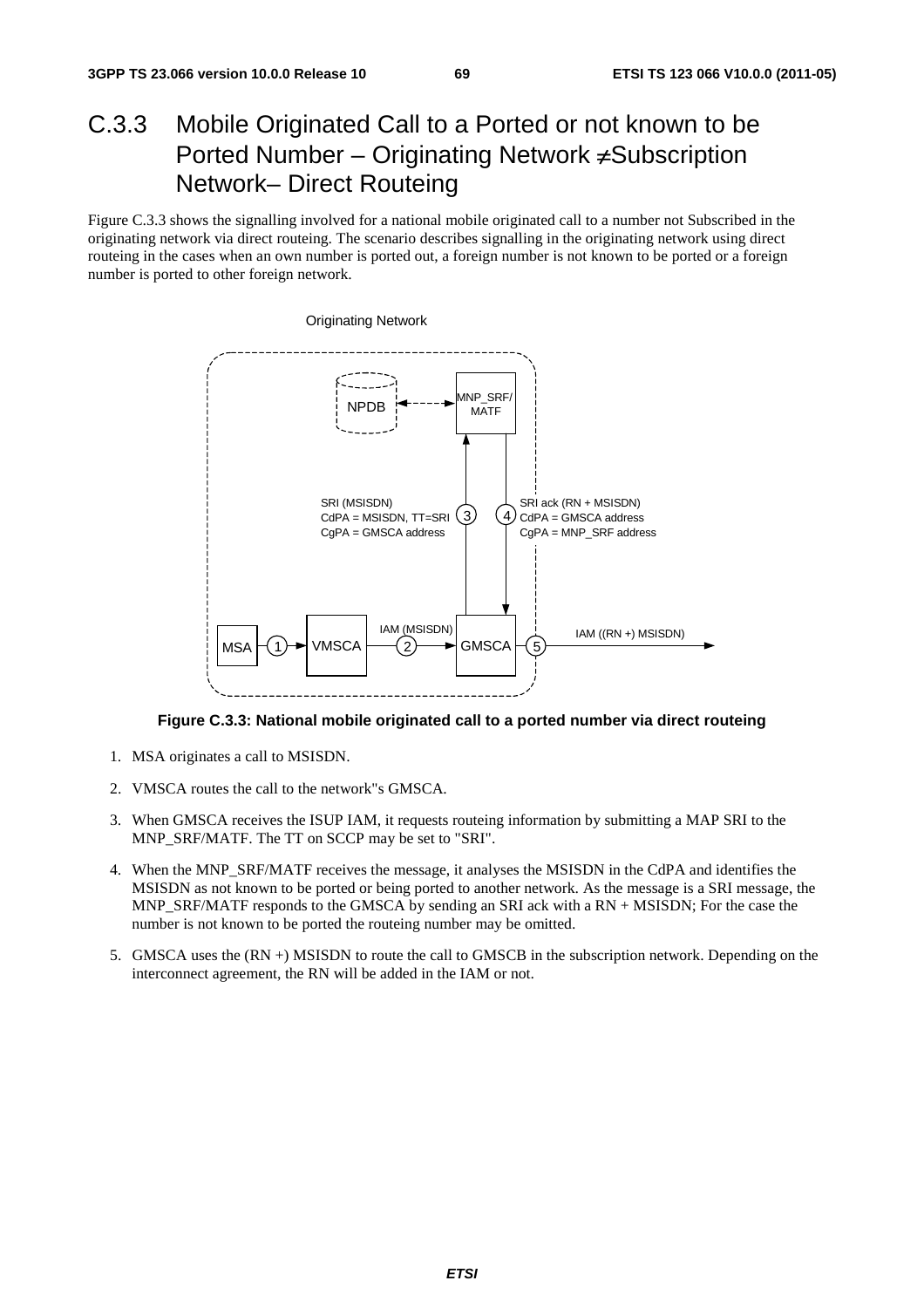# C.3.3 Mobile Originated Call to a Ported or not known to be Ported Number – Originating Network ≠Subscription Network– Direct Routeing

Figure C.3.3 shows the signalling involved for a national mobile originated call to a number not Subscribed in the originating network via direct routeing. The scenario describes signalling in the originating network using direct routeing in the cases when an own number is ported out, a foreign number is not known to be ported or a foreign number is ported to other foreign network.



**Figure C.3.3: National mobile originated call to a ported number via direct routeing** 

- 1. MSA originates a call to MSISDN.
- 2. VMSCA routes the call to the network"s GMSCA.
- 3. When GMSCA receives the ISUP IAM, it requests routeing information by submitting a MAP SRI to the MNP\_SRF/MATF. The TT on SCCP may be set to "SRI".
- 4. When the MNP\_SRF/MATF receives the message, it analyses the MSISDN in the CdPA and identifies the MSISDN as not known to be ported or being ported to another network. As the message is a SRI message, the MNP\_SRF/MATF responds to the GMSCA by sending an SRI ack with a RN + MSISDN; For the case the number is not known to be ported the routeing number may be omitted.
- 5. GMSCA uses the (RN +) MSISDN to route the call to GMSCB in the subscription network. Depending on the interconnect agreement, the RN will be added in the IAM or not.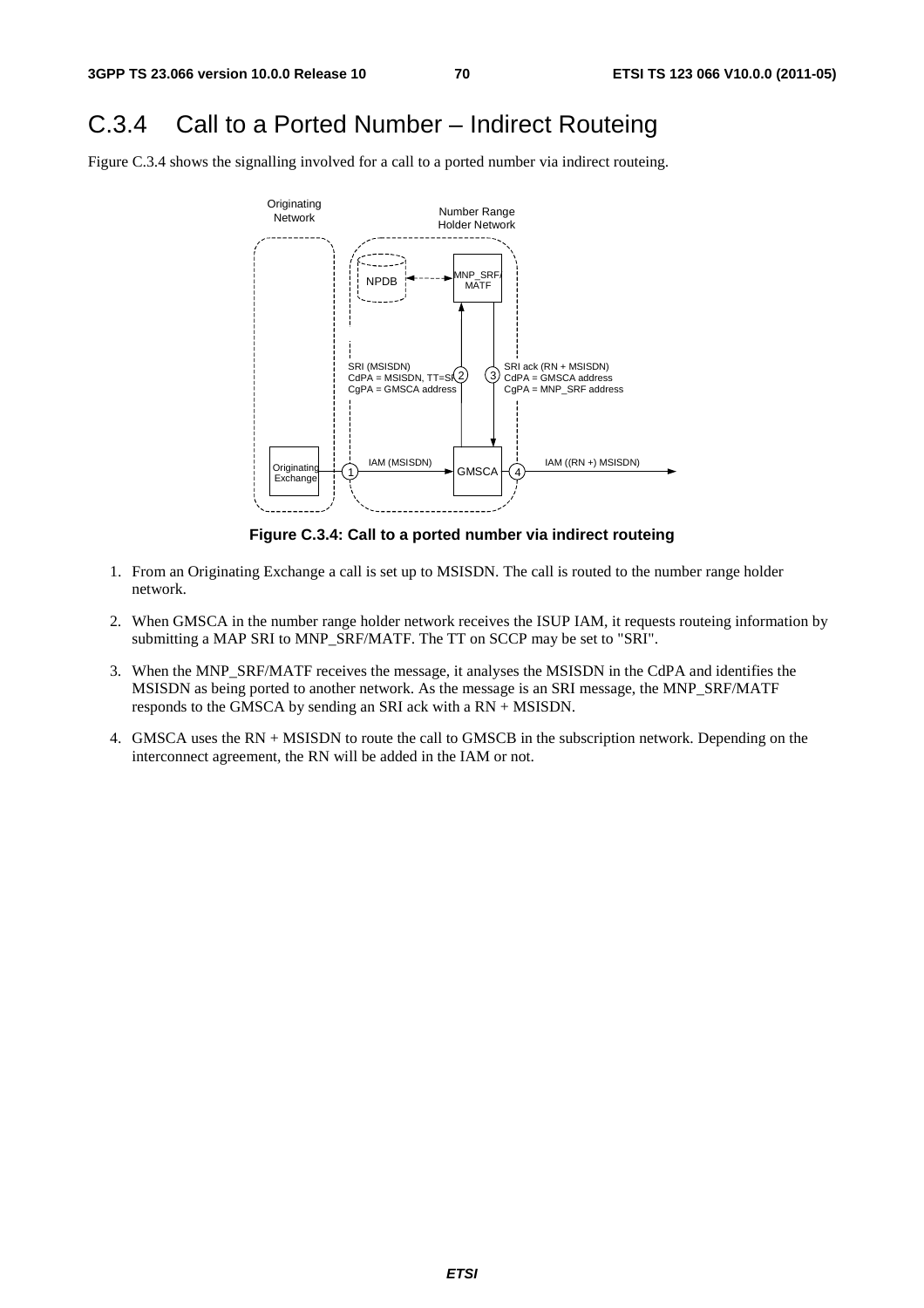# C.3.4 Call to a Ported Number – Indirect Routeing

Figure C.3.4 shows the signalling involved for a call to a ported number via indirect routeing.



**Figure C.3.4: Call to a ported number via indirect routeing** 

- 1. From an Originating Exchange a call is set up to MSISDN. The call is routed to the number range holder network.
- 2. When GMSCA in the number range holder network receives the ISUP IAM, it requests routeing information by submitting a MAP SRI to MNP\_SRF/MATF. The TT on SCCP may be set to "SRI".
- 3. When the MNP\_SRF/MATF receives the message, it analyses the MSISDN in the CdPA and identifies the MSISDN as being ported to another network. As the message is an SRI message, the MNP\_SRF/MATF responds to the GMSCA by sending an SRI ack with a RN + MSISDN.
- 4. GMSCA uses the RN + MSISDN to route the call to GMSCB in the subscription network. Depending on the interconnect agreement, the RN will be added in the IAM or not.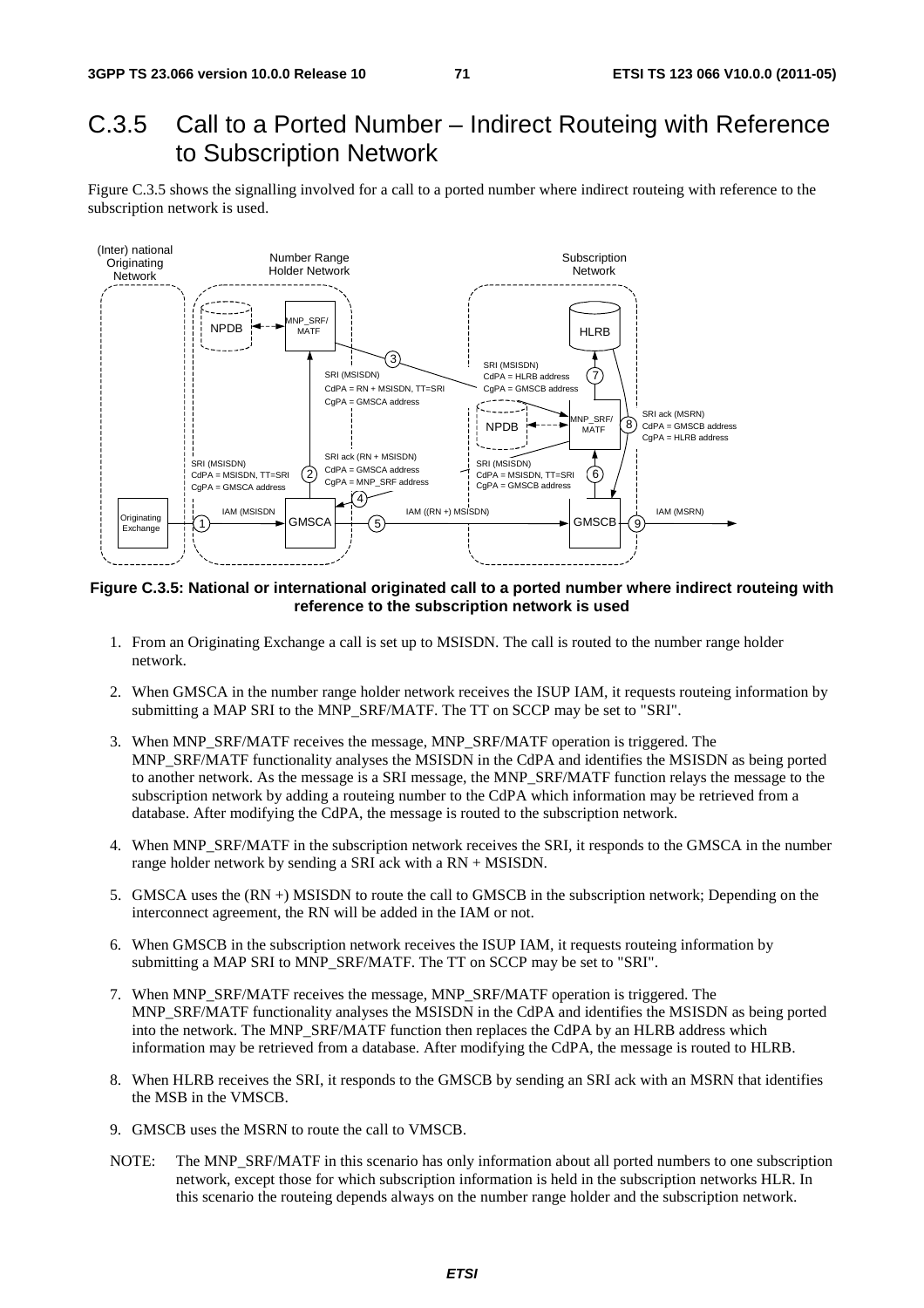# C.3.5 Call to a Ported Number – Indirect Routeing with Reference to Subscription Network

Figure C.3.5 shows the signalling involved for a call to a ported number where indirect routeing with reference to the subscription network is used.



**Figure C.3.5: National or international originated call to a ported number where indirect routeing with reference to the subscription network is used** 

- 1. From an Originating Exchange a call is set up to MSISDN. The call is routed to the number range holder network.
- 2. When GMSCA in the number range holder network receives the ISUP IAM, it requests routeing information by submitting a MAP SRI to the MNP\_SRF/MATF. The TT on SCCP may be set to "SRI".
- 3. When MNP\_SRF/MATF receives the message, MNP\_SRF/MATF operation is triggered. The MNP\_SRF/MATF functionality analyses the MSISDN in the CdPA and identifies the MSISDN as being ported to another network. As the message is a SRI message, the MNP\_SRF/MATF function relays the message to the subscription network by adding a routeing number to the CdPA which information may be retrieved from a database. After modifying the CdPA, the message is routed to the subscription network.
- 4. When MNP\_SRF/MATF in the subscription network receives the SRI, it responds to the GMSCA in the number range holder network by sending a SRI ack with a RN + MSISDN.
- 5. GMSCA uses the (RN +) MSISDN to route the call to GMSCB in the subscription network; Depending on the interconnect agreement, the RN will be added in the IAM or not.
- 6. When GMSCB in the subscription network receives the ISUP IAM, it requests routeing information by submitting a MAP SRI to MNP\_SRF/MATF. The TT on SCCP may be set to "SRI".
- 7. When MNP\_SRF/MATF receives the message, MNP\_SRF/MATF operation is triggered. The MNP\_SRF/MATF functionality analyses the MSISDN in the CdPA and identifies the MSISDN as being ported into the network. The MNP\_SRF/MATF function then replaces the CdPA by an HLRB address which information may be retrieved from a database. After modifying the CdPA, the message is routed to HLRB.
- 8. When HLRB receives the SRI, it responds to the GMSCB by sending an SRI ack with an MSRN that identifies the MSB in the VMSCB.
- 9. GMSCB uses the MSRN to route the call to VMSCB.
- NOTE: The MNP\_SRF/MATF in this scenario has only information about all ported numbers to one subscription network, except those for which subscription information is held in the subscription networks HLR. In this scenario the routeing depends always on the number range holder and the subscription network.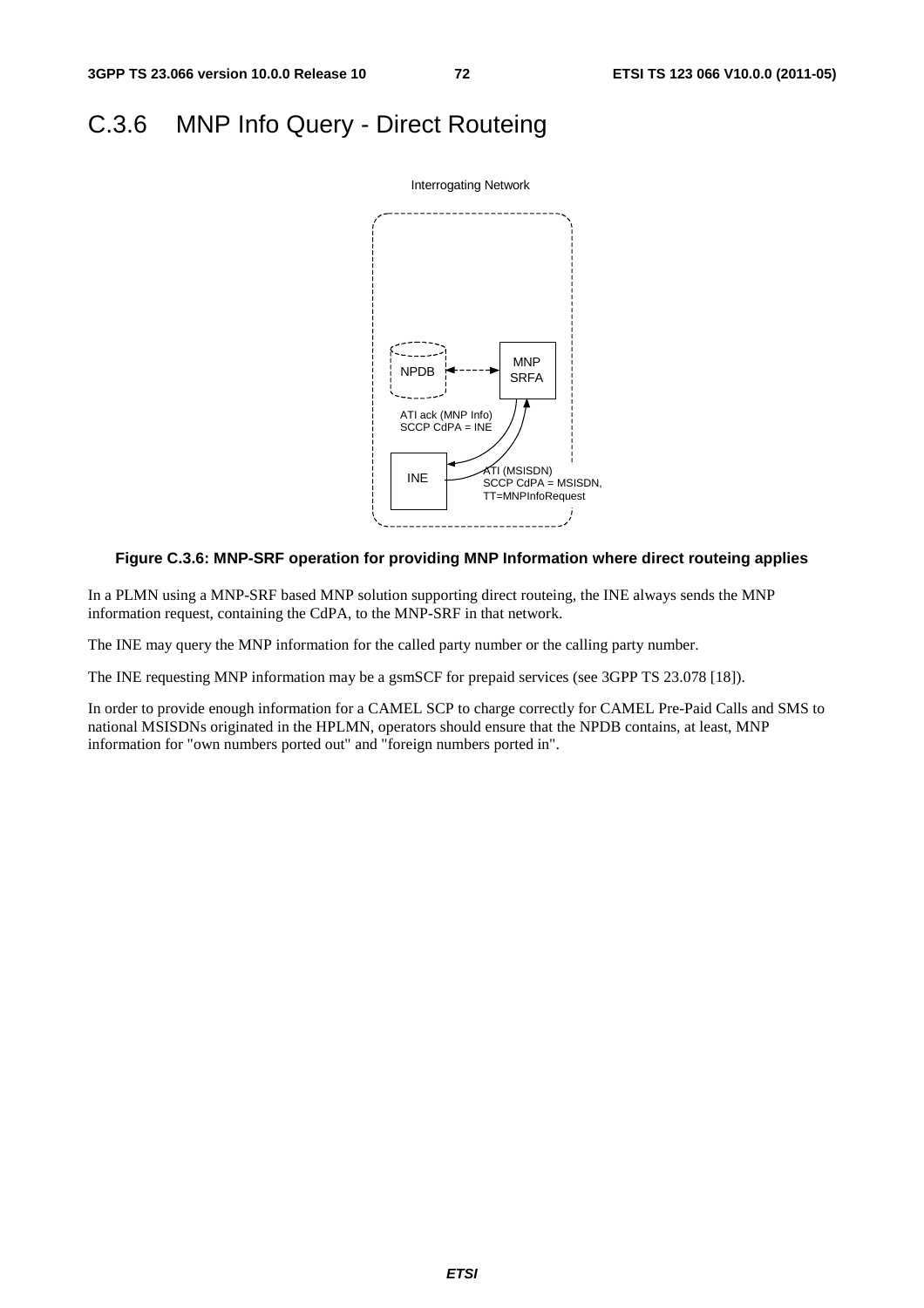### C.3.6 MNP Info Query - Direct Routeing



#### **Figure C.3.6: MNP-SRF operation for providing MNP Information where direct routeing applies**

In a PLMN using a MNP-SRF based MNP solution supporting direct routeing, the INE always sends the MNP information request, containing the CdPA, to the MNP-SRF in that network.

The INE may query the MNP information for the called party number or the calling party number.

The INE requesting MNP information may be a gsmSCF for prepaid services (see 3GPP TS 23.078 [18]).

In order to provide enough information for a CAMEL SCP to charge correctly for CAMEL Pre-Paid Calls and SMS to national MSISDNs originated in the HPLMN, operators should ensure that the NPDB contains, at least, MNP information for "own numbers ported out" and "foreign numbers ported in".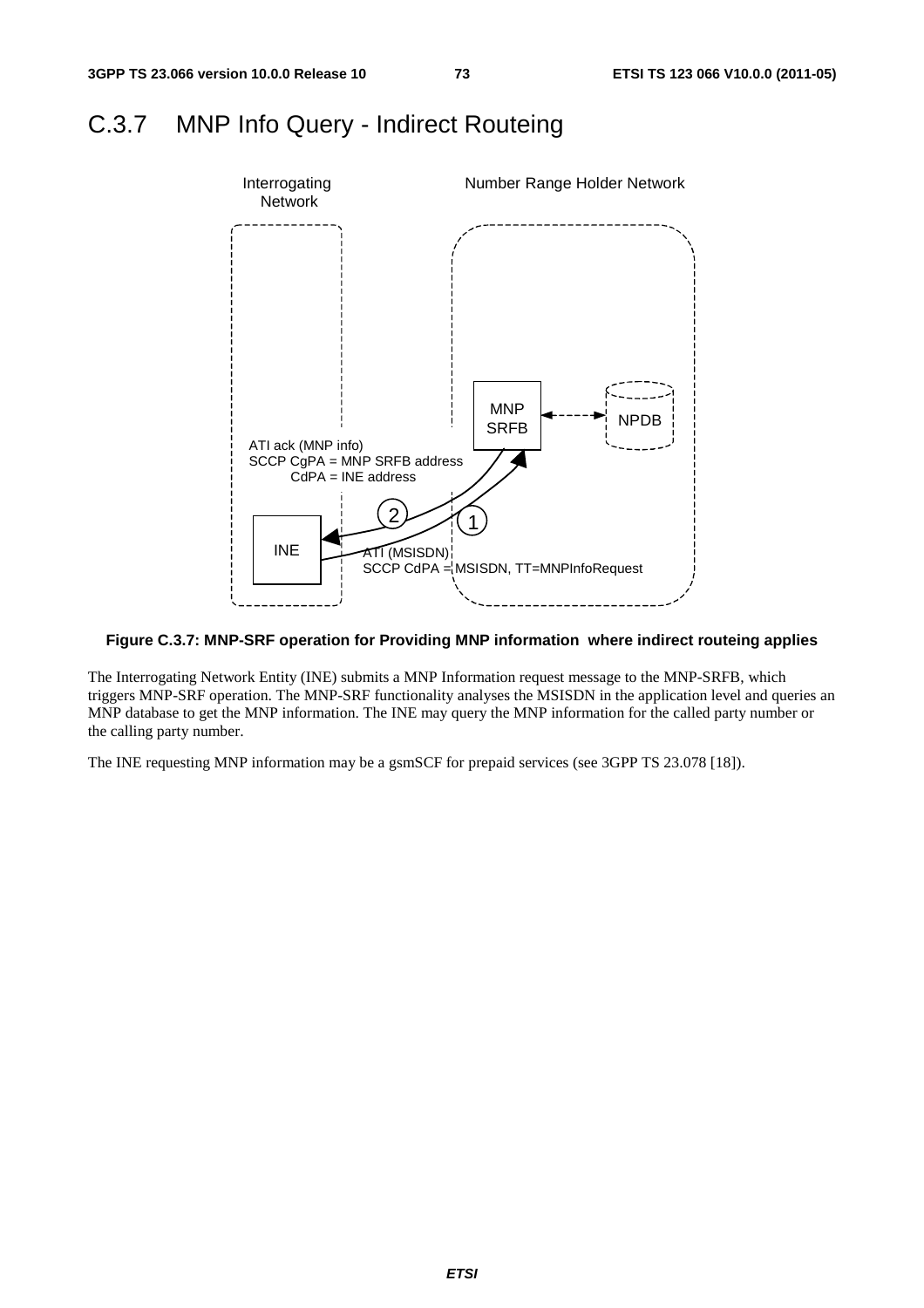### C.3.7 MNP Info Query - Indirect Routeing



#### **Figure C.3.7: MNP-SRF operation for Providing MNP information where indirect routeing applies**

The Interrogating Network Entity (INE) submits a MNP Information request message to the MNP-SRFB, which triggers MNP-SRF operation. The MNP-SRF functionality analyses the MSISDN in the application level and queries an MNP database to get the MNP information. The INE may query the MNP information for the called party number or the calling party number.

The INE requesting MNP information may be a gsmSCF for prepaid services (see 3GPP TS 23.078 [18]).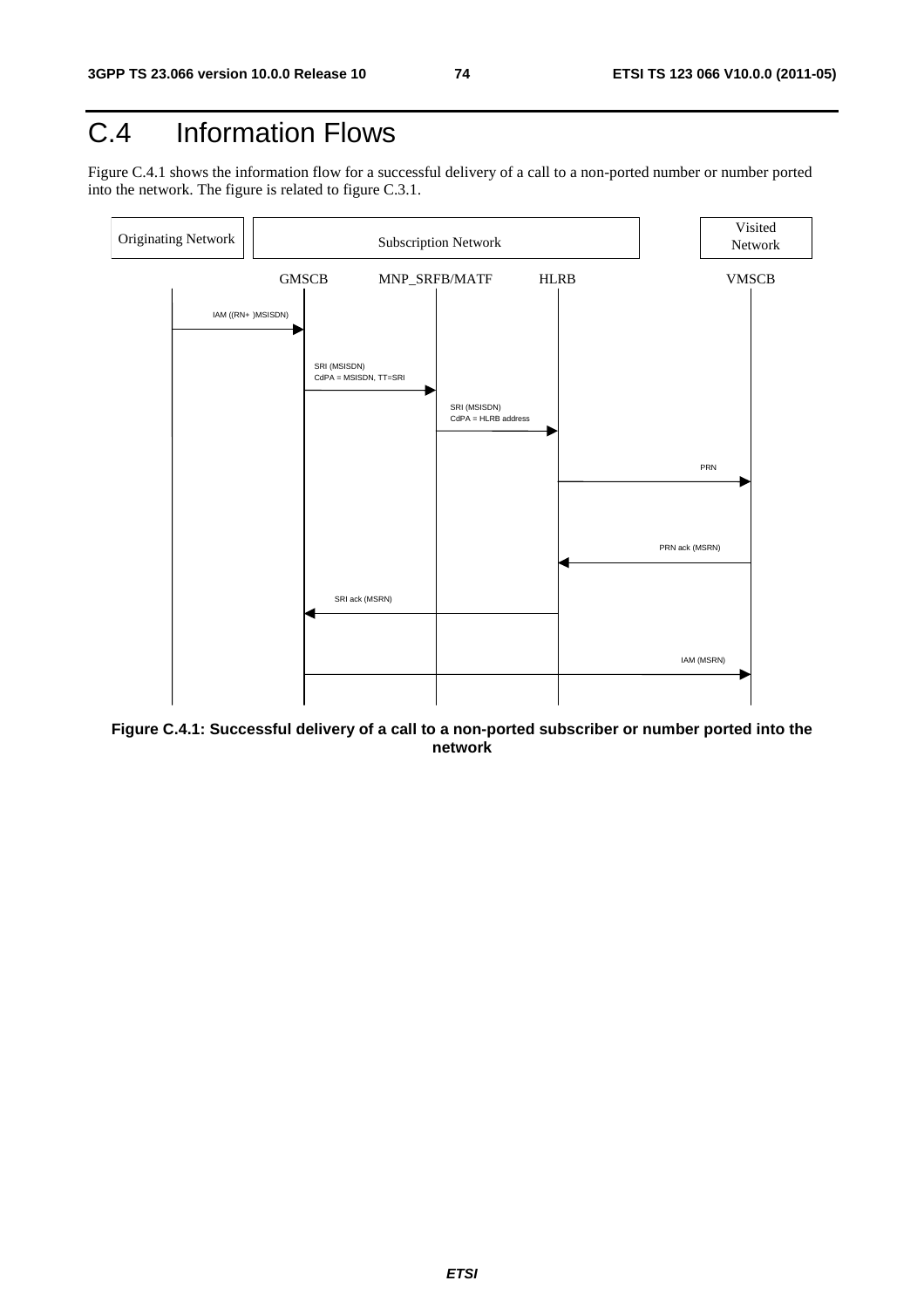## C.4 Information Flows

Figure C.4.1 shows the information flow for a successful delivery of a call to a non-ported number or number ported into the network. The figure is related to figure C.3.1.



**Figure C.4.1: Successful delivery of a call to a non-ported subscriber or number ported into the network**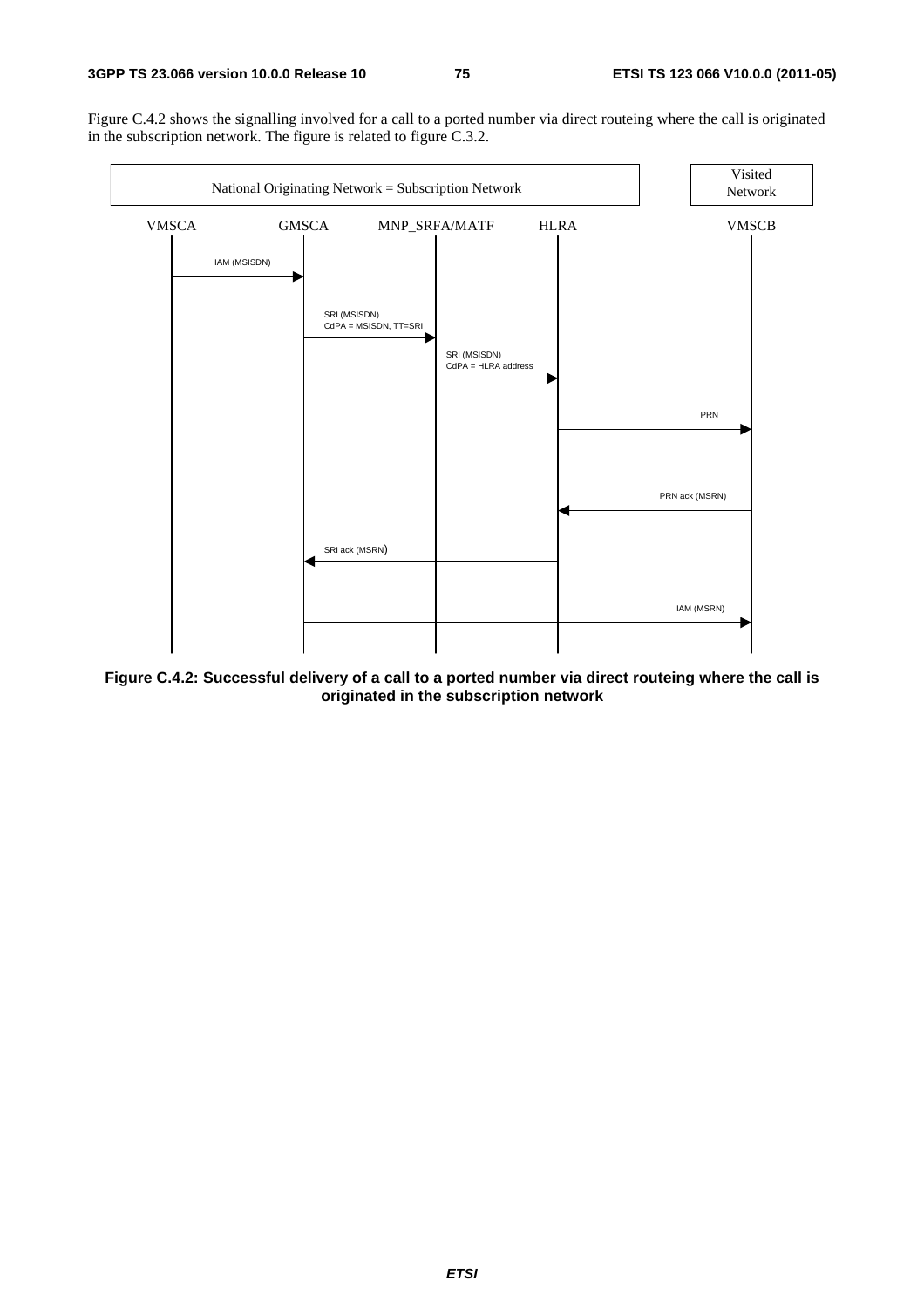Figure C.4.2 shows the signalling involved for a call to a ported number via direct routeing where the call is originated in the subscription network. The figure is related to figure C.3.2.



**Figure C.4.2: Successful delivery of a call to a ported number via direct routeing where the call is originated in the subscription network**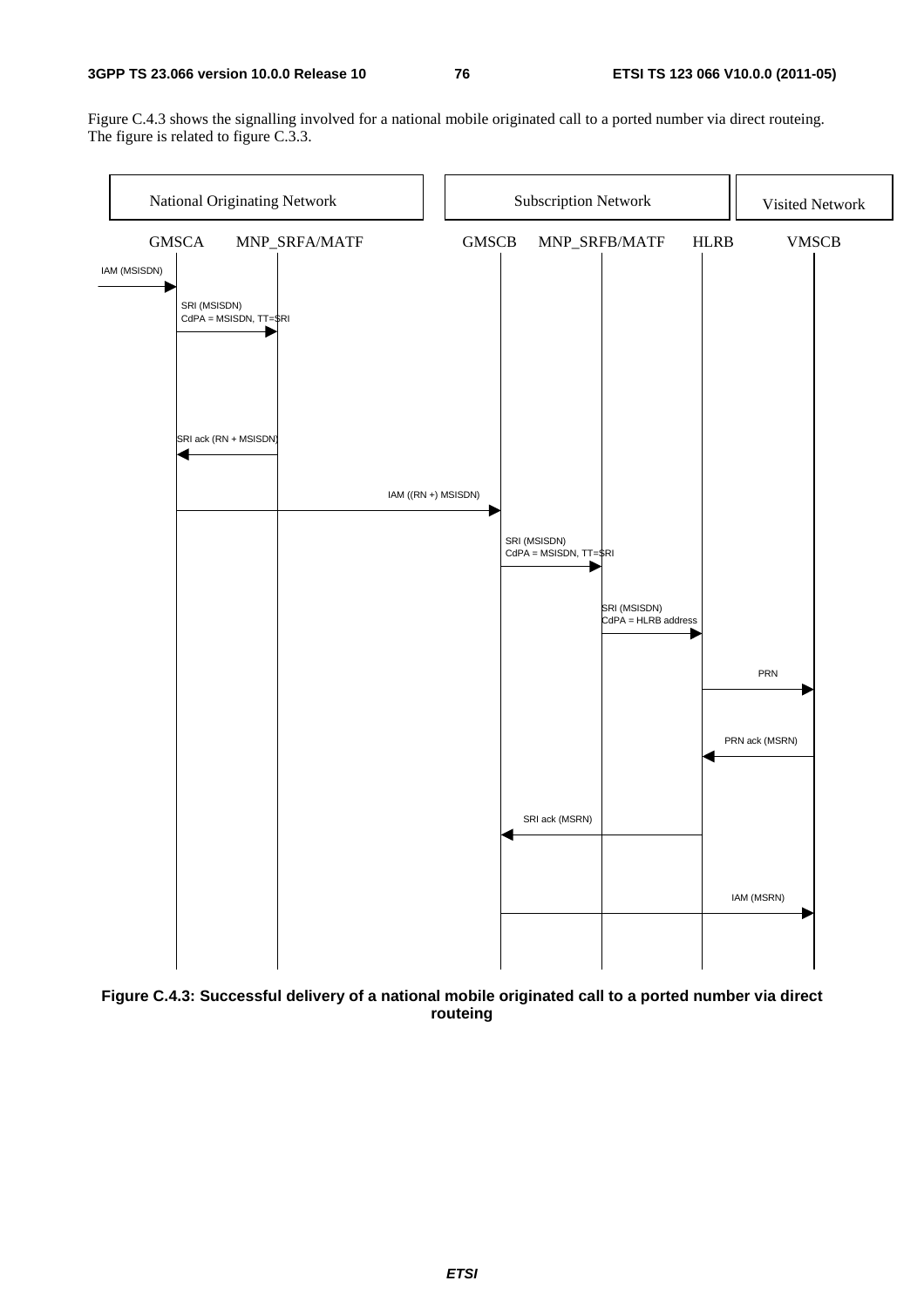#### **3GPP TS 23.066 version 10.0.0 Release 10 76 ETSI TS 123 066 V10.0.0 (2011-05)**

Figure C.4.3 shows the signalling involved for a national mobile originated call to a ported number via direct routeing. The figure is related to figure C.3.3.



**Figure C.4.3: Successful delivery of a national mobile originated call to a ported number via direct routeing**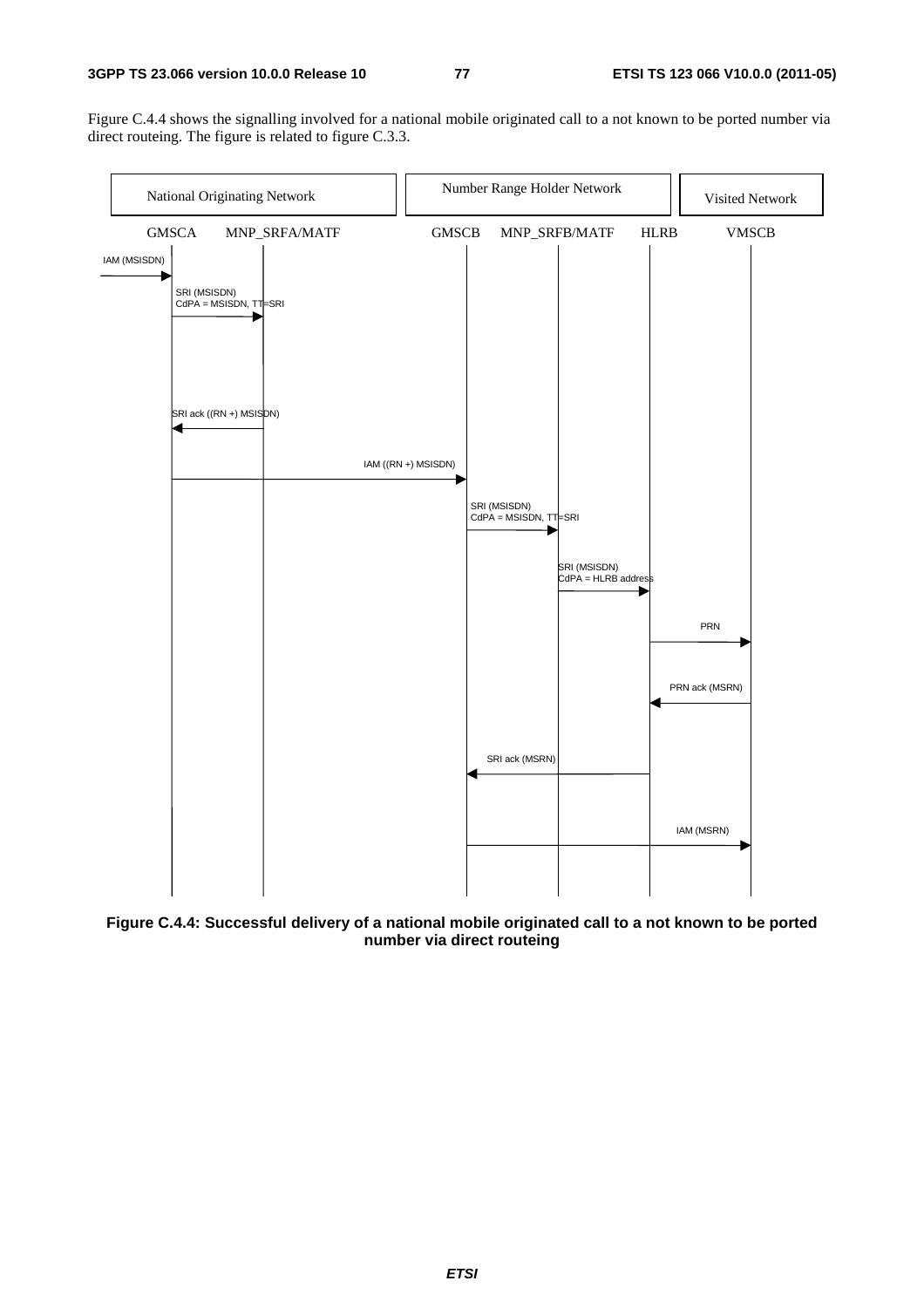Figure C.4.4 shows the signalling involved for a national mobile originated call to a not known to be ported number via direct routeing. The figure is related to figure C.3.3.



**Figure C.4.4: Successful delivery of a national mobile originated call to a not known to be ported number via direct routeing**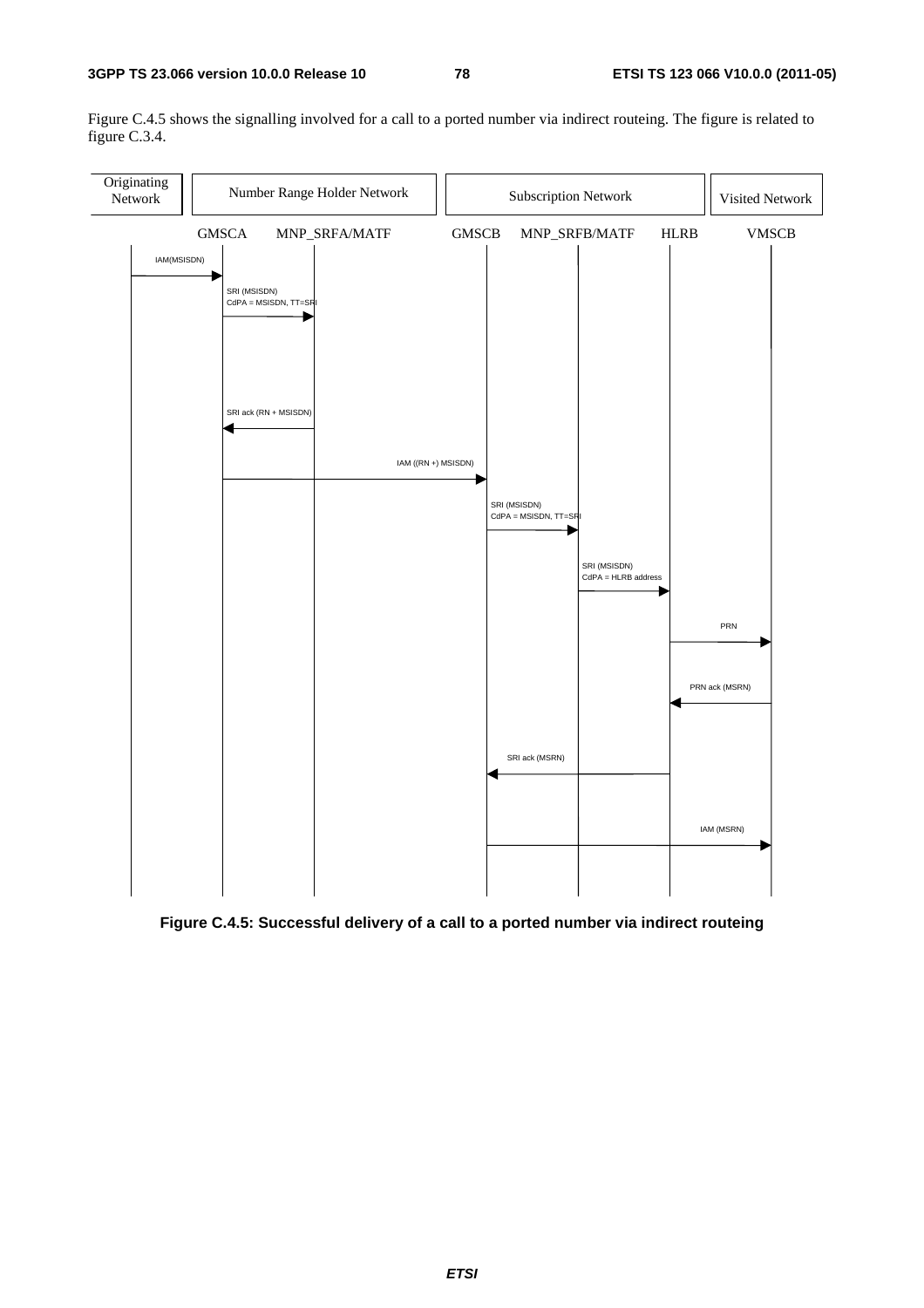Figure C.4.5 shows the signalling involved for a call to a ported number via indirect routeing. The figure is related to figure C.3.4.



**Figure C.4.5: Successful delivery of a call to a ported number via indirect routeing**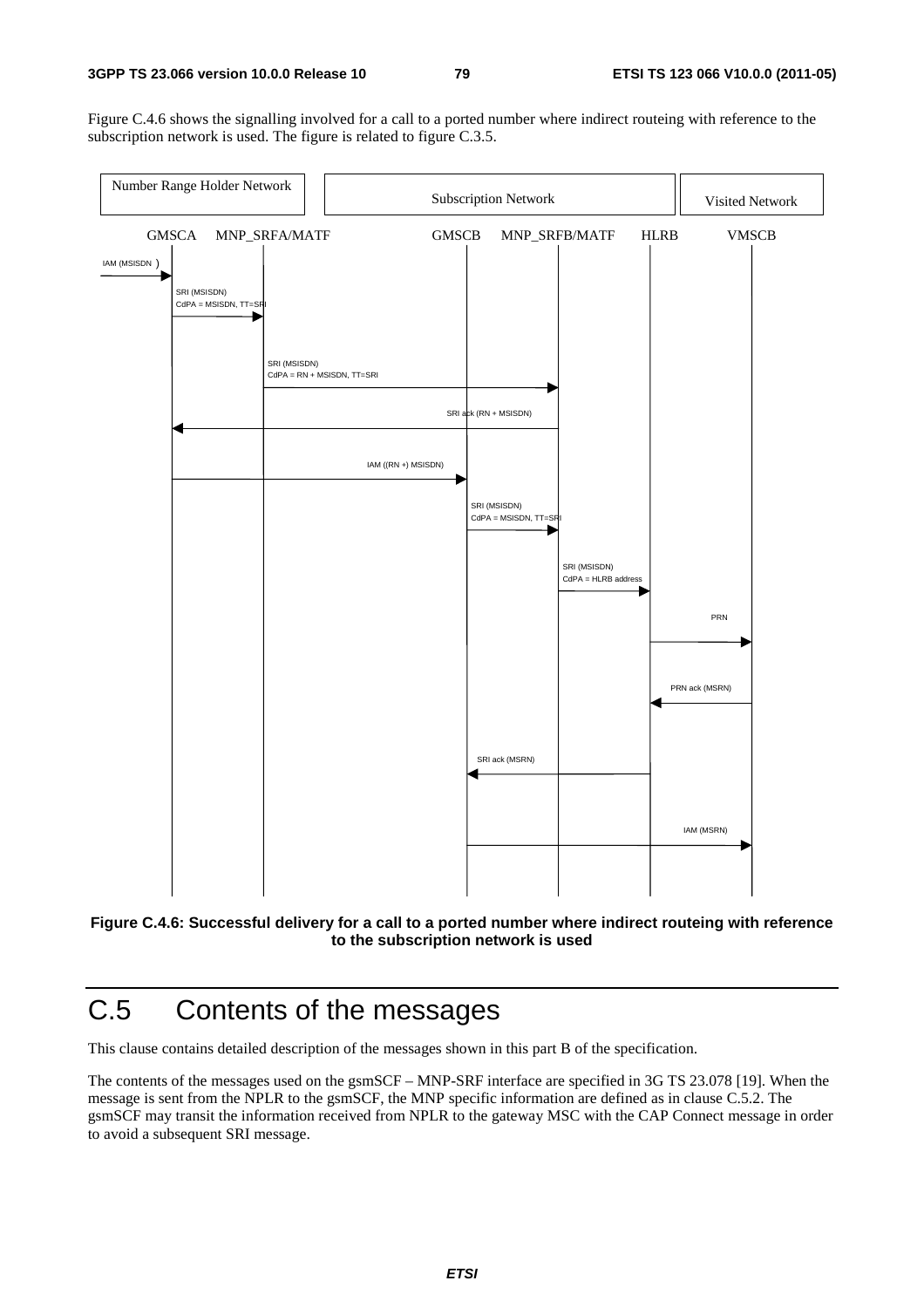Figure C.4.6 shows the signalling involved for a call to a ported number where indirect routeing with reference to the subscription network is used. The figure is related to figure C.3.5.





## C.5 Contents of the messages

This clause contains detailed description of the messages shown in this part B of the specification.

The contents of the messages used on the gsmSCF – MNP-SRF interface are specified in 3G TS 23.078 [19]. When the message is sent from the NPLR to the gsmSCF, the MNP specific information are defined as in clause C.5.2. The gsmSCF may transit the information received from NPLR to the gateway MSC with the CAP Connect message in order to avoid a subsequent SRI message.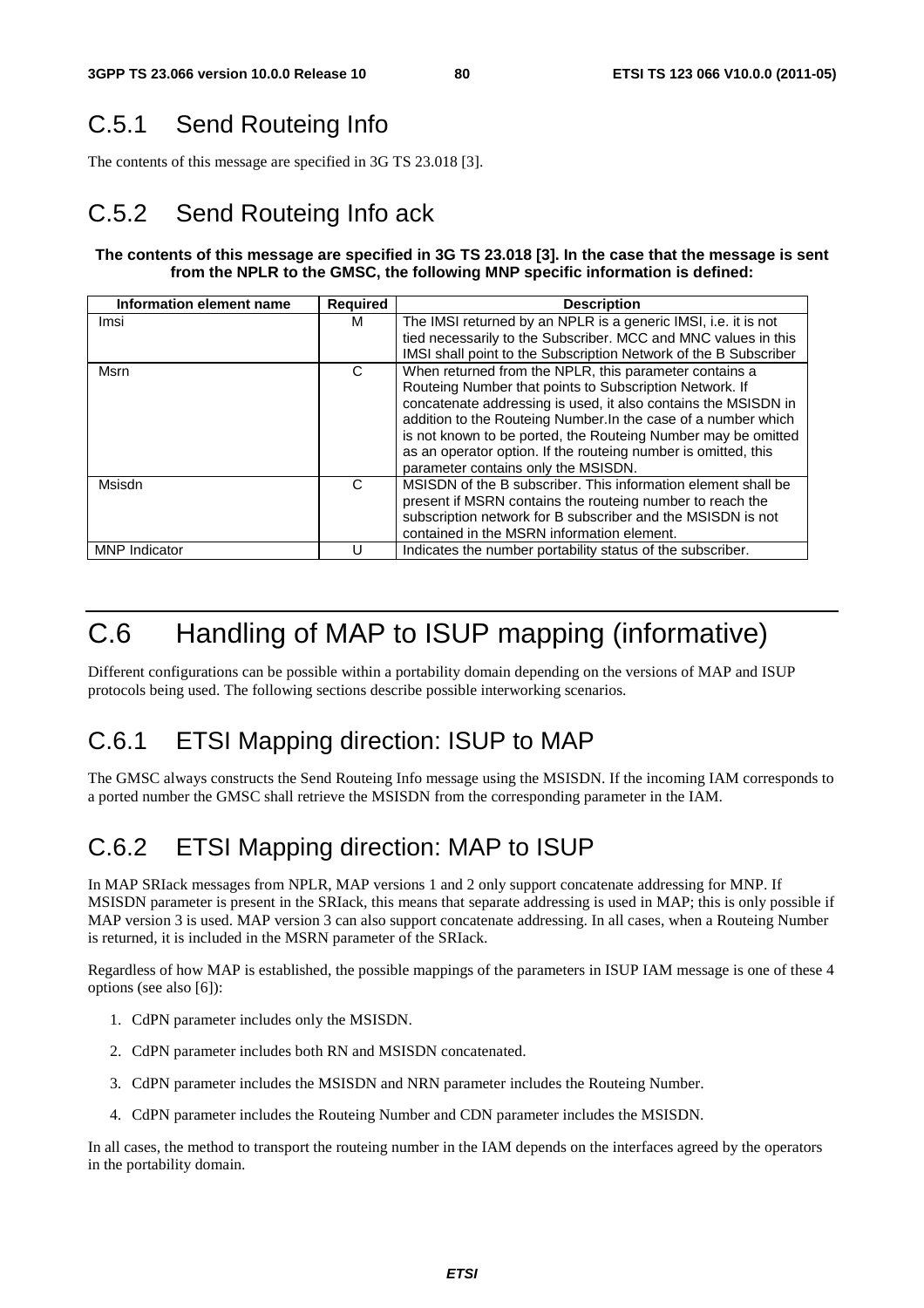## C.5.1 Send Routeing Info

The contents of this message are specified in 3G TS 23.018 [3].

## C.5.2 Send Routeing Info ack

#### **The contents of this message are specified in 3G TS 23.018 [3]. In the case that the message is sent from the NPLR to the GMSC, the following MNP specific information is defined:**

| Information element name | <b>Required</b> | <b>Description</b>                                               |
|--------------------------|-----------------|------------------------------------------------------------------|
| Imsi                     | м               | The IMSI returned by an NPLR is a generic IMSI, i.e. it is not   |
|                          |                 | tied necessarily to the Subscriber. MCC and MNC values in this   |
|                          |                 | IMSI shall point to the Subscription Network of the B Subscriber |
| Msrn                     | C               | When returned from the NPLR, this parameter contains a           |
|                          |                 | Routeing Number that points to Subscription Network. If          |
|                          |                 | concatenate addressing is used, it also contains the MSISDN in   |
|                          |                 | addition to the Routeing Number. In the case of a number which   |
|                          |                 | is not known to be ported, the Routeing Number may be omitted    |
|                          |                 | as an operator option. If the routeing number is omitted, this   |
|                          |                 | parameter contains only the MSISDN.                              |
| Msisdn                   | C               | MSISDN of the B subscriber. This information element shall be    |
|                          |                 | present if MSRN contains the routeing number to reach the        |
|                          |                 | subscription network for B subscriber and the MSISDN is not      |
|                          |                 | contained in the MSRN information element.                       |
| <b>MNP</b> Indicator     |                 | Indicates the number portability status of the subscriber.       |

## C.6 Handling of MAP to ISUP mapping (informative)

Different configurations can be possible within a portability domain depending on the versions of MAP and ISUP protocols being used. The following sections describe possible interworking scenarios.

### C.6.1 ETSI Mapping direction: ISUP to MAP

The GMSC always constructs the Send Routeing Info message using the MSISDN. If the incoming IAM corresponds to a ported number the GMSC shall retrieve the MSISDN from the corresponding parameter in the IAM.

### C.6.2 ETSI Mapping direction: MAP to ISUP

In MAP SRIack messages from NPLR, MAP versions 1 and 2 only support concatenate addressing for MNP. If MSISDN parameter is present in the SRIack, this means that separate addressing is used in MAP; this is only possible if MAP version 3 is used. MAP version 3 can also support concatenate addressing. In all cases, when a Routeing Number is returned, it is included in the MSRN parameter of the SRIack.

Regardless of how MAP is established, the possible mappings of the parameters in ISUP IAM message is one of these 4 options (see also [6]):

- 1. CdPN parameter includes only the MSISDN.
- 2. CdPN parameter includes both RN and MSISDN concatenated.
- 3. CdPN parameter includes the MSISDN and NRN parameter includes the Routeing Number.
- 4. CdPN parameter includes the Routeing Number and CDN parameter includes the MSISDN.

In all cases, the method to transport the routeing number in the IAM depends on the interfaces agreed by the operators in the portability domain.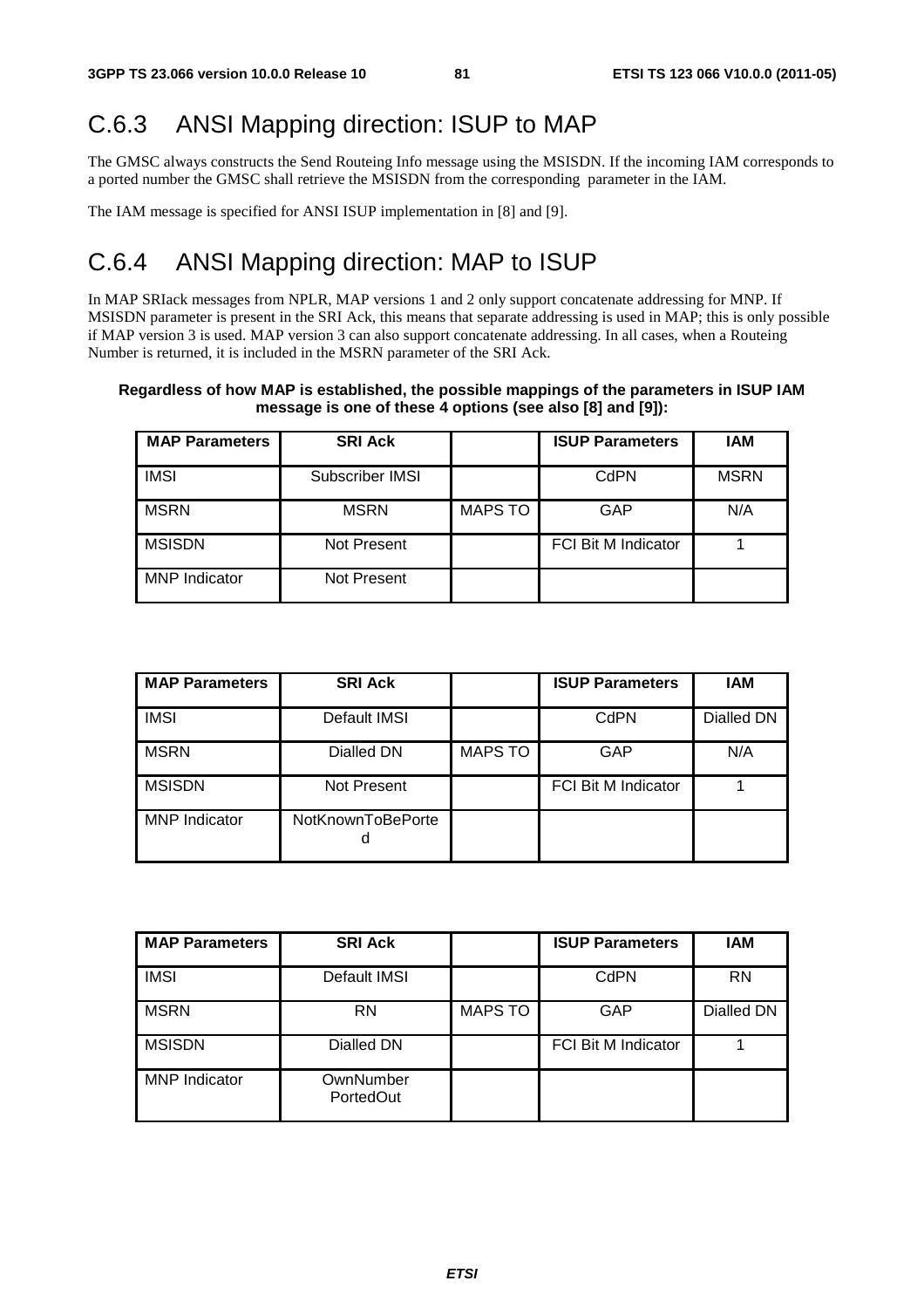## C.6.3 ANSI Mapping direction: ISUP to MAP

The GMSC always constructs the Send Routeing Info message using the MSISDN. If the incoming IAM corresponds to a ported number the GMSC shall retrieve the MSISDN from the corresponding parameter in the IAM.

The IAM message is specified for ANSI ISUP implementation in [8] and [9].

### C.6.4 ANSI Mapping direction: MAP to ISUP

In MAP SRIack messages from NPLR, MAP versions 1 and 2 only support concatenate addressing for MNP. If MSISDN parameter is present in the SRI Ack, this means that separate addressing is used in MAP; this is only possible if MAP version 3 is used. MAP version 3 can also support concatenate addressing. In all cases, when a Routeing Number is returned, it is included in the MSRN parameter of the SRI Ack.

#### **Regardless of how MAP is established, the possible mappings of the parameters in ISUP IAM message is one of these 4 options (see also [8] and [9]):**

| <b>MAP Parameters</b> | <b>SRI Ack</b>  |                | <b>ISUP Parameters</b>     | IAM         |
|-----------------------|-----------------|----------------|----------------------------|-------------|
| <b>IMSI</b>           | Subscriber IMSI |                | CdPN                       | <b>MSRN</b> |
| <b>MSRN</b>           | <b>MSRN</b>     | <b>MAPS TO</b> | GAP                        | N/A         |
| <b>MSISDN</b>         | Not Present     |                | <b>FCI Bit M Indicator</b> |             |
| <b>MNP</b> Indicator  | Not Present     |                |                            |             |

| <b>MAP Parameters</b> | <b>SRI Ack</b>         |                | <b>ISUP Parameters</b>     | <b>IAM</b> |
|-----------------------|------------------------|----------------|----------------------------|------------|
| <b>IMSI</b>           | Default IMSI           |                | CdPN                       | Dialled DN |
| <b>MSRN</b>           | Dialled DN             | <b>MAPS TO</b> | <b>GAP</b>                 | N/A        |
| <b>MSISDN</b>         | Not Present            |                | <b>FCI Bit M Indicator</b> |            |
| <b>MNP</b> Indicator  | NotKnownToBePorte<br>a |                |                            |            |

| <b>MAP Parameters</b> | <b>SRI Ack</b>         |                | <b>ISUP Parameters</b>     | IAM        |
|-----------------------|------------------------|----------------|----------------------------|------------|
| <b>IMSI</b>           | Default IMSI           |                | CdPN                       | <b>RN</b>  |
| <b>MSRN</b>           | <b>RN</b>              | <b>MAPS TO</b> | <b>GAP</b>                 | Dialled DN |
| <b>MSISDN</b>         | Dialled DN             |                | <b>FCI Bit M Indicator</b> |            |
| <b>MNP</b> Indicator  | OwnNumber<br>PortedOut |                |                            |            |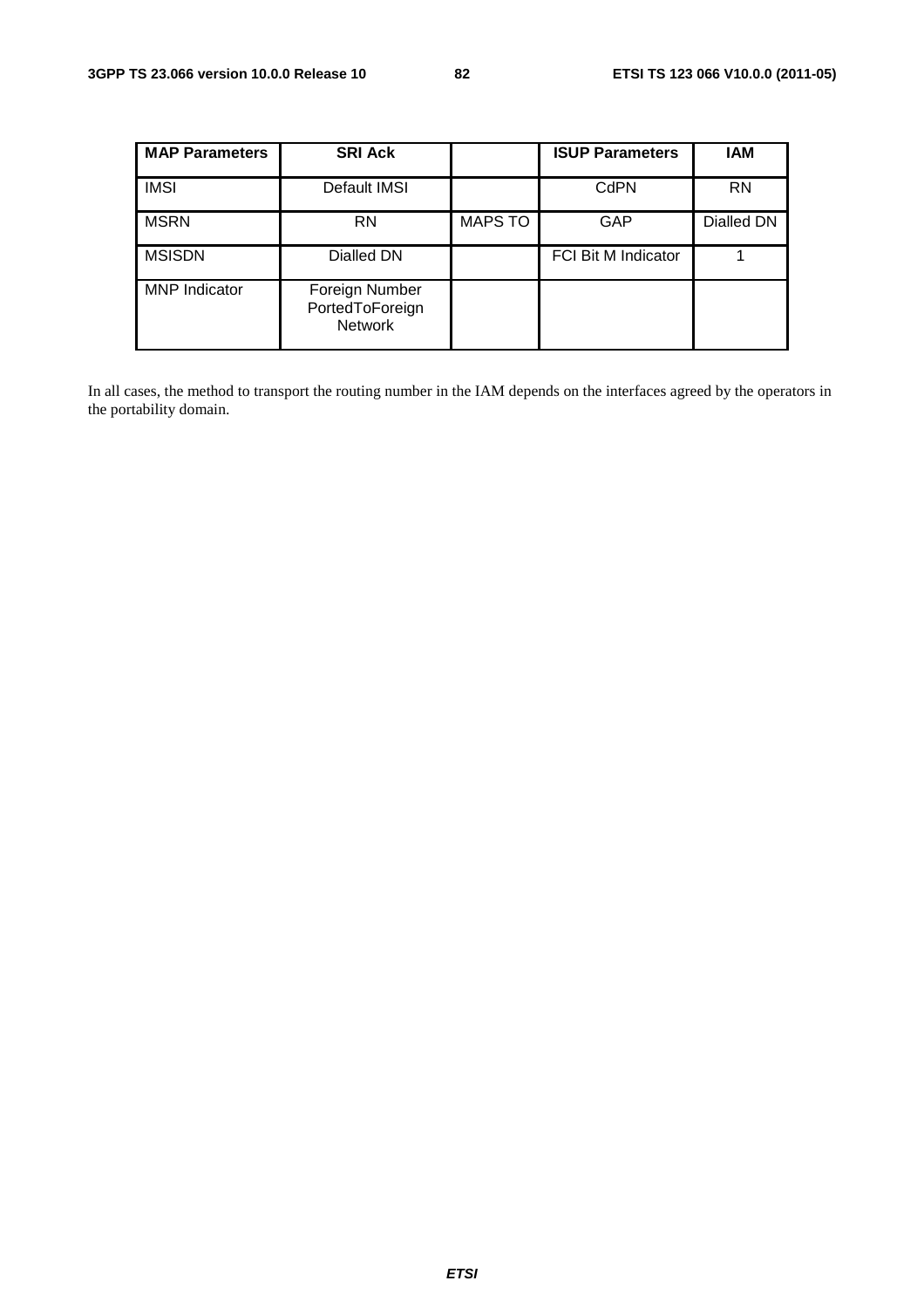| <b>MAP Parameters</b> | <b>SRI Ack</b>                                      |                | <b>ISUP Parameters</b>     | IAM        |
|-----------------------|-----------------------------------------------------|----------------|----------------------------|------------|
| <b>IMSI</b>           | Default IMSI                                        |                | CdPN                       | <b>RN</b>  |
| <b>MSRN</b>           | <b>RN</b>                                           | <b>MAPS TO</b> | GAP                        | Dialled DN |
| <b>MSISDN</b>         | Dialled DN                                          |                | <b>FCI Bit M Indicator</b> |            |
| <b>MNP</b> Indicator  | Foreign Number<br>PortedToForeign<br><b>Network</b> |                |                            |            |

In all cases, the method to transport the routing number in the IAM depends on the interfaces agreed by the operators in the portability domain.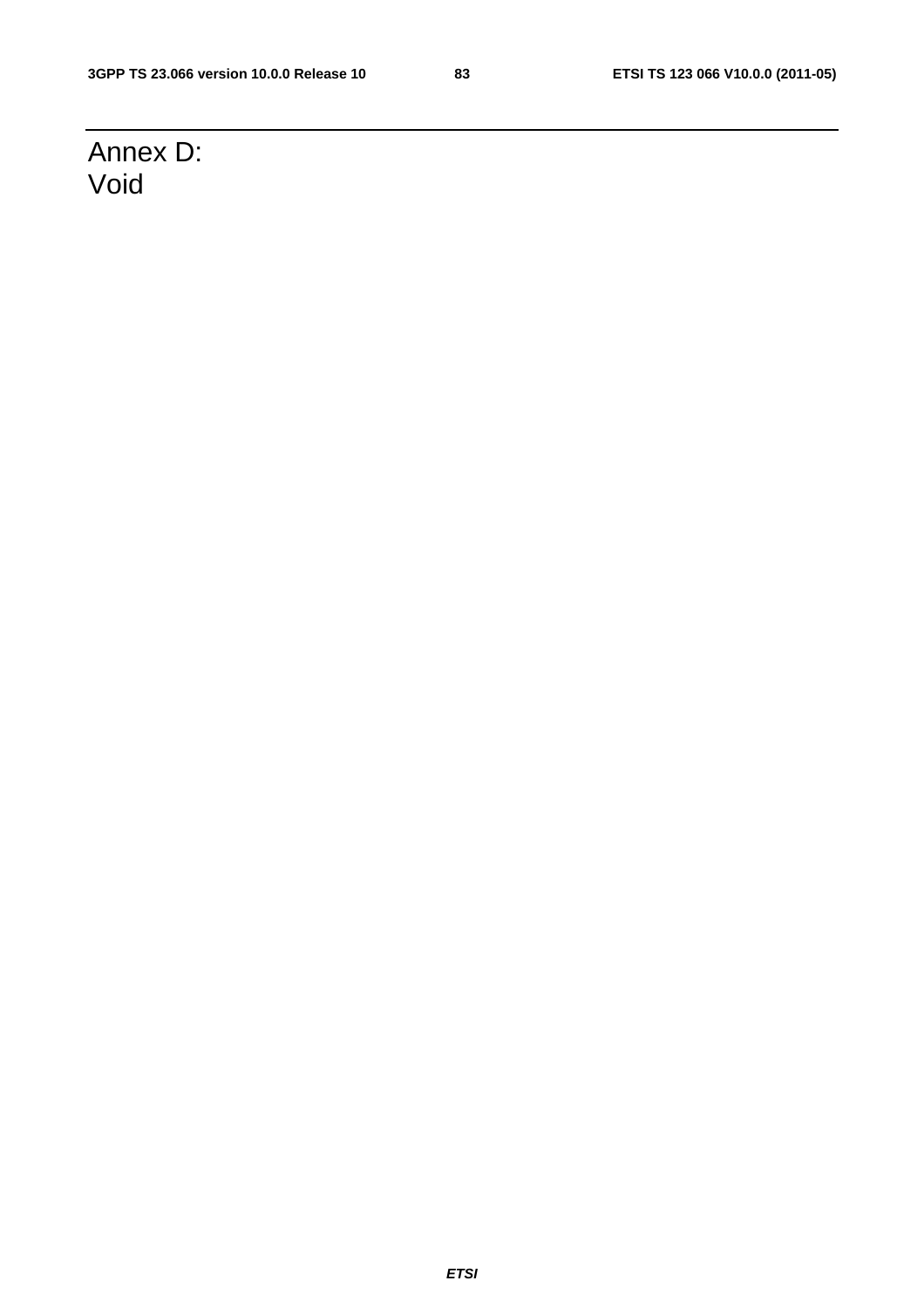## Annex D: Void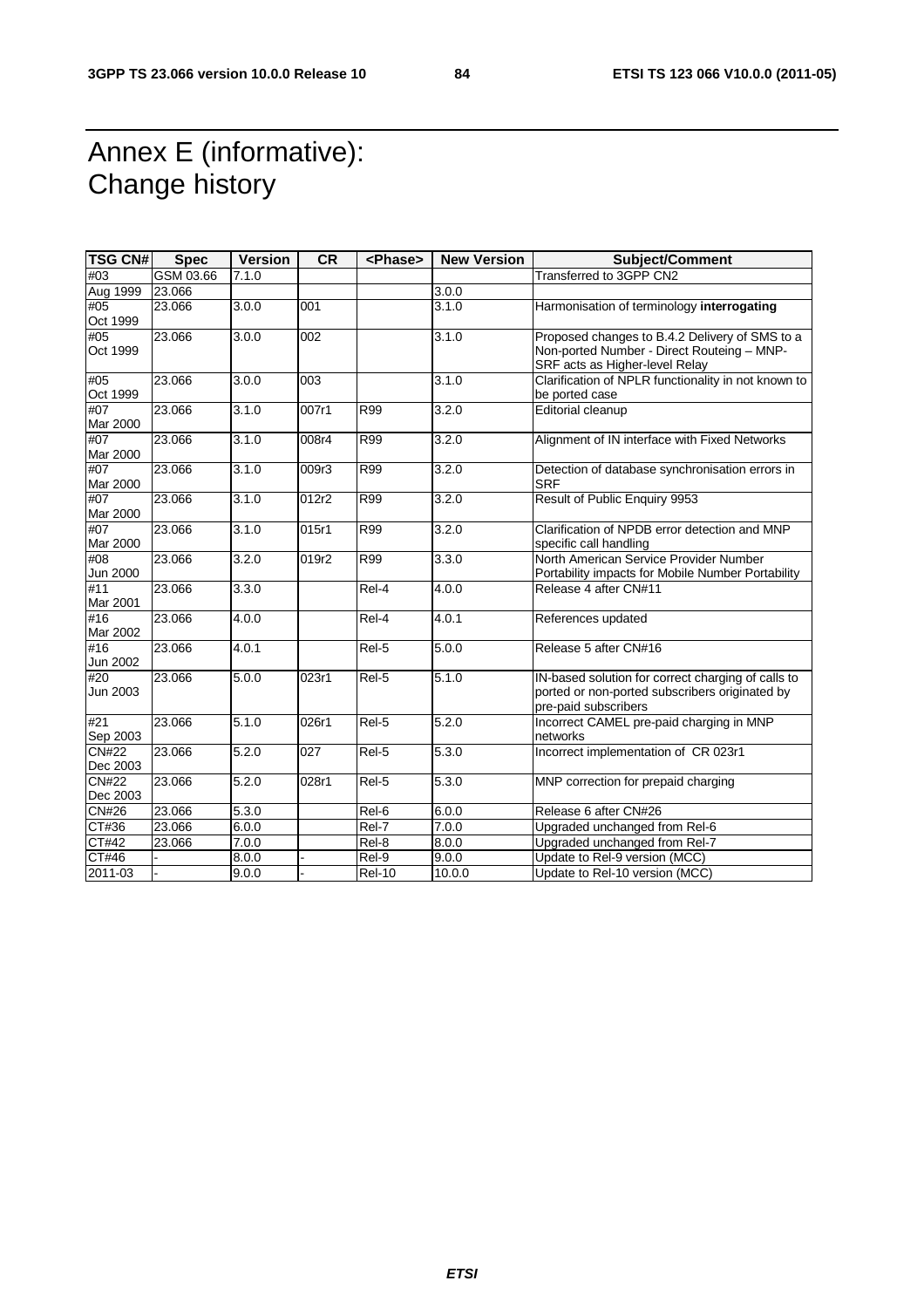## Annex E (informative): Change history

| <b>TSG CN#</b>           | <b>Spec</b> | <b>Version</b> | <b>CR</b>        | <phase></phase> | <b>New Version</b> | <b>Subject/Comment</b>                                                                                                         |
|--------------------------|-------------|----------------|------------------|-----------------|--------------------|--------------------------------------------------------------------------------------------------------------------------------|
| #03                      | GSM 03.66   | 7.1.0          |                  |                 |                    | Transferred to 3GPP CN2                                                                                                        |
| Aug 1999                 | 23.066      |                |                  |                 | 3.0.0              |                                                                                                                                |
| #05<br>Oct 1999          | 23.066      | 3.0.0          | 001              |                 | 3.1.0              | Harmonisation of terminology interrogating                                                                                     |
| #05<br>Oct 1999          | 23.066      | 3.0.0          | 002              |                 | 3.1.0              | Proposed changes to B.4.2 Delivery of SMS to a<br>Non-ported Number - Direct Routeing - MNP-<br>SRF acts as Higher-level Relay |
| #05<br>Oct 1999          | 23.066      | 3.0.0          | $\overline{003}$ |                 | 3.1.0              | Clarification of NPLR functionality in not known to<br>be ported case                                                          |
| #07<br>Mar 2000          | 23.066      | 3.1.0          | 007r1            | <b>R99</b>      | 3.2.0              | <b>Editorial cleanup</b>                                                                                                       |
| #07<br>Mar 2000          | 23.066      | 3.1.0          | 008r4            | R99             | 3.2.0              | Alignment of IN interface with Fixed Networks                                                                                  |
| #07<br>Mar 2000          | 23.066      | 3.1.0          | 009r3            | R99             | 3.2.0              | Detection of database synchronisation errors in<br><b>SRF</b>                                                                  |
| #07<br>Mar 2000          | 23.066      | 3.1.0          | 012r2            | R99             | 3.2.0              | Result of Public Enquiry 9953                                                                                                  |
| #07<br>Mar 2000          | 23.066      | 3.1.0          | 015r1            | R99             | 3.2.0              | Clarification of NPDB error detection and MNP<br>specific call handling                                                        |
| #08<br>Jun 2000          | 23.066      | 3.2.0          | 019r2            | <b>R99</b>      | 3.3.0              | North American Service Provider Number<br>Portability impacts for Mobile Number Portability                                    |
| Mar 2001                 | 23.066      | 3.3.0          |                  | Rel-4           | 4.0.0              | Release 4 after CN#11                                                                                                          |
| #16<br>Mar 2002          | 23.066      | 4.0.0          |                  | Rel-4           | 4.0.1              | References updated                                                                                                             |
| #16<br>Jun 2002          | 23.066      | 4.0.1          |                  | Rel-5           | 5.0.0              | Release 5 after CN#16                                                                                                          |
| #20<br>Jun 2003          | 23.066      | 5.0.0          | 023r1            | Rel-5           | 5.1.0              | IN-based solution for correct charging of calls to<br>ported or non-ported subscribers originated by<br>pre-paid subscribers   |
| #21<br>Sep 2003          | 23.066      | 5.1.0          | 026r1            | Rel-5           | 5.2.0              | Incorrect CAMEL pre-paid charging in MNP<br>networks                                                                           |
| <b>CN#22</b><br>Dec 2003 | 23.066      | 5.2.0          | 027              | Rel-5           | 5.3.0              | Incorrect implementation of CR 023r1                                                                                           |
| <b>CN#22</b><br>Dec 2003 | 23.066      | 5.2.0          | 028r1            | Rel-5           | 5.3.0              | MNP correction for prepaid charging                                                                                            |
| CN#26                    | 23.066      | 5.3.0          |                  | Rel-6           | 6.0.0              | Release 6 after CN#26                                                                                                          |
| CT#36                    | 23.066      | 6.0.0          |                  | $ReI-7$         | 7.0.0              | Upgraded unchanged from Rel-6                                                                                                  |
| CT#42                    | 23.066      | 7.0.0          |                  | Rel-8           | 8.0.0              | Upgraded unchanged from Rel-7                                                                                                  |
| CT#46                    |             | 8.0.0          |                  | $ReI-9$         | 9.0.0              | Update to Rel-9 version (MCC)                                                                                                  |
| 2011-03                  |             | 9.0.0          |                  | <b>Rel-10</b>   | 10.0.0             | Update to Rel-10 version (MCC)                                                                                                 |